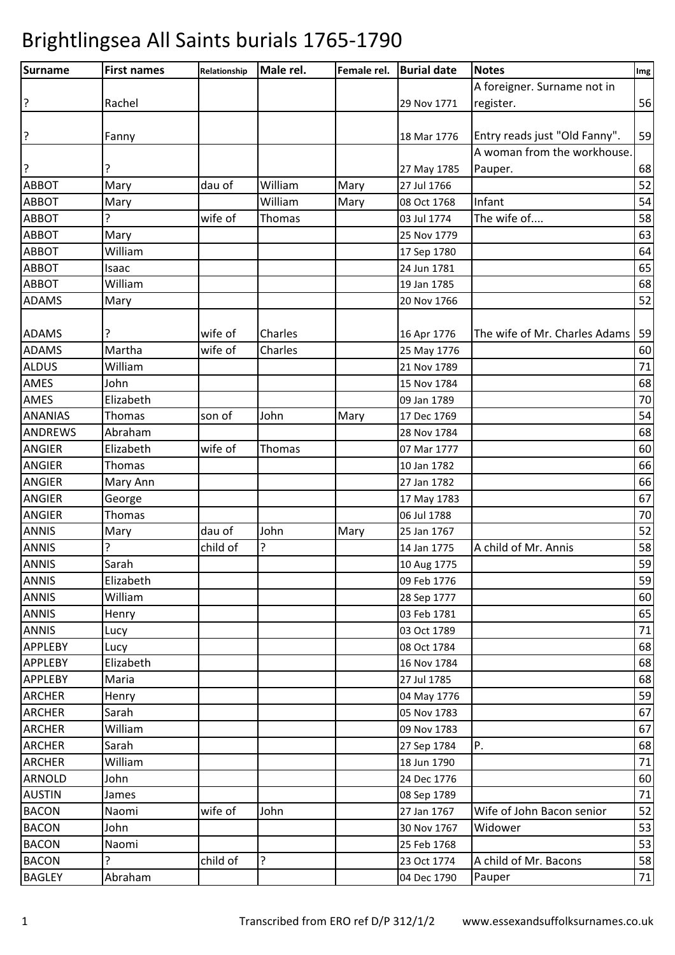| <b>Surname</b> | <b>First names</b> | Relationship | Male rel. | Female rel. | <b>Burial date</b> | <b>Notes</b>                  | Img    |
|----------------|--------------------|--------------|-----------|-------------|--------------------|-------------------------------|--------|
|                |                    |              |           |             |                    | A foreigner. Surname not in   |        |
| ?              | Rachel             |              |           |             | 29 Nov 1771        | register.                     | 56     |
|                |                    |              |           |             |                    |                               |        |
| ?              | Fanny              |              |           |             | 18 Mar 1776        | Entry reads just "Old Fanny". | 59     |
|                |                    |              |           |             |                    | A woman from the workhouse.   |        |
| ?              |                    |              |           |             | 27 May 1785        | Pauper.                       | 68     |
| <b>ABBOT</b>   | Mary               | dau of       | William   | Mary        | 27 Jul 1766        |                               | 52     |
| <b>ABBOT</b>   | Mary               |              | William   | Mary        | 08 Oct 1768        | Infant                        | 54     |
| <b>ABBOT</b>   | ?                  | wife of      | Thomas    |             | 03 Jul 1774        | The wife of                   | 58     |
| <b>ABBOT</b>   | Mary               |              |           |             | 25 Nov 1779        |                               | 63     |
| <b>ABBOT</b>   | William            |              |           |             | 17 Sep 1780        |                               | 64     |
| <b>ABBOT</b>   | Isaac              |              |           |             | 24 Jun 1781        |                               | 65     |
| ABBOT          | William            |              |           |             | 19 Jan 1785        |                               | 68     |
| <b>ADAMS</b>   | Mary               |              |           |             | 20 Nov 1766        |                               | 52     |
|                |                    |              |           |             |                    |                               |        |
| <b>ADAMS</b>   |                    | wife of      | Charles   |             | 16 Apr 1776        | The wife of Mr. Charles Adams | 59     |
| <b>ADAMS</b>   | Martha             | wife of      | Charles   |             | 25 May 1776        |                               | 60     |
| <b>ALDUS</b>   | William            |              |           |             | 21 Nov 1789        |                               | 71     |
| AMES           | John               |              |           |             | 15 Nov 1784        |                               | 68     |
| AMES           | Elizabeth          |              |           |             | 09 Jan 1789        |                               | 70     |
| <b>ANANIAS</b> | <b>Thomas</b>      | son of       | John      | Mary        | 17 Dec 1769        |                               | 54     |
| <b>ANDREWS</b> | Abraham            |              |           |             | 28 Nov 1784        |                               | 68     |
| <b>ANGIER</b>  | Elizabeth          | wife of      | Thomas    |             | 07 Mar 1777        |                               | 60     |
| <b>ANGIER</b>  | Thomas             |              |           |             | 10 Jan 1782        |                               | 66     |
| <b>ANGIER</b>  | Mary Ann           |              |           |             | 27 Jan 1782        |                               | 66     |
| <b>ANGIER</b>  | George             |              |           |             | 17 May 1783        |                               | 67     |
| <b>ANGIER</b>  | Thomas             |              |           |             | 06 Jul 1788        |                               | $70\,$ |
| <b>ANNIS</b>   | Mary               | dau of       | John      | Mary        | 25 Jan 1767        |                               | 52     |
| <b>ANNIS</b>   | 5                  | child of     | 5         |             | 14 Jan 1775        | A child of Mr. Annis          | 58     |
| <b>ANNIS</b>   | Sarah              |              |           |             | 10 Aug 1775        |                               | 59     |
| <b>ANNIS</b>   | Elizabeth          |              |           |             | 09 Feb 1776        |                               | 59     |
| <b>ANNIS</b>   | William            |              |           |             | 28 Sep 1777        |                               | 60     |
| <b>ANNIS</b>   | Henry              |              |           |             | 03 Feb 1781        |                               | 65     |
| <b>ANNIS</b>   | Lucy               |              |           |             | 03 Oct 1789        |                               | 71     |
| <b>APPLEBY</b> | Lucy               |              |           |             | 08 Oct 1784        |                               | 68     |
| <b>APPLEBY</b> | Elizabeth          |              |           |             | 16 Nov 1784        |                               | 68     |
| <b>APPLEBY</b> | Maria              |              |           |             | 27 Jul 1785        |                               | 68     |
| <b>ARCHER</b>  | Henry              |              |           |             | 04 May 1776        |                               | 59     |
| <b>ARCHER</b>  | Sarah              |              |           |             | 05 Nov 1783        |                               | 67     |
| <b>ARCHER</b>  | William            |              |           |             | 09 Nov 1783        |                               | 67     |
| <b>ARCHER</b>  | Sarah              |              |           |             | 27 Sep 1784        | Ρ.                            | 68     |
| <b>ARCHER</b>  | William            |              |           |             | 18 Jun 1790        |                               | 71     |
| <b>ARNOLD</b>  | John               |              |           |             | 24 Dec 1776        |                               | 60     |
| <b>AUSTIN</b>  | James              |              |           |             | 08 Sep 1789        |                               | 71     |
| <b>BACON</b>   | Naomi              | wife of      | John      |             | 27 Jan 1767        | Wife of John Bacon senior     | 52     |
| <b>BACON</b>   | John               |              |           |             | 30 Nov 1767        | Widower                       | 53     |
| <b>BACON</b>   | Naomi              |              |           |             | 25 Feb 1768        |                               | 53     |
| <b>BACON</b>   | ς                  | child of     | 5.        |             | 23 Oct 1774        | A child of Mr. Bacons         | 58     |
| <b>BAGLEY</b>  | Abraham            |              |           |             | 04 Dec 1790        | Pauper                        | $71\,$ |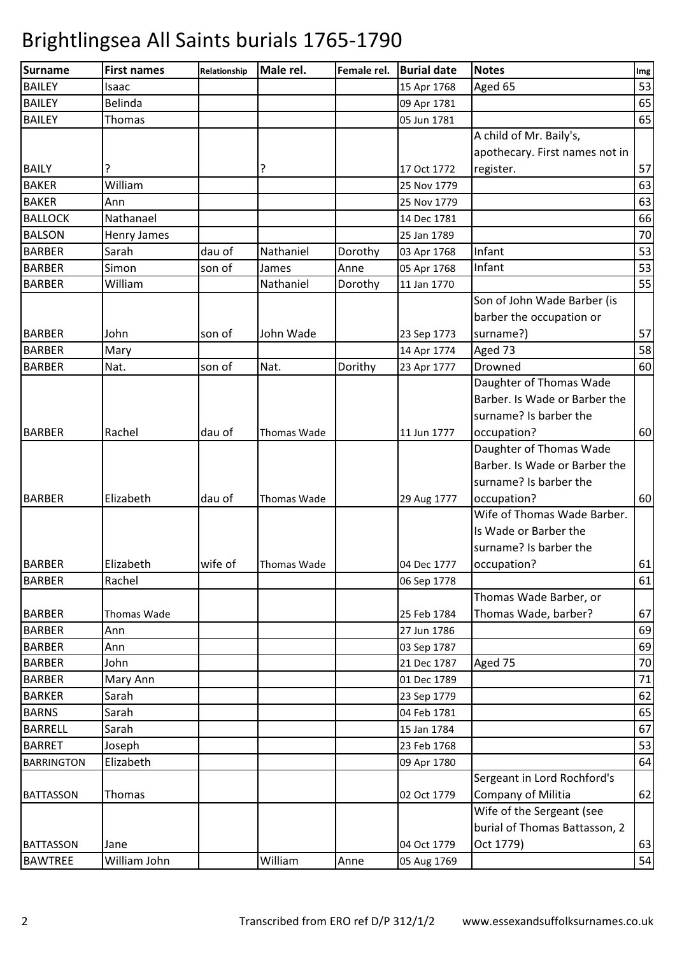| Aged 65<br>15 Apr 1768<br>Isaac<br>Belinda<br>09 Apr 1781<br>Thomas<br>05 Jun 1781<br>A child of Mr. Baily's,<br>apothecary. First names not in<br>?<br>register.<br>17 Oct 1772<br>William<br>25 Nov 1779<br>Ann<br>25 Nov 1779<br>Nathanael<br>14 Dec 1781<br>Henry James<br>25 Jan 1789<br>Infant<br>Nathaniel<br>Sarah<br>dau of<br>Dorothy<br>03 Apr 1768<br>Infant<br>Simon<br>Anne<br>son of<br>James<br>05 Apr 1768<br>William<br>Nathaniel<br>Dorothy<br>11 Jan 1770<br>Son of John Wade Barber (is<br>barber the occupation or<br>John<br>John Wade<br>surname?)<br>son of<br>23 Sep 1773<br>Aged 73<br>Mary<br>14 Apr 1774<br>son of<br>Nat.<br>Dorithy<br>Drowned<br>Nat.<br>23 Apr 1777<br>Daughter of Thomas Wade<br>Barber. Is Wade or Barber the<br>surname? Is barber the<br>Rachel<br>dau of<br>11 Jun 1777<br>occupation?<br>Thomas Wade<br>Daughter of Thomas Wade<br>Barber. Is Wade or Barber the<br>surname? Is barber the<br>Elizabeth<br>occupation?<br>dau of<br>Thomas Wade<br>29 Aug 1777<br>Wife of Thomas Wade Barber.<br>Is Wade or Barber the<br>surname? Is barber the<br>Elizabeth<br>wife of<br>occupation?<br>Thomas Wade<br>04 Dec 1777<br>Rachel<br>06 Sep 1778<br>Thomas Wade Barber, or<br>Thomas Wade, barber?<br>25 Feb 1784<br>Thomas Wade<br>Ann<br>27 Jun 1786<br>Ann<br>03 Sep 1787<br>John<br>Aged 75<br>21 Dec 1787<br>Mary Ann<br>01 Dec 1789<br>Sarah<br>23 Sep 1779<br>Sarah<br>04 Feb 1781<br>Sarah<br>15 Jan 1784<br>Joseph<br>23 Feb 1768<br>Elizabeth<br>09 Apr 1780<br>Sergeant in Lord Rochford's<br>Company of Militia<br>Thomas<br>02 Oct 1779<br>Wife of the Sergeant (see<br>burial of Thomas Battasson, 2<br>Oct 1779)<br>04 Oct 1779<br>Jane | Surname           | <b>First names</b> | Relationship | Male rel. | Female rel. | <b>Burial date</b> | <b>Notes</b> | Img |
|-------------------------------------------------------------------------------------------------------------------------------------------------------------------------------------------------------------------------------------------------------------------------------------------------------------------------------------------------------------------------------------------------------------------------------------------------------------------------------------------------------------------------------------------------------------------------------------------------------------------------------------------------------------------------------------------------------------------------------------------------------------------------------------------------------------------------------------------------------------------------------------------------------------------------------------------------------------------------------------------------------------------------------------------------------------------------------------------------------------------------------------------------------------------------------------------------------------------------------------------------------------------------------------------------------------------------------------------------------------------------------------------------------------------------------------------------------------------------------------------------------------------------------------------------------------------------------------------------------------------------------------------------------------------------------------------------------------|-------------------|--------------------|--------------|-----------|-------------|--------------------|--------------|-----|
|                                                                                                                                                                                                                                                                                                                                                                                                                                                                                                                                                                                                                                                                                                                                                                                                                                                                                                                                                                                                                                                                                                                                                                                                                                                                                                                                                                                                                                                                                                                                                                                                                                                                                                             | <b>BAILEY</b>     |                    |              |           |             |                    |              | 53  |
| 65<br>57<br>63<br>63<br>66<br>70<br>53<br>53<br>55<br>57<br>58<br>60<br>60<br>60<br>61<br>61<br>67<br>69<br>69<br>70<br>71<br>62<br>65<br>67<br>53<br>64<br>62                                                                                                                                                                                                                                                                                                                                                                                                                                                                                                                                                                                                                                                                                                                                                                                                                                                                                                                                                                                                                                                                                                                                                                                                                                                                                                                                                                                                                                                                                                                                              | <b>BAILEY</b>     |                    |              |           |             |                    |              | 65  |
|                                                                                                                                                                                                                                                                                                                                                                                                                                                                                                                                                                                                                                                                                                                                                                                                                                                                                                                                                                                                                                                                                                                                                                                                                                                                                                                                                                                                                                                                                                                                                                                                                                                                                                             | <b>BAILEY</b>     |                    |              |           |             |                    |              |     |
|                                                                                                                                                                                                                                                                                                                                                                                                                                                                                                                                                                                                                                                                                                                                                                                                                                                                                                                                                                                                                                                                                                                                                                                                                                                                                                                                                                                                                                                                                                                                                                                                                                                                                                             |                   |                    |              |           |             |                    |              |     |
|                                                                                                                                                                                                                                                                                                                                                                                                                                                                                                                                                                                                                                                                                                                                                                                                                                                                                                                                                                                                                                                                                                                                                                                                                                                                                                                                                                                                                                                                                                                                                                                                                                                                                                             |                   |                    |              |           |             |                    |              |     |
|                                                                                                                                                                                                                                                                                                                                                                                                                                                                                                                                                                                                                                                                                                                                                                                                                                                                                                                                                                                                                                                                                                                                                                                                                                                                                                                                                                                                                                                                                                                                                                                                                                                                                                             | <b>BAILY</b>      |                    |              |           |             |                    |              |     |
|                                                                                                                                                                                                                                                                                                                                                                                                                                                                                                                                                                                                                                                                                                                                                                                                                                                                                                                                                                                                                                                                                                                                                                                                                                                                                                                                                                                                                                                                                                                                                                                                                                                                                                             | <b>BAKER</b>      |                    |              |           |             |                    |              |     |
|                                                                                                                                                                                                                                                                                                                                                                                                                                                                                                                                                                                                                                                                                                                                                                                                                                                                                                                                                                                                                                                                                                                                                                                                                                                                                                                                                                                                                                                                                                                                                                                                                                                                                                             | <b>BAKER</b>      |                    |              |           |             |                    |              |     |
|                                                                                                                                                                                                                                                                                                                                                                                                                                                                                                                                                                                                                                                                                                                                                                                                                                                                                                                                                                                                                                                                                                                                                                                                                                                                                                                                                                                                                                                                                                                                                                                                                                                                                                             | <b>BALLOCK</b>    |                    |              |           |             |                    |              |     |
|                                                                                                                                                                                                                                                                                                                                                                                                                                                                                                                                                                                                                                                                                                                                                                                                                                                                                                                                                                                                                                                                                                                                                                                                                                                                                                                                                                                                                                                                                                                                                                                                                                                                                                             | <b>BALSON</b>     |                    |              |           |             |                    |              |     |
|                                                                                                                                                                                                                                                                                                                                                                                                                                                                                                                                                                                                                                                                                                                                                                                                                                                                                                                                                                                                                                                                                                                                                                                                                                                                                                                                                                                                                                                                                                                                                                                                                                                                                                             | <b>BARBER</b>     |                    |              |           |             |                    |              |     |
|                                                                                                                                                                                                                                                                                                                                                                                                                                                                                                                                                                                                                                                                                                                                                                                                                                                                                                                                                                                                                                                                                                                                                                                                                                                                                                                                                                                                                                                                                                                                                                                                                                                                                                             | <b>BARBER</b>     |                    |              |           |             |                    |              |     |
|                                                                                                                                                                                                                                                                                                                                                                                                                                                                                                                                                                                                                                                                                                                                                                                                                                                                                                                                                                                                                                                                                                                                                                                                                                                                                                                                                                                                                                                                                                                                                                                                                                                                                                             | <b>BARBER</b>     |                    |              |           |             |                    |              |     |
|                                                                                                                                                                                                                                                                                                                                                                                                                                                                                                                                                                                                                                                                                                                                                                                                                                                                                                                                                                                                                                                                                                                                                                                                                                                                                                                                                                                                                                                                                                                                                                                                                                                                                                             |                   |                    |              |           |             |                    |              |     |
|                                                                                                                                                                                                                                                                                                                                                                                                                                                                                                                                                                                                                                                                                                                                                                                                                                                                                                                                                                                                                                                                                                                                                                                                                                                                                                                                                                                                                                                                                                                                                                                                                                                                                                             |                   |                    |              |           |             |                    |              |     |
|                                                                                                                                                                                                                                                                                                                                                                                                                                                                                                                                                                                                                                                                                                                                                                                                                                                                                                                                                                                                                                                                                                                                                                                                                                                                                                                                                                                                                                                                                                                                                                                                                                                                                                             | <b>BARBER</b>     |                    |              |           |             |                    |              |     |
|                                                                                                                                                                                                                                                                                                                                                                                                                                                                                                                                                                                                                                                                                                                                                                                                                                                                                                                                                                                                                                                                                                                                                                                                                                                                                                                                                                                                                                                                                                                                                                                                                                                                                                             | <b>BARBER</b>     |                    |              |           |             |                    |              |     |
|                                                                                                                                                                                                                                                                                                                                                                                                                                                                                                                                                                                                                                                                                                                                                                                                                                                                                                                                                                                                                                                                                                                                                                                                                                                                                                                                                                                                                                                                                                                                                                                                                                                                                                             | <b>BARBER</b>     |                    |              |           |             |                    |              |     |
|                                                                                                                                                                                                                                                                                                                                                                                                                                                                                                                                                                                                                                                                                                                                                                                                                                                                                                                                                                                                                                                                                                                                                                                                                                                                                                                                                                                                                                                                                                                                                                                                                                                                                                             |                   |                    |              |           |             |                    |              |     |
|                                                                                                                                                                                                                                                                                                                                                                                                                                                                                                                                                                                                                                                                                                                                                                                                                                                                                                                                                                                                                                                                                                                                                                                                                                                                                                                                                                                                                                                                                                                                                                                                                                                                                                             |                   |                    |              |           |             |                    |              |     |
|                                                                                                                                                                                                                                                                                                                                                                                                                                                                                                                                                                                                                                                                                                                                                                                                                                                                                                                                                                                                                                                                                                                                                                                                                                                                                                                                                                                                                                                                                                                                                                                                                                                                                                             |                   |                    |              |           |             |                    |              |     |
|                                                                                                                                                                                                                                                                                                                                                                                                                                                                                                                                                                                                                                                                                                                                                                                                                                                                                                                                                                                                                                                                                                                                                                                                                                                                                                                                                                                                                                                                                                                                                                                                                                                                                                             | <b>BARBER</b>     |                    |              |           |             |                    |              |     |
|                                                                                                                                                                                                                                                                                                                                                                                                                                                                                                                                                                                                                                                                                                                                                                                                                                                                                                                                                                                                                                                                                                                                                                                                                                                                                                                                                                                                                                                                                                                                                                                                                                                                                                             |                   |                    |              |           |             |                    |              |     |
|                                                                                                                                                                                                                                                                                                                                                                                                                                                                                                                                                                                                                                                                                                                                                                                                                                                                                                                                                                                                                                                                                                                                                                                                                                                                                                                                                                                                                                                                                                                                                                                                                                                                                                             |                   |                    |              |           |             |                    |              |     |
|                                                                                                                                                                                                                                                                                                                                                                                                                                                                                                                                                                                                                                                                                                                                                                                                                                                                                                                                                                                                                                                                                                                                                                                                                                                                                                                                                                                                                                                                                                                                                                                                                                                                                                             |                   |                    |              |           |             |                    |              |     |
|                                                                                                                                                                                                                                                                                                                                                                                                                                                                                                                                                                                                                                                                                                                                                                                                                                                                                                                                                                                                                                                                                                                                                                                                                                                                                                                                                                                                                                                                                                                                                                                                                                                                                                             | <b>BARBER</b>     |                    |              |           |             |                    |              |     |
|                                                                                                                                                                                                                                                                                                                                                                                                                                                                                                                                                                                                                                                                                                                                                                                                                                                                                                                                                                                                                                                                                                                                                                                                                                                                                                                                                                                                                                                                                                                                                                                                                                                                                                             |                   |                    |              |           |             |                    |              |     |
|                                                                                                                                                                                                                                                                                                                                                                                                                                                                                                                                                                                                                                                                                                                                                                                                                                                                                                                                                                                                                                                                                                                                                                                                                                                                                                                                                                                                                                                                                                                                                                                                                                                                                                             |                   |                    |              |           |             |                    |              |     |
|                                                                                                                                                                                                                                                                                                                                                                                                                                                                                                                                                                                                                                                                                                                                                                                                                                                                                                                                                                                                                                                                                                                                                                                                                                                                                                                                                                                                                                                                                                                                                                                                                                                                                                             |                   |                    |              |           |             |                    |              |     |
|                                                                                                                                                                                                                                                                                                                                                                                                                                                                                                                                                                                                                                                                                                                                                                                                                                                                                                                                                                                                                                                                                                                                                                                                                                                                                                                                                                                                                                                                                                                                                                                                                                                                                                             | <b>BARBER</b>     |                    |              |           |             |                    |              |     |
|                                                                                                                                                                                                                                                                                                                                                                                                                                                                                                                                                                                                                                                                                                                                                                                                                                                                                                                                                                                                                                                                                                                                                                                                                                                                                                                                                                                                                                                                                                                                                                                                                                                                                                             | <b>BARBER</b>     |                    |              |           |             |                    |              |     |
|                                                                                                                                                                                                                                                                                                                                                                                                                                                                                                                                                                                                                                                                                                                                                                                                                                                                                                                                                                                                                                                                                                                                                                                                                                                                                                                                                                                                                                                                                                                                                                                                                                                                                                             |                   |                    |              |           |             |                    |              |     |
|                                                                                                                                                                                                                                                                                                                                                                                                                                                                                                                                                                                                                                                                                                                                                                                                                                                                                                                                                                                                                                                                                                                                                                                                                                                                                                                                                                                                                                                                                                                                                                                                                                                                                                             | <b>BARBER</b>     |                    |              |           |             |                    |              |     |
|                                                                                                                                                                                                                                                                                                                                                                                                                                                                                                                                                                                                                                                                                                                                                                                                                                                                                                                                                                                                                                                                                                                                                                                                                                                                                                                                                                                                                                                                                                                                                                                                                                                                                                             | <b>BARBER</b>     |                    |              |           |             |                    |              |     |
|                                                                                                                                                                                                                                                                                                                                                                                                                                                                                                                                                                                                                                                                                                                                                                                                                                                                                                                                                                                                                                                                                                                                                                                                                                                                                                                                                                                                                                                                                                                                                                                                                                                                                                             | <b>BARBER</b>     |                    |              |           |             |                    |              |     |
|                                                                                                                                                                                                                                                                                                                                                                                                                                                                                                                                                                                                                                                                                                                                                                                                                                                                                                                                                                                                                                                                                                                                                                                                                                                                                                                                                                                                                                                                                                                                                                                                                                                                                                             | <b>BARBER</b>     |                    |              |           |             |                    |              |     |
|                                                                                                                                                                                                                                                                                                                                                                                                                                                                                                                                                                                                                                                                                                                                                                                                                                                                                                                                                                                                                                                                                                                                                                                                                                                                                                                                                                                                                                                                                                                                                                                                                                                                                                             | <b>BARBER</b>     |                    |              |           |             |                    |              |     |
|                                                                                                                                                                                                                                                                                                                                                                                                                                                                                                                                                                                                                                                                                                                                                                                                                                                                                                                                                                                                                                                                                                                                                                                                                                                                                                                                                                                                                                                                                                                                                                                                                                                                                                             | <b>BARKER</b>     |                    |              |           |             |                    |              |     |
|                                                                                                                                                                                                                                                                                                                                                                                                                                                                                                                                                                                                                                                                                                                                                                                                                                                                                                                                                                                                                                                                                                                                                                                                                                                                                                                                                                                                                                                                                                                                                                                                                                                                                                             | <b>BARNS</b>      |                    |              |           |             |                    |              |     |
|                                                                                                                                                                                                                                                                                                                                                                                                                                                                                                                                                                                                                                                                                                                                                                                                                                                                                                                                                                                                                                                                                                                                                                                                                                                                                                                                                                                                                                                                                                                                                                                                                                                                                                             | <b>BARRELL</b>    |                    |              |           |             |                    |              |     |
|                                                                                                                                                                                                                                                                                                                                                                                                                                                                                                                                                                                                                                                                                                                                                                                                                                                                                                                                                                                                                                                                                                                                                                                                                                                                                                                                                                                                                                                                                                                                                                                                                                                                                                             | <b>BARRET</b>     |                    |              |           |             |                    |              |     |
|                                                                                                                                                                                                                                                                                                                                                                                                                                                                                                                                                                                                                                                                                                                                                                                                                                                                                                                                                                                                                                                                                                                                                                                                                                                                                                                                                                                                                                                                                                                                                                                                                                                                                                             | <b>BARRINGTON</b> |                    |              |           |             |                    |              |     |
|                                                                                                                                                                                                                                                                                                                                                                                                                                                                                                                                                                                                                                                                                                                                                                                                                                                                                                                                                                                                                                                                                                                                                                                                                                                                                                                                                                                                                                                                                                                                                                                                                                                                                                             |                   |                    |              |           |             |                    |              |     |
|                                                                                                                                                                                                                                                                                                                                                                                                                                                                                                                                                                                                                                                                                                                                                                                                                                                                                                                                                                                                                                                                                                                                                                                                                                                                                                                                                                                                                                                                                                                                                                                                                                                                                                             | <b>BATTASSON</b>  |                    |              |           |             |                    |              |     |
|                                                                                                                                                                                                                                                                                                                                                                                                                                                                                                                                                                                                                                                                                                                                                                                                                                                                                                                                                                                                                                                                                                                                                                                                                                                                                                                                                                                                                                                                                                                                                                                                                                                                                                             |                   |                    |              |           |             |                    |              |     |
| 63                                                                                                                                                                                                                                                                                                                                                                                                                                                                                                                                                                                                                                                                                                                                                                                                                                                                                                                                                                                                                                                                                                                                                                                                                                                                                                                                                                                                                                                                                                                                                                                                                                                                                                          |                   |                    |              |           |             |                    |              |     |
|                                                                                                                                                                                                                                                                                                                                                                                                                                                                                                                                                                                                                                                                                                                                                                                                                                                                                                                                                                                                                                                                                                                                                                                                                                                                                                                                                                                                                                                                                                                                                                                                                                                                                                             | <b>BATTASSON</b>  |                    |              |           |             |                    |              |     |
|                                                                                                                                                                                                                                                                                                                                                                                                                                                                                                                                                                                                                                                                                                                                                                                                                                                                                                                                                                                                                                                                                                                                                                                                                                                                                                                                                                                                                                                                                                                                                                                                                                                                                                             | <b>BAWTREE</b>    | William John       |              | William   | Anne        | 05 Aug 1769        |              | 54  |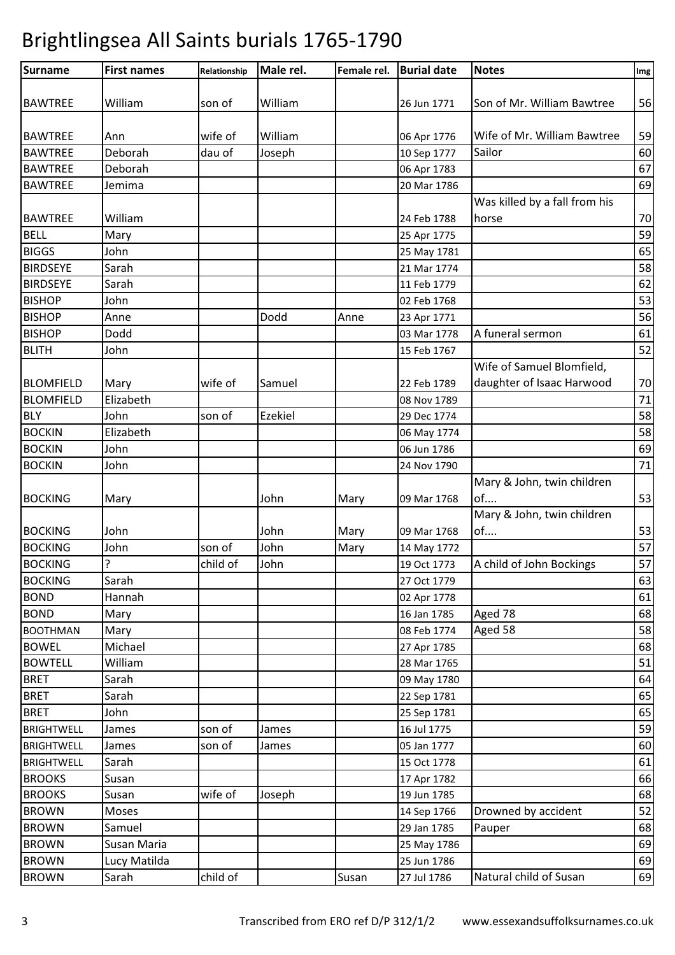| Surname           | <b>First names</b> | Relationship | Male rel. | Female rel. | <b>Burial date</b> | <b>Notes</b>                  | Img |
|-------------------|--------------------|--------------|-----------|-------------|--------------------|-------------------------------|-----|
|                   |                    |              |           |             |                    |                               |     |
| <b>BAWTREE</b>    | William            | son of       | William   |             | 26 Jun 1771        | Son of Mr. William Bawtree    | 56  |
| <b>BAWTREE</b>    |                    | wife of      | William   |             |                    | Wife of Mr. William Bawtree   | 59  |
| <b>BAWTREE</b>    | Ann<br>Deborah     | dau of       |           |             | 06 Apr 1776        | Sailor                        | 60  |
|                   |                    |              | Joseph    |             | 10 Sep 1777        |                               |     |
| <b>BAWTREE</b>    | Deborah            |              |           |             | 06 Apr 1783        |                               | 67  |
| <b>BAWTREE</b>    | Jemima             |              |           |             | 20 Mar 1786        |                               | 69  |
|                   | William            |              |           |             |                    | Was killed by a fall from his | 70  |
| <b>BAWTREE</b>    |                    |              |           |             | 24 Feb 1788        | horse                         |     |
| <b>BELL</b>       | Mary               |              |           |             | 25 Apr 1775        |                               | 59  |
| <b>BIGGS</b>      | John               |              |           |             | 25 May 1781        |                               | 65  |
| <b>BIRDSEYE</b>   | Sarah              |              |           |             | 21 Mar 1774        |                               | 58  |
| <b>BIRDSEYE</b>   | Sarah              |              |           |             | 11 Feb 1779        |                               | 62  |
| <b>BISHOP</b>     | John               |              |           |             | 02 Feb 1768        |                               | 53  |
| <b>BISHOP</b>     | Anne               |              | Dodd      | Anne        | 23 Apr 1771        |                               | 56  |
| <b>BISHOP</b>     | Dodd               |              |           |             | 03 Mar 1778        | A funeral sermon              | 61  |
| <b>BLITH</b>      | John               |              |           |             | 15 Feb 1767        |                               | 52  |
|                   |                    |              |           |             |                    | Wife of Samuel Blomfield,     |     |
| <b>BLOMFIELD</b>  | Mary               | wife of      | Samuel    |             | 22 Feb 1789        | daughter of Isaac Harwood     | 70  |
| <b>BLOMFIELD</b>  | Elizabeth          |              |           |             | 08 Nov 1789        |                               | 71  |
| <b>BLY</b>        | John               | son of       | Ezekiel   |             | 29 Dec 1774        |                               | 58  |
| <b>BOCKIN</b>     | Elizabeth          |              |           |             | 06 May 1774        |                               | 58  |
| <b>BOCKIN</b>     | John               |              |           |             | 06 Jun 1786        |                               | 69  |
| <b>BOCKIN</b>     | John               |              |           |             | 24 Nov 1790        |                               | 71  |
|                   |                    |              |           |             |                    | Mary & John, twin children    |     |
| <b>BOCKING</b>    | Mary               |              | John      | Mary        | 09 Mar 1768        | of                            | 53  |
|                   |                    |              |           |             |                    | Mary & John, twin children    |     |
| <b>BOCKING</b>    | John               |              | John      | Mary        | 09 Mar 1768        | of                            | 53  |
| <b>BOCKING</b>    | John               | son of       | John      | Mary        | 14 May 1772        |                               | 57  |
| <b>BOCKING</b>    | ?                  | child of     | John      |             | 19 Oct 1773        | A child of John Bockings      | 57  |
| <b>BOCKING</b>    | Sarah              |              |           |             | 27 Oct 1779        |                               | 63  |
| <b>BOND</b>       | Hannah             |              |           |             | 02 Apr 1778        |                               | 61  |
| <b>BOND</b>       | Mary               |              |           |             | 16 Jan 1785        | Aged 78                       | 68  |
| <b>BOOTHMAN</b>   | Mary               |              |           |             | 08 Feb 1774        | Aged 58                       | 58  |
| <b>BOWEL</b>      | Michael            |              |           |             | 27 Apr 1785        |                               | 68  |
| <b>BOWTELL</b>    | William            |              |           |             | 28 Mar 1765        |                               | 51  |
| <b>BRET</b>       | Sarah              |              |           |             | 09 May 1780        |                               | 64  |
| <b>BRET</b>       | Sarah              |              |           |             | 22 Sep 1781        |                               | 65  |
| <b>BRET</b>       | John               |              |           |             | 25 Sep 1781        |                               | 65  |
| <b>BRIGHTWELL</b> |                    | son of       |           |             | 16 Jul 1775        |                               | 59  |
| <b>BRIGHTWELL</b> | James              | son of       | James     |             | 05 Jan 1777        |                               | 60  |
|                   | James              |              | James     |             |                    |                               | 61  |
| <b>BRIGHTWELL</b> | Sarah              |              |           |             | 15 Oct 1778        |                               |     |
| <b>BROOKS</b>     | Susan              |              |           |             | 17 Apr 1782        |                               | 66  |
| <b>BROOKS</b>     | Susan              | wife of      | Joseph    |             | 19 Jun 1785        |                               | 68  |
| <b>BROWN</b>      | <b>Moses</b>       |              |           |             | 14 Sep 1766        | Drowned by accident           | 52  |
| <b>BROWN</b>      | Samuel             |              |           |             | 29 Jan 1785        | Pauper                        | 68  |
| <b>BROWN</b>      | Susan Maria        |              |           |             | 25 May 1786        |                               | 69  |
| <b>BROWN</b>      | Lucy Matilda       |              |           |             | 25 Jun 1786        |                               | 69  |
| <b>BROWN</b>      | Sarah              | child of     |           | Susan       | 27 Jul 1786        | Natural child of Susan        | 69  |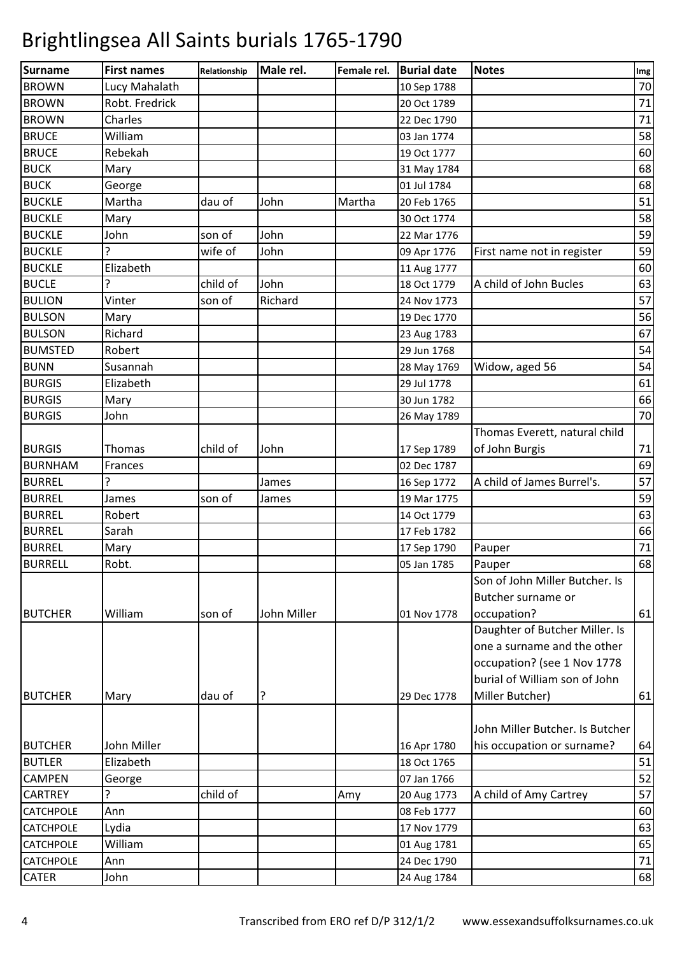| Surname          | <b>First names</b> | Relationship | Male rel.   | Female rel. | <b>Burial date</b> | <b>Notes</b>                    | Img |
|------------------|--------------------|--------------|-------------|-------------|--------------------|---------------------------------|-----|
| <b>BROWN</b>     | Lucy Mahalath      |              |             |             | 10 Sep 1788        |                                 | 70  |
| <b>BROWN</b>     | Robt. Fredrick     |              |             |             | 20 Oct 1789        |                                 | 71  |
| <b>BROWN</b>     | Charles            |              |             |             | 22 Dec 1790        |                                 | 71  |
| <b>BRUCE</b>     | William            |              |             |             | 03 Jan 1774        |                                 | 58  |
| <b>BRUCE</b>     | Rebekah            |              |             |             | 19 Oct 1777        |                                 | 60  |
| <b>BUCK</b>      | Mary               |              |             |             | 31 May 1784        |                                 | 68  |
| <b>BUCK</b>      | George             |              |             |             | 01 Jul 1784        |                                 | 68  |
| <b>BUCKLE</b>    | Martha             | dau of       | John        | Martha      | 20 Feb 1765        |                                 | 51  |
| <b>BUCKLE</b>    | Mary               |              |             |             | 30 Oct 1774        |                                 | 58  |
| <b>BUCKLE</b>    | John               | son of       | John        |             | 22 Mar 1776        |                                 | 59  |
| <b>BUCKLE</b>    |                    | wife of      | John        |             | 09 Apr 1776        | First name not in register      | 59  |
| <b>BUCKLE</b>    | Elizabeth          |              |             |             | 11 Aug 1777        |                                 | 60  |
| <b>BUCLE</b>     | 5.                 | child of     | John        |             | 18 Oct 1779        | A child of John Bucles          | 63  |
| <b>BULION</b>    | Vinter             | son of       | Richard     |             | 24 Nov 1773        |                                 | 57  |
| <b>BULSON</b>    | Mary               |              |             |             | 19 Dec 1770        |                                 | 56  |
| <b>BULSON</b>    | Richard            |              |             |             | 23 Aug 1783        |                                 | 67  |
| <b>BUMSTED</b>   | Robert             |              |             |             | 29 Jun 1768        |                                 | 54  |
| <b>BUNN</b>      | Susannah           |              |             |             | 28 May 1769        | Widow, aged 56                  | 54  |
| <b>BURGIS</b>    | Elizabeth          |              |             |             | 29 Jul 1778        |                                 | 61  |
| <b>BURGIS</b>    | Mary               |              |             |             | 30 Jun 1782        |                                 | 66  |
| <b>BURGIS</b>    | John               |              |             |             | 26 May 1789        |                                 | 70  |
|                  |                    |              |             |             |                    | Thomas Everett, natural child   |     |
| <b>BURGIS</b>    | Thomas             | child of     | John        |             | 17 Sep 1789        | of John Burgis                  | 71  |
| <b>BURNHAM</b>   | Frances            |              |             |             | 02 Dec 1787        |                                 | 69  |
| <b>BURREL</b>    | 5.                 |              | James       |             | 16 Sep 1772        | A child of James Burrel's.      | 57  |
| <b>BURREL</b>    | James              | son of       | James       |             | 19 Mar 1775        |                                 | 59  |
| <b>BURREL</b>    | Robert             |              |             |             | 14 Oct 1779        |                                 | 63  |
| <b>BURREL</b>    | Sarah              |              |             |             | 17 Feb 1782        |                                 | 66  |
| <b>BURREL</b>    | Mary               |              |             |             | 17 Sep 1790        | Pauper                          | 71  |
| <b>BURRELL</b>   | Robt.              |              |             |             | 05 Jan 1785        | Pauper                          | 68  |
|                  |                    |              |             |             |                    | Son of John Miller Butcher. Is  |     |
|                  |                    |              |             |             |                    | Butcher surname or              |     |
| <b>BUTCHER</b>   | William            | son of       | John Miller |             | 01 Nov 1778        | occupation?                     | 61  |
|                  |                    |              |             |             |                    | Daughter of Butcher Miller. Is  |     |
|                  |                    |              |             |             |                    | one a surname and the other     |     |
|                  |                    |              |             |             |                    | occupation? (see 1 Nov 1778     |     |
|                  |                    |              |             |             |                    | burial of William son of John   |     |
| <b>BUTCHER</b>   | Mary               | dau of       | ?           |             | 29 Dec 1778        | Miller Butcher)                 | 61  |
|                  |                    |              |             |             |                    |                                 |     |
|                  |                    |              |             |             |                    | John Miller Butcher. Is Butcher |     |
| <b>BUTCHER</b>   | John Miller        |              |             |             | 16 Apr 1780        | his occupation or surname?      | 64  |
| <b>BUTLER</b>    | Elizabeth          |              |             |             | 18 Oct 1765        |                                 | 51  |
| <b>CAMPEN</b>    | George             |              |             |             | 07 Jan 1766        |                                 | 52  |
| <b>CARTREY</b>   |                    | child of     |             | Amy         | 20 Aug 1773        | A child of Amy Cartrey          | 57  |
| <b>CATCHPOLE</b> | Ann                |              |             |             | 08 Feb 1777        |                                 | 60  |
| <b>CATCHPOLE</b> | Lydia              |              |             |             | 17 Nov 1779        |                                 | 63  |
| <b>CATCHPOLE</b> | William            |              |             |             | 01 Aug 1781        |                                 | 65  |
| <b>CATCHPOLE</b> | Ann                |              |             |             | 24 Dec 1790        |                                 | 71  |
| <b>CATER</b>     | John               |              |             |             | 24 Aug 1784        |                                 | 68  |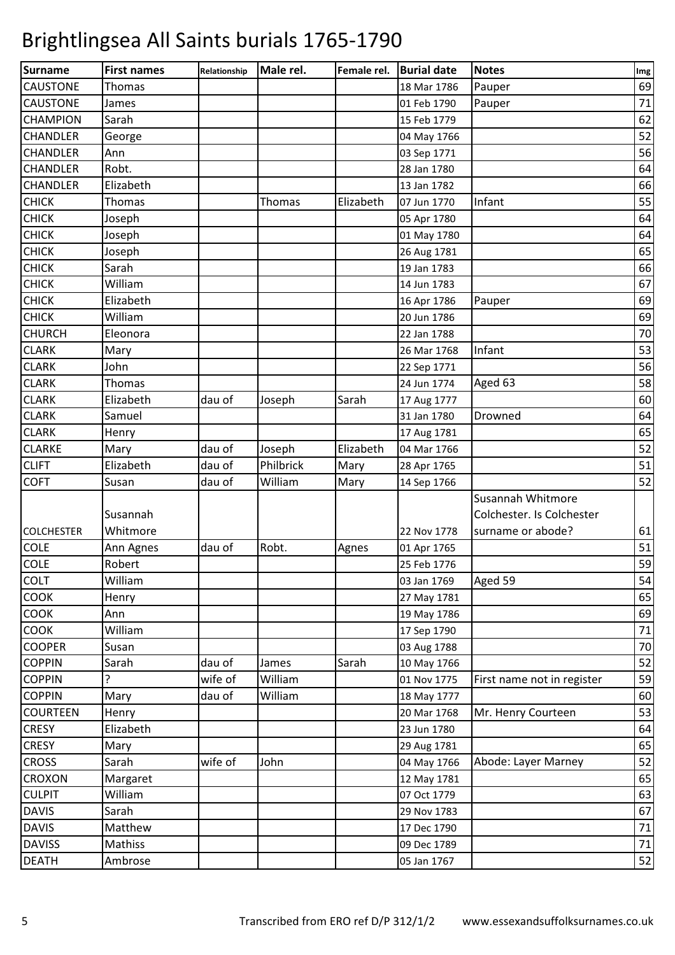| Surname           | <b>First names</b> | Relationship | Male rel. | Female rel. | <b>Burial date</b> | <b>Notes</b>               | Img |
|-------------------|--------------------|--------------|-----------|-------------|--------------------|----------------------------|-----|
| <b>CAUSTONE</b>   | Thomas             |              |           |             | 18 Mar 1786        | Pauper                     | 69  |
| <b>CAUSTONE</b>   | James              |              |           |             | 01 Feb 1790        | Pauper                     | 71  |
| <b>CHAMPION</b>   | Sarah              |              |           |             | 15 Feb 1779        |                            | 62  |
| <b>CHANDLER</b>   | George             |              |           |             | 04 May 1766        |                            | 52  |
| <b>CHANDLER</b>   | Ann                |              |           |             | 03 Sep 1771        |                            | 56  |
| <b>CHANDLER</b>   | Robt.              |              |           |             | 28 Jan 1780        |                            | 64  |
| <b>CHANDLER</b>   | Elizabeth          |              |           |             | 13 Jan 1782        |                            | 66  |
| <b>CHICK</b>      | Thomas             |              | Thomas    | Elizabeth   | 07 Jun 1770        | Infant                     | 55  |
| <b>CHICK</b>      | Joseph             |              |           |             | 05 Apr 1780        |                            | 64  |
| <b>CHICK</b>      | Joseph             |              |           |             | 01 May 1780        |                            | 64  |
| <b>CHICK</b>      | Joseph             |              |           |             | 26 Aug 1781        |                            | 65  |
| <b>CHICK</b>      | Sarah              |              |           |             | 19 Jan 1783        |                            | 66  |
| <b>CHICK</b>      | William            |              |           |             | 14 Jun 1783        |                            | 67  |
| <b>CHICK</b>      | Elizabeth          |              |           |             | 16 Apr 1786        | Pauper                     | 69  |
| <b>CHICK</b>      | William            |              |           |             | 20 Jun 1786        |                            | 69  |
| <b>CHURCH</b>     | Eleonora           |              |           |             | 22 Jan 1788        |                            | 70  |
| <b>CLARK</b>      | Mary               |              |           |             | 26 Mar 1768        | Infant                     | 53  |
| <b>CLARK</b>      | John               |              |           |             | 22 Sep 1771        |                            | 56  |
| <b>CLARK</b>      | Thomas             |              |           |             | 24 Jun 1774        | Aged 63                    | 58  |
| <b>CLARK</b>      | Elizabeth          | dau of       | Joseph    | Sarah       | 17 Aug 1777        |                            | 60  |
| <b>CLARK</b>      | Samuel             |              |           |             | 31 Jan 1780        | Drowned                    | 64  |
| <b>CLARK</b>      | Henry              |              |           |             | 17 Aug 1781        |                            | 65  |
| <b>CLARKE</b>     | Mary               | dau of       | Joseph    | Elizabeth   | 04 Mar 1766        |                            | 52  |
| <b>CLIFT</b>      | Elizabeth          | dau of       | Philbrick | Mary        | 28 Apr 1765        |                            | 51  |
| <b>COFT</b>       | Susan              | dau of       | William   | Mary        | 14 Sep 1766        |                            | 52  |
|                   |                    |              |           |             |                    | Susannah Whitmore          |     |
|                   | Susannah           |              |           |             |                    | Colchester. Is Colchester  |     |
| <b>COLCHESTER</b> | Whitmore           |              |           |             | 22 Nov 1778        | surname or abode?          | 61  |
| <b>COLE</b>       | Ann Agnes          | dau of       | Robt.     | Agnes       | 01 Apr 1765        |                            | 51  |
| <b>COLE</b>       | Robert             |              |           |             | 25 Feb 1776        |                            | 59  |
| <b>COLT</b>       | William            |              |           |             | 03 Jan 1769        | Aged 59                    | 54  |
| COOK              | Henry              |              |           |             | 27 May 1781        |                            | 65  |
| <b>COOK</b>       | Ann                |              |           |             | 19 May 1786        |                            | 69  |
| COOK              | William            |              |           |             | 17 Sep 1790        |                            | 71  |
| <b>COOPER</b>     | Susan              |              |           |             | 03 Aug 1788        |                            | 70  |
| <b>COPPIN</b>     | Sarah              | dau of       | James     | Sarah       | 10 May 1766        |                            | 52  |
| <b>COPPIN</b>     | ?                  | wife of      | William   |             | 01 Nov 1775        | First name not in register | 59  |
| <b>COPPIN</b>     | Mary               | dau of       | William   |             | 18 May 1777        |                            | 60  |
| <b>COURTEEN</b>   | Henry              |              |           |             | 20 Mar 1768        | Mr. Henry Courteen         | 53  |
| <b>CRESY</b>      | Elizabeth          |              |           |             | 23 Jun 1780        |                            | 64  |
| <b>CRESY</b>      | Mary               |              |           |             | 29 Aug 1781        |                            | 65  |
| <b>CROSS</b>      | Sarah              | wife of      | John      |             | 04 May 1766        | Abode: Layer Marney        | 52  |
| <b>CROXON</b>     | Margaret           |              |           |             | 12 May 1781        |                            | 65  |
| <b>CULPIT</b>     | William            |              |           |             | 07 Oct 1779        |                            | 63  |
| <b>DAVIS</b>      | Sarah              |              |           |             | 29 Nov 1783        |                            | 67  |
| <b>DAVIS</b>      | Matthew            |              |           |             | 17 Dec 1790        |                            | 71  |
| <b>DAVISS</b>     | Mathiss            |              |           |             | 09 Dec 1789        |                            | 71  |
| <b>DEATH</b>      | Ambrose            |              |           |             | 05 Jan 1767        |                            | 52  |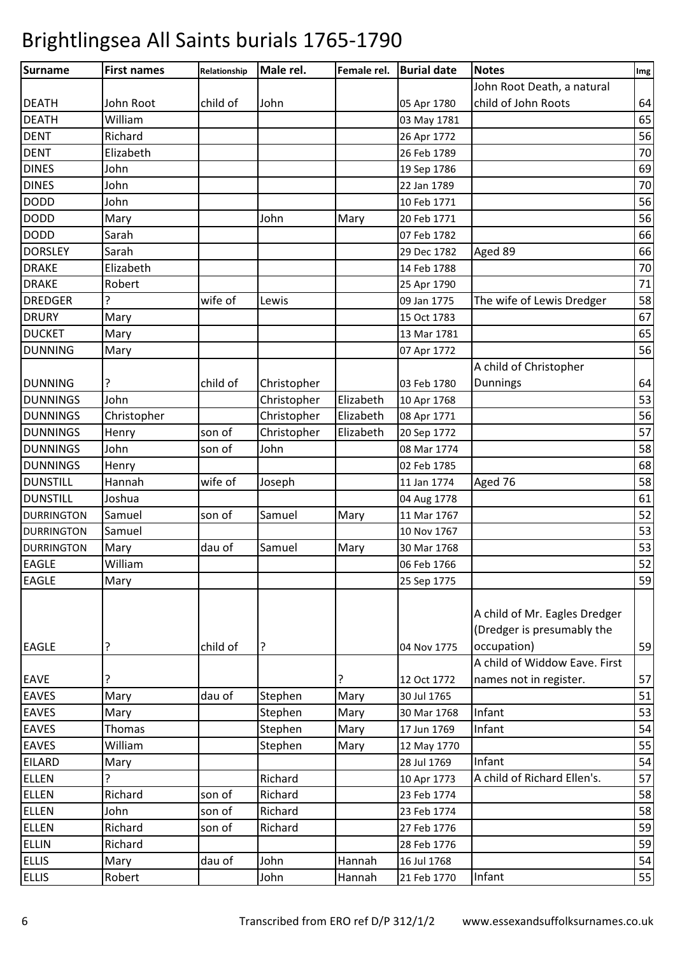| John Root Death, a natural<br>child of John Roots<br>64<br>John Root<br>child of<br>John<br>05 Apr 1780<br>William<br>65<br>03 May 1781<br>56<br>Richard<br>26 Apr 1772<br>Elizabeth<br>70<br>26 Feb 1789<br>69<br>John<br>19 Sep 1786<br>70<br>John<br>22 Jan 1789<br>56<br>John<br>10 Feb 1771<br>56<br>John<br>Mary<br>Mary<br>20 Feb 1771<br>66<br>Sarah<br>07 Feb 1782<br><b>DORSLEY</b><br>66<br>Sarah<br>Aged 89<br>29 Dec 1782<br>Elizabeth<br>70<br>14 Feb 1788<br>71<br>Robert<br>25 Apr 1790<br>58<br>wife of<br>The wife of Lewis Dredger<br>Lewis<br>09 Jan 1775<br>67<br>Mary<br>15 Oct 1783<br>65<br>Mary<br>13 Mar 1781<br><b>DUNNING</b><br>56<br>Mary<br>07 Apr 1772<br>A child of Christopher<br>64<br><b>Dunnings</b><br><b>DUNNING</b><br>child of<br>Christopher<br>03 Feb 1780<br>53<br><b>DUNNINGS</b><br>John<br>Christopher<br>Elizabeth<br>10 Apr 1768<br>56<br><b>DUNNINGS</b><br>Christopher<br>Elizabeth<br>Christopher<br>08 Apr 1771<br>57<br>Elizabeth<br><b>DUNNINGS</b><br>Christopher<br>Henry<br>son of<br>20 Sep 1772<br>58<br>John<br><b>DUNNINGS</b><br>John<br>son of<br>08 Mar 1774<br>68<br><b>DUNNINGS</b><br>Henry<br>02 Feb 1785<br>58<br>wife of<br><b>DUNSTILL</b><br>Hannah<br>Aged 76<br>Joseph<br>11 Jan 1774<br><b>DUNSTILL</b><br>Joshua<br>61<br>04 Aug 1778<br>52<br>Samuel<br>son of<br>11 Mar 1767<br>Samuel<br>Mary<br><b>DURRINGTON</b><br>53<br><b>DURRINGTON</b><br>Samuel<br>10 Nov 1767<br>53<br>dau of<br>Samuel<br>Mary<br>Mary<br>30 Mar 1768<br><b>DURRINGTON</b><br>52<br><b>EAGLE</b><br>William<br>06 Feb 1766<br><b>EAGLE</b><br>59<br>Mary<br>25 Sep 1775<br>A child of Mr. Eagles Dredger<br>(Dredger is presumably the<br>59<br>?<br>child of<br>?<br>occupation)<br>04 Nov 1775<br>A child of Widdow Eave. First<br>?<br>57<br>12 Oct 1772<br>names not in register.<br>Mary<br>dau of<br>Mary<br>51<br>Stephen<br>30 Jul 1765<br>53<br>Mary<br>Infant<br>Mary<br>Stephen<br>30 Mar 1768<br>54<br>Stephen<br>Mary<br>Infant<br>Thomas<br>17 Jun 1769<br>55<br>William<br>Stephen<br>Mary<br>12 May 1770<br>Infant<br>54<br>28 Jul 1769<br>Mary<br>ς<br>Richard<br>A child of Richard Ellen's.<br>57<br>10 Apr 1773<br>Richard<br>son of<br>Richard<br>58<br>23 Feb 1774<br>58<br>John<br>Richard<br>son of<br>23 Feb 1774<br>59<br>Richard<br>Richard<br>son of<br>27 Feb 1776<br><b>ELLIN</b><br>59<br>Richard<br>28 Feb 1776<br>54<br>dau of<br>John<br>Mary<br>Hannah<br>16 Jul 1768<br>Infant<br>55<br>Robert<br>John<br>Hannah<br>21 Feb 1770 | <b>Surname</b> | <b>First names</b> | Relationship | Male rel. | Female rel. | <b>Burial date</b> | <b>Notes</b> | Img |
|-------------------------------------------------------------------------------------------------------------------------------------------------------------------------------------------------------------------------------------------------------------------------------------------------------------------------------------------------------------------------------------------------------------------------------------------------------------------------------------------------------------------------------------------------------------------------------------------------------------------------------------------------------------------------------------------------------------------------------------------------------------------------------------------------------------------------------------------------------------------------------------------------------------------------------------------------------------------------------------------------------------------------------------------------------------------------------------------------------------------------------------------------------------------------------------------------------------------------------------------------------------------------------------------------------------------------------------------------------------------------------------------------------------------------------------------------------------------------------------------------------------------------------------------------------------------------------------------------------------------------------------------------------------------------------------------------------------------------------------------------------------------------------------------------------------------------------------------------------------------------------------------------------------------------------------------------------------------------------------------------------------------------------------------------------------------------------------------------------------------------------------------------------------------------------------------------------------------------------------------------------------------------------------------------------------------------------------------------------------------------------------------------------------------------------------------------------------------------------------------------------------------------------|----------------|--------------------|--------------|-----------|-------------|--------------------|--------------|-----|
|                                                                                                                                                                                                                                                                                                                                                                                                                                                                                                                                                                                                                                                                                                                                                                                                                                                                                                                                                                                                                                                                                                                                                                                                                                                                                                                                                                                                                                                                                                                                                                                                                                                                                                                                                                                                                                                                                                                                                                                                                                                                                                                                                                                                                                                                                                                                                                                                                                                                                                                               |                |                    |              |           |             |                    |              |     |
|                                                                                                                                                                                                                                                                                                                                                                                                                                                                                                                                                                                                                                                                                                                                                                                                                                                                                                                                                                                                                                                                                                                                                                                                                                                                                                                                                                                                                                                                                                                                                                                                                                                                                                                                                                                                                                                                                                                                                                                                                                                                                                                                                                                                                                                                                                                                                                                                                                                                                                                               | <b>DEATH</b>   |                    |              |           |             |                    |              |     |
|                                                                                                                                                                                                                                                                                                                                                                                                                                                                                                                                                                                                                                                                                                                                                                                                                                                                                                                                                                                                                                                                                                                                                                                                                                                                                                                                                                                                                                                                                                                                                                                                                                                                                                                                                                                                                                                                                                                                                                                                                                                                                                                                                                                                                                                                                                                                                                                                                                                                                                                               | <b>DEATH</b>   |                    |              |           |             |                    |              |     |
|                                                                                                                                                                                                                                                                                                                                                                                                                                                                                                                                                                                                                                                                                                                                                                                                                                                                                                                                                                                                                                                                                                                                                                                                                                                                                                                                                                                                                                                                                                                                                                                                                                                                                                                                                                                                                                                                                                                                                                                                                                                                                                                                                                                                                                                                                                                                                                                                                                                                                                                               | <b>DENT</b>    |                    |              |           |             |                    |              |     |
|                                                                                                                                                                                                                                                                                                                                                                                                                                                                                                                                                                                                                                                                                                                                                                                                                                                                                                                                                                                                                                                                                                                                                                                                                                                                                                                                                                                                                                                                                                                                                                                                                                                                                                                                                                                                                                                                                                                                                                                                                                                                                                                                                                                                                                                                                                                                                                                                                                                                                                                               | <b>DENT</b>    |                    |              |           |             |                    |              |     |
|                                                                                                                                                                                                                                                                                                                                                                                                                                                                                                                                                                                                                                                                                                                                                                                                                                                                                                                                                                                                                                                                                                                                                                                                                                                                                                                                                                                                                                                                                                                                                                                                                                                                                                                                                                                                                                                                                                                                                                                                                                                                                                                                                                                                                                                                                                                                                                                                                                                                                                                               | <b>DINES</b>   |                    |              |           |             |                    |              |     |
|                                                                                                                                                                                                                                                                                                                                                                                                                                                                                                                                                                                                                                                                                                                                                                                                                                                                                                                                                                                                                                                                                                                                                                                                                                                                                                                                                                                                                                                                                                                                                                                                                                                                                                                                                                                                                                                                                                                                                                                                                                                                                                                                                                                                                                                                                                                                                                                                                                                                                                                               | <b>DINES</b>   |                    |              |           |             |                    |              |     |
|                                                                                                                                                                                                                                                                                                                                                                                                                                                                                                                                                                                                                                                                                                                                                                                                                                                                                                                                                                                                                                                                                                                                                                                                                                                                                                                                                                                                                                                                                                                                                                                                                                                                                                                                                                                                                                                                                                                                                                                                                                                                                                                                                                                                                                                                                                                                                                                                                                                                                                                               | <b>DODD</b>    |                    |              |           |             |                    |              |     |
|                                                                                                                                                                                                                                                                                                                                                                                                                                                                                                                                                                                                                                                                                                                                                                                                                                                                                                                                                                                                                                                                                                                                                                                                                                                                                                                                                                                                                                                                                                                                                                                                                                                                                                                                                                                                                                                                                                                                                                                                                                                                                                                                                                                                                                                                                                                                                                                                                                                                                                                               | <b>DODD</b>    |                    |              |           |             |                    |              |     |
|                                                                                                                                                                                                                                                                                                                                                                                                                                                                                                                                                                                                                                                                                                                                                                                                                                                                                                                                                                                                                                                                                                                                                                                                                                                                                                                                                                                                                                                                                                                                                                                                                                                                                                                                                                                                                                                                                                                                                                                                                                                                                                                                                                                                                                                                                                                                                                                                                                                                                                                               | <b>DODD</b>    |                    |              |           |             |                    |              |     |
|                                                                                                                                                                                                                                                                                                                                                                                                                                                                                                                                                                                                                                                                                                                                                                                                                                                                                                                                                                                                                                                                                                                                                                                                                                                                                                                                                                                                                                                                                                                                                                                                                                                                                                                                                                                                                                                                                                                                                                                                                                                                                                                                                                                                                                                                                                                                                                                                                                                                                                                               |                |                    |              |           |             |                    |              |     |
|                                                                                                                                                                                                                                                                                                                                                                                                                                                                                                                                                                                                                                                                                                                                                                                                                                                                                                                                                                                                                                                                                                                                                                                                                                                                                                                                                                                                                                                                                                                                                                                                                                                                                                                                                                                                                                                                                                                                                                                                                                                                                                                                                                                                                                                                                                                                                                                                                                                                                                                               | <b>DRAKE</b>   |                    |              |           |             |                    |              |     |
|                                                                                                                                                                                                                                                                                                                                                                                                                                                                                                                                                                                                                                                                                                                                                                                                                                                                                                                                                                                                                                                                                                                                                                                                                                                                                                                                                                                                                                                                                                                                                                                                                                                                                                                                                                                                                                                                                                                                                                                                                                                                                                                                                                                                                                                                                                                                                                                                                                                                                                                               | <b>DRAKE</b>   |                    |              |           |             |                    |              |     |
|                                                                                                                                                                                                                                                                                                                                                                                                                                                                                                                                                                                                                                                                                                                                                                                                                                                                                                                                                                                                                                                                                                                                                                                                                                                                                                                                                                                                                                                                                                                                                                                                                                                                                                                                                                                                                                                                                                                                                                                                                                                                                                                                                                                                                                                                                                                                                                                                                                                                                                                               | <b>DREDGER</b> |                    |              |           |             |                    |              |     |
|                                                                                                                                                                                                                                                                                                                                                                                                                                                                                                                                                                                                                                                                                                                                                                                                                                                                                                                                                                                                                                                                                                                                                                                                                                                                                                                                                                                                                                                                                                                                                                                                                                                                                                                                                                                                                                                                                                                                                                                                                                                                                                                                                                                                                                                                                                                                                                                                                                                                                                                               | <b>DRURY</b>   |                    |              |           |             |                    |              |     |
|                                                                                                                                                                                                                                                                                                                                                                                                                                                                                                                                                                                                                                                                                                                                                                                                                                                                                                                                                                                                                                                                                                                                                                                                                                                                                                                                                                                                                                                                                                                                                                                                                                                                                                                                                                                                                                                                                                                                                                                                                                                                                                                                                                                                                                                                                                                                                                                                                                                                                                                               | <b>DUCKET</b>  |                    |              |           |             |                    |              |     |
|                                                                                                                                                                                                                                                                                                                                                                                                                                                                                                                                                                                                                                                                                                                                                                                                                                                                                                                                                                                                                                                                                                                                                                                                                                                                                                                                                                                                                                                                                                                                                                                                                                                                                                                                                                                                                                                                                                                                                                                                                                                                                                                                                                                                                                                                                                                                                                                                                                                                                                                               |                |                    |              |           |             |                    |              |     |
|                                                                                                                                                                                                                                                                                                                                                                                                                                                                                                                                                                                                                                                                                                                                                                                                                                                                                                                                                                                                                                                                                                                                                                                                                                                                                                                                                                                                                                                                                                                                                                                                                                                                                                                                                                                                                                                                                                                                                                                                                                                                                                                                                                                                                                                                                                                                                                                                                                                                                                                               |                |                    |              |           |             |                    |              |     |
|                                                                                                                                                                                                                                                                                                                                                                                                                                                                                                                                                                                                                                                                                                                                                                                                                                                                                                                                                                                                                                                                                                                                                                                                                                                                                                                                                                                                                                                                                                                                                                                                                                                                                                                                                                                                                                                                                                                                                                                                                                                                                                                                                                                                                                                                                                                                                                                                                                                                                                                               |                |                    |              |           |             |                    |              |     |
|                                                                                                                                                                                                                                                                                                                                                                                                                                                                                                                                                                                                                                                                                                                                                                                                                                                                                                                                                                                                                                                                                                                                                                                                                                                                                                                                                                                                                                                                                                                                                                                                                                                                                                                                                                                                                                                                                                                                                                                                                                                                                                                                                                                                                                                                                                                                                                                                                                                                                                                               |                |                    |              |           |             |                    |              |     |
|                                                                                                                                                                                                                                                                                                                                                                                                                                                                                                                                                                                                                                                                                                                                                                                                                                                                                                                                                                                                                                                                                                                                                                                                                                                                                                                                                                                                                                                                                                                                                                                                                                                                                                                                                                                                                                                                                                                                                                                                                                                                                                                                                                                                                                                                                                                                                                                                                                                                                                                               |                |                    |              |           |             |                    |              |     |
|                                                                                                                                                                                                                                                                                                                                                                                                                                                                                                                                                                                                                                                                                                                                                                                                                                                                                                                                                                                                                                                                                                                                                                                                                                                                                                                                                                                                                                                                                                                                                                                                                                                                                                                                                                                                                                                                                                                                                                                                                                                                                                                                                                                                                                                                                                                                                                                                                                                                                                                               |                |                    |              |           |             |                    |              |     |
|                                                                                                                                                                                                                                                                                                                                                                                                                                                                                                                                                                                                                                                                                                                                                                                                                                                                                                                                                                                                                                                                                                                                                                                                                                                                                                                                                                                                                                                                                                                                                                                                                                                                                                                                                                                                                                                                                                                                                                                                                                                                                                                                                                                                                                                                                                                                                                                                                                                                                                                               |                |                    |              |           |             |                    |              |     |
|                                                                                                                                                                                                                                                                                                                                                                                                                                                                                                                                                                                                                                                                                                                                                                                                                                                                                                                                                                                                                                                                                                                                                                                                                                                                                                                                                                                                                                                                                                                                                                                                                                                                                                                                                                                                                                                                                                                                                                                                                                                                                                                                                                                                                                                                                                                                                                                                                                                                                                                               |                |                    |              |           |             |                    |              |     |
|                                                                                                                                                                                                                                                                                                                                                                                                                                                                                                                                                                                                                                                                                                                                                                                                                                                                                                                                                                                                                                                                                                                                                                                                                                                                                                                                                                                                                                                                                                                                                                                                                                                                                                                                                                                                                                                                                                                                                                                                                                                                                                                                                                                                                                                                                                                                                                                                                                                                                                                               |                |                    |              |           |             |                    |              |     |
|                                                                                                                                                                                                                                                                                                                                                                                                                                                                                                                                                                                                                                                                                                                                                                                                                                                                                                                                                                                                                                                                                                                                                                                                                                                                                                                                                                                                                                                                                                                                                                                                                                                                                                                                                                                                                                                                                                                                                                                                                                                                                                                                                                                                                                                                                                                                                                                                                                                                                                                               |                |                    |              |           |             |                    |              |     |
|                                                                                                                                                                                                                                                                                                                                                                                                                                                                                                                                                                                                                                                                                                                                                                                                                                                                                                                                                                                                                                                                                                                                                                                                                                                                                                                                                                                                                                                                                                                                                                                                                                                                                                                                                                                                                                                                                                                                                                                                                                                                                                                                                                                                                                                                                                                                                                                                                                                                                                                               |                |                    |              |           |             |                    |              |     |
|                                                                                                                                                                                                                                                                                                                                                                                                                                                                                                                                                                                                                                                                                                                                                                                                                                                                                                                                                                                                                                                                                                                                                                                                                                                                                                                                                                                                                                                                                                                                                                                                                                                                                                                                                                                                                                                                                                                                                                                                                                                                                                                                                                                                                                                                                                                                                                                                                                                                                                                               |                |                    |              |           |             |                    |              |     |
|                                                                                                                                                                                                                                                                                                                                                                                                                                                                                                                                                                                                                                                                                                                                                                                                                                                                                                                                                                                                                                                                                                                                                                                                                                                                                                                                                                                                                                                                                                                                                                                                                                                                                                                                                                                                                                                                                                                                                                                                                                                                                                                                                                                                                                                                                                                                                                                                                                                                                                                               |                |                    |              |           |             |                    |              |     |
|                                                                                                                                                                                                                                                                                                                                                                                                                                                                                                                                                                                                                                                                                                                                                                                                                                                                                                                                                                                                                                                                                                                                                                                                                                                                                                                                                                                                                                                                                                                                                                                                                                                                                                                                                                                                                                                                                                                                                                                                                                                                                                                                                                                                                                                                                                                                                                                                                                                                                                                               |                |                    |              |           |             |                    |              |     |
|                                                                                                                                                                                                                                                                                                                                                                                                                                                                                                                                                                                                                                                                                                                                                                                                                                                                                                                                                                                                                                                                                                                                                                                                                                                                                                                                                                                                                                                                                                                                                                                                                                                                                                                                                                                                                                                                                                                                                                                                                                                                                                                                                                                                                                                                                                                                                                                                                                                                                                                               |                |                    |              |           |             |                    |              |     |
|                                                                                                                                                                                                                                                                                                                                                                                                                                                                                                                                                                                                                                                                                                                                                                                                                                                                                                                                                                                                                                                                                                                                                                                                                                                                                                                                                                                                                                                                                                                                                                                                                                                                                                                                                                                                                                                                                                                                                                                                                                                                                                                                                                                                                                                                                                                                                                                                                                                                                                                               | <b>EAGLE</b>   |                    |              |           |             |                    |              |     |
|                                                                                                                                                                                                                                                                                                                                                                                                                                                                                                                                                                                                                                                                                                                                                                                                                                                                                                                                                                                                                                                                                                                                                                                                                                                                                                                                                                                                                                                                                                                                                                                                                                                                                                                                                                                                                                                                                                                                                                                                                                                                                                                                                                                                                                                                                                                                                                                                                                                                                                                               | <b>EAVE</b>    |                    |              |           |             |                    |              |     |
|                                                                                                                                                                                                                                                                                                                                                                                                                                                                                                                                                                                                                                                                                                                                                                                                                                                                                                                                                                                                                                                                                                                                                                                                                                                                                                                                                                                                                                                                                                                                                                                                                                                                                                                                                                                                                                                                                                                                                                                                                                                                                                                                                                                                                                                                                                                                                                                                                                                                                                                               | <b>EAVES</b>   |                    |              |           |             |                    |              |     |
|                                                                                                                                                                                                                                                                                                                                                                                                                                                                                                                                                                                                                                                                                                                                                                                                                                                                                                                                                                                                                                                                                                                                                                                                                                                                                                                                                                                                                                                                                                                                                                                                                                                                                                                                                                                                                                                                                                                                                                                                                                                                                                                                                                                                                                                                                                                                                                                                                                                                                                                               | <b>EAVES</b>   |                    |              |           |             |                    |              |     |
|                                                                                                                                                                                                                                                                                                                                                                                                                                                                                                                                                                                                                                                                                                                                                                                                                                                                                                                                                                                                                                                                                                                                                                                                                                                                                                                                                                                                                                                                                                                                                                                                                                                                                                                                                                                                                                                                                                                                                                                                                                                                                                                                                                                                                                                                                                                                                                                                                                                                                                                               | <b>EAVES</b>   |                    |              |           |             |                    |              |     |
|                                                                                                                                                                                                                                                                                                                                                                                                                                                                                                                                                                                                                                                                                                                                                                                                                                                                                                                                                                                                                                                                                                                                                                                                                                                                                                                                                                                                                                                                                                                                                                                                                                                                                                                                                                                                                                                                                                                                                                                                                                                                                                                                                                                                                                                                                                                                                                                                                                                                                                                               | <b>EAVES</b>   |                    |              |           |             |                    |              |     |
|                                                                                                                                                                                                                                                                                                                                                                                                                                                                                                                                                                                                                                                                                                                                                                                                                                                                                                                                                                                                                                                                                                                                                                                                                                                                                                                                                                                                                                                                                                                                                                                                                                                                                                                                                                                                                                                                                                                                                                                                                                                                                                                                                                                                                                                                                                                                                                                                                                                                                                                               | <b>EILARD</b>  |                    |              |           |             |                    |              |     |
|                                                                                                                                                                                                                                                                                                                                                                                                                                                                                                                                                                                                                                                                                                                                                                                                                                                                                                                                                                                                                                                                                                                                                                                                                                                                                                                                                                                                                                                                                                                                                                                                                                                                                                                                                                                                                                                                                                                                                                                                                                                                                                                                                                                                                                                                                                                                                                                                                                                                                                                               | <b>ELLEN</b>   |                    |              |           |             |                    |              |     |
|                                                                                                                                                                                                                                                                                                                                                                                                                                                                                                                                                                                                                                                                                                                                                                                                                                                                                                                                                                                                                                                                                                                                                                                                                                                                                                                                                                                                                                                                                                                                                                                                                                                                                                                                                                                                                                                                                                                                                                                                                                                                                                                                                                                                                                                                                                                                                                                                                                                                                                                               | <b>ELLEN</b>   |                    |              |           |             |                    |              |     |
|                                                                                                                                                                                                                                                                                                                                                                                                                                                                                                                                                                                                                                                                                                                                                                                                                                                                                                                                                                                                                                                                                                                                                                                                                                                                                                                                                                                                                                                                                                                                                                                                                                                                                                                                                                                                                                                                                                                                                                                                                                                                                                                                                                                                                                                                                                                                                                                                                                                                                                                               | <b>ELLEN</b>   |                    |              |           |             |                    |              |     |
|                                                                                                                                                                                                                                                                                                                                                                                                                                                                                                                                                                                                                                                                                                                                                                                                                                                                                                                                                                                                                                                                                                                                                                                                                                                                                                                                                                                                                                                                                                                                                                                                                                                                                                                                                                                                                                                                                                                                                                                                                                                                                                                                                                                                                                                                                                                                                                                                                                                                                                                               | <b>ELLEN</b>   |                    |              |           |             |                    |              |     |
|                                                                                                                                                                                                                                                                                                                                                                                                                                                                                                                                                                                                                                                                                                                                                                                                                                                                                                                                                                                                                                                                                                                                                                                                                                                                                                                                                                                                                                                                                                                                                                                                                                                                                                                                                                                                                                                                                                                                                                                                                                                                                                                                                                                                                                                                                                                                                                                                                                                                                                                               |                |                    |              |           |             |                    |              |     |
|                                                                                                                                                                                                                                                                                                                                                                                                                                                                                                                                                                                                                                                                                                                                                                                                                                                                                                                                                                                                                                                                                                                                                                                                                                                                                                                                                                                                                                                                                                                                                                                                                                                                                                                                                                                                                                                                                                                                                                                                                                                                                                                                                                                                                                                                                                                                                                                                                                                                                                                               | <b>ELLIS</b>   |                    |              |           |             |                    |              |     |
|                                                                                                                                                                                                                                                                                                                                                                                                                                                                                                                                                                                                                                                                                                                                                                                                                                                                                                                                                                                                                                                                                                                                                                                                                                                                                                                                                                                                                                                                                                                                                                                                                                                                                                                                                                                                                                                                                                                                                                                                                                                                                                                                                                                                                                                                                                                                                                                                                                                                                                                               | <b>ELLIS</b>   |                    |              |           |             |                    |              |     |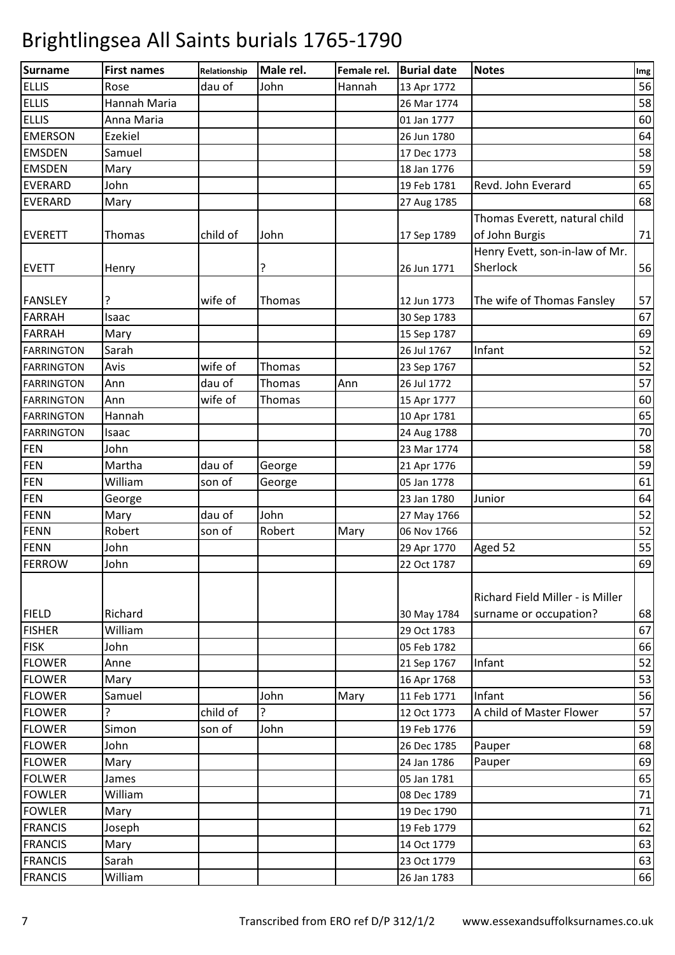| 56<br>dau of<br>John<br>Hannah<br>Rose<br>13 Apr 1772<br>58<br>Hannah Maria<br>26 Mar 1774<br>60<br>Anna Maria<br>01 Jan 1777<br>64<br>Ezekiel<br>26 Jun 1780<br>58<br>Samuel<br>17 Dec 1773<br>59<br>Mary<br>18 Jan 1776<br>65<br>John<br>19 Feb 1781<br>Revd. John Everard<br>27 Aug 1785<br>Mary<br>Thomas Everett, natural child<br>child of<br>of John Burgis<br>Thomas<br>John<br>17 Sep 1789<br>Henry Evett, son-in-law of Mr.<br>?<br>Sherlock<br>26 Jun 1771<br>Henry<br>wife of<br>The wife of Thomas Fansley<br>?<br>Thomas<br>12 Jun 1773<br>30 Sep 1783<br>Isaac<br>Mary<br>15 Sep 1787<br>Infant<br>Sarah<br>26 Jul 1767<br>wife of<br>Avis<br>Thomas<br>23 Sep 1767<br>dau of<br>Thomas<br>Ann<br>26 Jul 1772<br>Ann<br>wife of<br>Ann<br>Thomas<br>15 Apr 1777<br>Hannah<br>10 Apr 1781<br>24 Aug 1788<br><b>FARRINGTON</b><br>Isaac<br><b>FEN</b><br>John<br>23 Mar 1774<br>Martha<br>dau of<br>George<br>21 Apr 1776<br><b>FEN</b><br>William<br>son of<br>05 Jan 1778<br>George<br><b>FEN</b><br>Junior<br>George<br>23 Jan 1780<br>John<br>dau of<br>Mary<br>27 May 1766<br>Robert<br>Robert<br>son of<br>Mary<br>06 Nov 1766<br>John<br>Aged 52<br>29 Apr 1770<br><b>FERROW</b><br>John<br>22 Oct 1787<br>Richard Field Miller - is Miller<br>Richard<br>surname or occupation?<br>30 May 1784<br>William<br>29 Oct 1783<br>John<br>05 Feb 1782<br>Infant<br>Anne<br>21 Sep 1767<br>Mary<br>16 Apr 1768<br>Infant<br>John<br>Samuel<br>Mary<br>11 Feb 1771<br>5.<br>5.<br>child of<br>A child of Master Flower<br>12 Oct 1773<br>John<br>Simon<br>son of<br>19 Feb 1776<br>John<br>Pauper<br>26 Dec 1785<br>Mary<br>24 Jan 1786<br>Pauper<br>05 Jan 1781<br>James<br>William<br>08 Dec 1789<br>Mary<br>19 Dec 1790<br>Joseph<br>19 Feb 1779<br>Mary<br>14 Oct 1779<br>Sarah<br>23 Oct 1779<br>William<br>26 Jan 1783 | Surname           | <b>First names</b> | Relationship | Male rel. | Female rel. | <b>Burial date</b> | <b>Notes</b> | Img |
|-------------------------------------------------------------------------------------------------------------------------------------------------------------------------------------------------------------------------------------------------------------------------------------------------------------------------------------------------------------------------------------------------------------------------------------------------------------------------------------------------------------------------------------------------------------------------------------------------------------------------------------------------------------------------------------------------------------------------------------------------------------------------------------------------------------------------------------------------------------------------------------------------------------------------------------------------------------------------------------------------------------------------------------------------------------------------------------------------------------------------------------------------------------------------------------------------------------------------------------------------------------------------------------------------------------------------------------------------------------------------------------------------------------------------------------------------------------------------------------------------------------------------------------------------------------------------------------------------------------------------------------------------------------------------------------------------------------------------------------------------------------------------------------------------------------------------------------------|-------------------|--------------------|--------------|-----------|-------------|--------------------|--------------|-----|
|                                                                                                                                                                                                                                                                                                                                                                                                                                                                                                                                                                                                                                                                                                                                                                                                                                                                                                                                                                                                                                                                                                                                                                                                                                                                                                                                                                                                                                                                                                                                                                                                                                                                                                                                                                                                                                           | <b>ELLIS</b>      |                    |              |           |             |                    |              |     |
|                                                                                                                                                                                                                                                                                                                                                                                                                                                                                                                                                                                                                                                                                                                                                                                                                                                                                                                                                                                                                                                                                                                                                                                                                                                                                                                                                                                                                                                                                                                                                                                                                                                                                                                                                                                                                                           | <b>ELLIS</b>      |                    |              |           |             |                    |              |     |
|                                                                                                                                                                                                                                                                                                                                                                                                                                                                                                                                                                                                                                                                                                                                                                                                                                                                                                                                                                                                                                                                                                                                                                                                                                                                                                                                                                                                                                                                                                                                                                                                                                                                                                                                                                                                                                           | <b>ELLIS</b>      |                    |              |           |             |                    |              |     |
|                                                                                                                                                                                                                                                                                                                                                                                                                                                                                                                                                                                                                                                                                                                                                                                                                                                                                                                                                                                                                                                                                                                                                                                                                                                                                                                                                                                                                                                                                                                                                                                                                                                                                                                                                                                                                                           | <b>EMERSON</b>    |                    |              |           |             |                    |              |     |
|                                                                                                                                                                                                                                                                                                                                                                                                                                                                                                                                                                                                                                                                                                                                                                                                                                                                                                                                                                                                                                                                                                                                                                                                                                                                                                                                                                                                                                                                                                                                                                                                                                                                                                                                                                                                                                           | <b>EMSDEN</b>     |                    |              |           |             |                    |              |     |
|                                                                                                                                                                                                                                                                                                                                                                                                                                                                                                                                                                                                                                                                                                                                                                                                                                                                                                                                                                                                                                                                                                                                                                                                                                                                                                                                                                                                                                                                                                                                                                                                                                                                                                                                                                                                                                           | <b>EMSDEN</b>     |                    |              |           |             |                    |              |     |
|                                                                                                                                                                                                                                                                                                                                                                                                                                                                                                                                                                                                                                                                                                                                                                                                                                                                                                                                                                                                                                                                                                                                                                                                                                                                                                                                                                                                                                                                                                                                                                                                                                                                                                                                                                                                                                           | <b>EVERARD</b>    |                    |              |           |             |                    |              |     |
| 71<br>56<br>57<br>67<br>69<br>52<br>52<br>57<br>60<br>65<br>70<br>58<br>59<br>61<br>64<br>52<br>52<br>55<br>69<br>68<br>67<br>66<br>52<br>53<br>56<br>57<br>59<br>68<br>69<br>65<br>71<br>71<br>62<br>63<br>63<br>66                                                                                                                                                                                                                                                                                                                                                                                                                                                                                                                                                                                                                                                                                                                                                                                                                                                                                                                                                                                                                                                                                                                                                                                                                                                                                                                                                                                                                                                                                                                                                                                                                      | <b>EVERARD</b>    |                    |              |           |             |                    |              | 68  |
|                                                                                                                                                                                                                                                                                                                                                                                                                                                                                                                                                                                                                                                                                                                                                                                                                                                                                                                                                                                                                                                                                                                                                                                                                                                                                                                                                                                                                                                                                                                                                                                                                                                                                                                                                                                                                                           |                   |                    |              |           |             |                    |              |     |
|                                                                                                                                                                                                                                                                                                                                                                                                                                                                                                                                                                                                                                                                                                                                                                                                                                                                                                                                                                                                                                                                                                                                                                                                                                                                                                                                                                                                                                                                                                                                                                                                                                                                                                                                                                                                                                           | <b>EVERETT</b>    |                    |              |           |             |                    |              |     |
|                                                                                                                                                                                                                                                                                                                                                                                                                                                                                                                                                                                                                                                                                                                                                                                                                                                                                                                                                                                                                                                                                                                                                                                                                                                                                                                                                                                                                                                                                                                                                                                                                                                                                                                                                                                                                                           |                   |                    |              |           |             |                    |              |     |
|                                                                                                                                                                                                                                                                                                                                                                                                                                                                                                                                                                                                                                                                                                                                                                                                                                                                                                                                                                                                                                                                                                                                                                                                                                                                                                                                                                                                                                                                                                                                                                                                                                                                                                                                                                                                                                           | <b>EVETT</b>      |                    |              |           |             |                    |              |     |
|                                                                                                                                                                                                                                                                                                                                                                                                                                                                                                                                                                                                                                                                                                                                                                                                                                                                                                                                                                                                                                                                                                                                                                                                                                                                                                                                                                                                                                                                                                                                                                                                                                                                                                                                                                                                                                           |                   |                    |              |           |             |                    |              |     |
|                                                                                                                                                                                                                                                                                                                                                                                                                                                                                                                                                                                                                                                                                                                                                                                                                                                                                                                                                                                                                                                                                                                                                                                                                                                                                                                                                                                                                                                                                                                                                                                                                                                                                                                                                                                                                                           | <b>FANSLEY</b>    |                    |              |           |             |                    |              |     |
|                                                                                                                                                                                                                                                                                                                                                                                                                                                                                                                                                                                                                                                                                                                                                                                                                                                                                                                                                                                                                                                                                                                                                                                                                                                                                                                                                                                                                                                                                                                                                                                                                                                                                                                                                                                                                                           | <b>FARRAH</b>     |                    |              |           |             |                    |              |     |
|                                                                                                                                                                                                                                                                                                                                                                                                                                                                                                                                                                                                                                                                                                                                                                                                                                                                                                                                                                                                                                                                                                                                                                                                                                                                                                                                                                                                                                                                                                                                                                                                                                                                                                                                                                                                                                           | <b>FARRAH</b>     |                    |              |           |             |                    |              |     |
|                                                                                                                                                                                                                                                                                                                                                                                                                                                                                                                                                                                                                                                                                                                                                                                                                                                                                                                                                                                                                                                                                                                                                                                                                                                                                                                                                                                                                                                                                                                                                                                                                                                                                                                                                                                                                                           | <b>FARRINGTON</b> |                    |              |           |             |                    |              |     |
|                                                                                                                                                                                                                                                                                                                                                                                                                                                                                                                                                                                                                                                                                                                                                                                                                                                                                                                                                                                                                                                                                                                                                                                                                                                                                                                                                                                                                                                                                                                                                                                                                                                                                                                                                                                                                                           | <b>FARRINGTON</b> |                    |              |           |             |                    |              |     |
|                                                                                                                                                                                                                                                                                                                                                                                                                                                                                                                                                                                                                                                                                                                                                                                                                                                                                                                                                                                                                                                                                                                                                                                                                                                                                                                                                                                                                                                                                                                                                                                                                                                                                                                                                                                                                                           | <b>FARRINGTON</b> |                    |              |           |             |                    |              |     |
|                                                                                                                                                                                                                                                                                                                                                                                                                                                                                                                                                                                                                                                                                                                                                                                                                                                                                                                                                                                                                                                                                                                                                                                                                                                                                                                                                                                                                                                                                                                                                                                                                                                                                                                                                                                                                                           | <b>FARRINGTON</b> |                    |              |           |             |                    |              |     |
|                                                                                                                                                                                                                                                                                                                                                                                                                                                                                                                                                                                                                                                                                                                                                                                                                                                                                                                                                                                                                                                                                                                                                                                                                                                                                                                                                                                                                                                                                                                                                                                                                                                                                                                                                                                                                                           | <b>FARRINGTON</b> |                    |              |           |             |                    |              |     |
|                                                                                                                                                                                                                                                                                                                                                                                                                                                                                                                                                                                                                                                                                                                                                                                                                                                                                                                                                                                                                                                                                                                                                                                                                                                                                                                                                                                                                                                                                                                                                                                                                                                                                                                                                                                                                                           |                   |                    |              |           |             |                    |              |     |
|                                                                                                                                                                                                                                                                                                                                                                                                                                                                                                                                                                                                                                                                                                                                                                                                                                                                                                                                                                                                                                                                                                                                                                                                                                                                                                                                                                                                                                                                                                                                                                                                                                                                                                                                                                                                                                           |                   |                    |              |           |             |                    |              |     |
|                                                                                                                                                                                                                                                                                                                                                                                                                                                                                                                                                                                                                                                                                                                                                                                                                                                                                                                                                                                                                                                                                                                                                                                                                                                                                                                                                                                                                                                                                                                                                                                                                                                                                                                                                                                                                                           | <b>FEN</b>        |                    |              |           |             |                    |              |     |
|                                                                                                                                                                                                                                                                                                                                                                                                                                                                                                                                                                                                                                                                                                                                                                                                                                                                                                                                                                                                                                                                                                                                                                                                                                                                                                                                                                                                                                                                                                                                                                                                                                                                                                                                                                                                                                           |                   |                    |              |           |             |                    |              |     |
|                                                                                                                                                                                                                                                                                                                                                                                                                                                                                                                                                                                                                                                                                                                                                                                                                                                                                                                                                                                                                                                                                                                                                                                                                                                                                                                                                                                                                                                                                                                                                                                                                                                                                                                                                                                                                                           |                   |                    |              |           |             |                    |              |     |
|                                                                                                                                                                                                                                                                                                                                                                                                                                                                                                                                                                                                                                                                                                                                                                                                                                                                                                                                                                                                                                                                                                                                                                                                                                                                                                                                                                                                                                                                                                                                                                                                                                                                                                                                                                                                                                           | <b>FENN</b>       |                    |              |           |             |                    |              |     |
|                                                                                                                                                                                                                                                                                                                                                                                                                                                                                                                                                                                                                                                                                                                                                                                                                                                                                                                                                                                                                                                                                                                                                                                                                                                                                                                                                                                                                                                                                                                                                                                                                                                                                                                                                                                                                                           | <b>FENN</b>       |                    |              |           |             |                    |              |     |
|                                                                                                                                                                                                                                                                                                                                                                                                                                                                                                                                                                                                                                                                                                                                                                                                                                                                                                                                                                                                                                                                                                                                                                                                                                                                                                                                                                                                                                                                                                                                                                                                                                                                                                                                                                                                                                           | <b>FENN</b>       |                    |              |           |             |                    |              |     |
|                                                                                                                                                                                                                                                                                                                                                                                                                                                                                                                                                                                                                                                                                                                                                                                                                                                                                                                                                                                                                                                                                                                                                                                                                                                                                                                                                                                                                                                                                                                                                                                                                                                                                                                                                                                                                                           |                   |                    |              |           |             |                    |              |     |
|                                                                                                                                                                                                                                                                                                                                                                                                                                                                                                                                                                                                                                                                                                                                                                                                                                                                                                                                                                                                                                                                                                                                                                                                                                                                                                                                                                                                                                                                                                                                                                                                                                                                                                                                                                                                                                           | <b>FIELD</b>      |                    |              |           |             |                    |              |     |
|                                                                                                                                                                                                                                                                                                                                                                                                                                                                                                                                                                                                                                                                                                                                                                                                                                                                                                                                                                                                                                                                                                                                                                                                                                                                                                                                                                                                                                                                                                                                                                                                                                                                                                                                                                                                                                           | <b>FISHER</b>     |                    |              |           |             |                    |              |     |
|                                                                                                                                                                                                                                                                                                                                                                                                                                                                                                                                                                                                                                                                                                                                                                                                                                                                                                                                                                                                                                                                                                                                                                                                                                                                                                                                                                                                                                                                                                                                                                                                                                                                                                                                                                                                                                           | <b>FISK</b>       |                    |              |           |             |                    |              |     |
|                                                                                                                                                                                                                                                                                                                                                                                                                                                                                                                                                                                                                                                                                                                                                                                                                                                                                                                                                                                                                                                                                                                                                                                                                                                                                                                                                                                                                                                                                                                                                                                                                                                                                                                                                                                                                                           | <b>FLOWER</b>     |                    |              |           |             |                    |              |     |
|                                                                                                                                                                                                                                                                                                                                                                                                                                                                                                                                                                                                                                                                                                                                                                                                                                                                                                                                                                                                                                                                                                                                                                                                                                                                                                                                                                                                                                                                                                                                                                                                                                                                                                                                                                                                                                           | <b>FLOWER</b>     |                    |              |           |             |                    |              |     |
|                                                                                                                                                                                                                                                                                                                                                                                                                                                                                                                                                                                                                                                                                                                                                                                                                                                                                                                                                                                                                                                                                                                                                                                                                                                                                                                                                                                                                                                                                                                                                                                                                                                                                                                                                                                                                                           | <b>FLOWER</b>     |                    |              |           |             |                    |              |     |
|                                                                                                                                                                                                                                                                                                                                                                                                                                                                                                                                                                                                                                                                                                                                                                                                                                                                                                                                                                                                                                                                                                                                                                                                                                                                                                                                                                                                                                                                                                                                                                                                                                                                                                                                                                                                                                           | <b>FLOWER</b>     |                    |              |           |             |                    |              |     |
|                                                                                                                                                                                                                                                                                                                                                                                                                                                                                                                                                                                                                                                                                                                                                                                                                                                                                                                                                                                                                                                                                                                                                                                                                                                                                                                                                                                                                                                                                                                                                                                                                                                                                                                                                                                                                                           | <b>FLOWER</b>     |                    |              |           |             |                    |              |     |
|                                                                                                                                                                                                                                                                                                                                                                                                                                                                                                                                                                                                                                                                                                                                                                                                                                                                                                                                                                                                                                                                                                                                                                                                                                                                                                                                                                                                                                                                                                                                                                                                                                                                                                                                                                                                                                           | <b>FLOWER</b>     |                    |              |           |             |                    |              |     |
|                                                                                                                                                                                                                                                                                                                                                                                                                                                                                                                                                                                                                                                                                                                                                                                                                                                                                                                                                                                                                                                                                                                                                                                                                                                                                                                                                                                                                                                                                                                                                                                                                                                                                                                                                                                                                                           | <b>FLOWER</b>     |                    |              |           |             |                    |              |     |
|                                                                                                                                                                                                                                                                                                                                                                                                                                                                                                                                                                                                                                                                                                                                                                                                                                                                                                                                                                                                                                                                                                                                                                                                                                                                                                                                                                                                                                                                                                                                                                                                                                                                                                                                                                                                                                           | <b>FOLWER</b>     |                    |              |           |             |                    |              |     |
|                                                                                                                                                                                                                                                                                                                                                                                                                                                                                                                                                                                                                                                                                                                                                                                                                                                                                                                                                                                                                                                                                                                                                                                                                                                                                                                                                                                                                                                                                                                                                                                                                                                                                                                                                                                                                                           | <b>FOWLER</b>     |                    |              |           |             |                    |              |     |
|                                                                                                                                                                                                                                                                                                                                                                                                                                                                                                                                                                                                                                                                                                                                                                                                                                                                                                                                                                                                                                                                                                                                                                                                                                                                                                                                                                                                                                                                                                                                                                                                                                                                                                                                                                                                                                           | <b>FOWLER</b>     |                    |              |           |             |                    |              |     |
|                                                                                                                                                                                                                                                                                                                                                                                                                                                                                                                                                                                                                                                                                                                                                                                                                                                                                                                                                                                                                                                                                                                                                                                                                                                                                                                                                                                                                                                                                                                                                                                                                                                                                                                                                                                                                                           | <b>FRANCIS</b>    |                    |              |           |             |                    |              |     |
|                                                                                                                                                                                                                                                                                                                                                                                                                                                                                                                                                                                                                                                                                                                                                                                                                                                                                                                                                                                                                                                                                                                                                                                                                                                                                                                                                                                                                                                                                                                                                                                                                                                                                                                                                                                                                                           | <b>FRANCIS</b>    |                    |              |           |             |                    |              |     |
|                                                                                                                                                                                                                                                                                                                                                                                                                                                                                                                                                                                                                                                                                                                                                                                                                                                                                                                                                                                                                                                                                                                                                                                                                                                                                                                                                                                                                                                                                                                                                                                                                                                                                                                                                                                                                                           | <b>FRANCIS</b>    |                    |              |           |             |                    |              |     |
|                                                                                                                                                                                                                                                                                                                                                                                                                                                                                                                                                                                                                                                                                                                                                                                                                                                                                                                                                                                                                                                                                                                                                                                                                                                                                                                                                                                                                                                                                                                                                                                                                                                                                                                                                                                                                                           | <b>FRANCIS</b>    |                    |              |           |             |                    |              |     |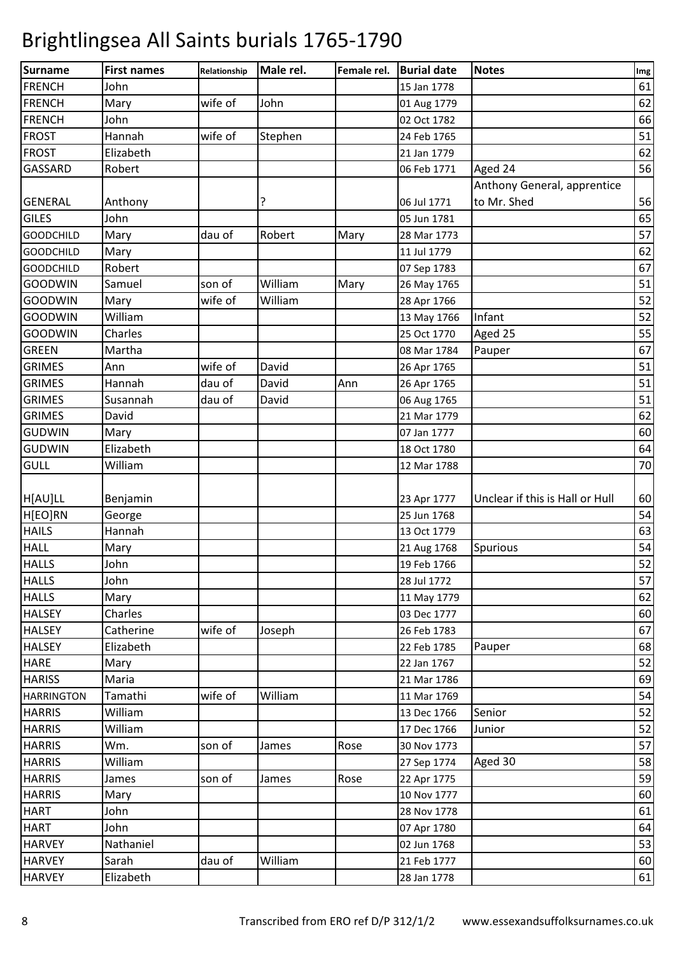| Surname           | <b>First names</b> | Relationship | Male rel. | Female rel. | <b>Burial date</b> | <b>Notes</b>                    | Img |
|-------------------|--------------------|--------------|-----------|-------------|--------------------|---------------------------------|-----|
| <b>FRENCH</b>     | John               |              |           |             | 15 Jan 1778        |                                 | 61  |
| <b>FRENCH</b>     | Mary               | wife of      | John      |             | 01 Aug 1779        |                                 | 62  |
| <b>FRENCH</b>     | John               |              |           |             | 02 Oct 1782        |                                 | 66  |
| <b>FROST</b>      | Hannah             | wife of      | Stephen   |             | 24 Feb 1765        |                                 | 51  |
| <b>FROST</b>      | Elizabeth          |              |           |             | 21 Jan 1779        |                                 | 62  |
| <b>GASSARD</b>    | Robert             |              |           |             | 06 Feb 1771        | Aged 24                         | 56  |
|                   |                    |              |           |             |                    | Anthony General, apprentice     |     |
| <b>GENERAL</b>    | Anthony            |              | ?         |             | 06 Jul 1771        | to Mr. Shed                     | 56  |
| <b>GILES</b>      | John               |              |           |             | 05 Jun 1781        |                                 | 65  |
| <b>GOODCHILD</b>  | Mary               | dau of       | Robert    | Mary        | 28 Mar 1773        |                                 | 57  |
| <b>GOODCHILD</b>  | Mary               |              |           |             | 11 Jul 1779        |                                 | 62  |
| <b>GOODCHILD</b>  | Robert             |              |           |             | 07 Sep 1783        |                                 | 67  |
| <b>GOODWIN</b>    | Samuel             | son of       | William   | Mary        | 26 May 1765        |                                 | 51  |
| <b>GOODWIN</b>    | Mary               | wife of      | William   |             | 28 Apr 1766        |                                 | 52  |
| <b>GOODWIN</b>    | William            |              |           |             | 13 May 1766        | Infant                          | 52  |
| <b>GOODWIN</b>    | Charles            |              |           |             | 25 Oct 1770        | Aged 25                         | 55  |
| <b>GREEN</b>      | Martha             |              |           |             | 08 Mar 1784        | Pauper                          | 67  |
| <b>GRIMES</b>     | Ann                | wife of      | David     |             | 26 Apr 1765        |                                 | 51  |
| <b>GRIMES</b>     | Hannah             | dau of       | David     | Ann         | 26 Apr 1765        |                                 | 51  |
| <b>GRIMES</b>     | Susannah           | dau of       | David     |             | 06 Aug 1765        |                                 | 51  |
| <b>GRIMES</b>     | David              |              |           |             | 21 Mar 1779        |                                 | 62  |
| <b>GUDWIN</b>     | Mary               |              |           |             | 07 Jan 1777        |                                 | 60  |
| <b>GUDWIN</b>     | Elizabeth          |              |           |             | 18 Oct 1780        |                                 | 64  |
| <b>GULL</b>       | William            |              |           |             | 12 Mar 1788        |                                 | 70  |
|                   |                    |              |           |             |                    |                                 |     |
| H[AU]LL           | Benjamin           |              |           |             | 23 Apr 1777        | Unclear if this is Hall or Hull | 60  |
| H[EO]RN           | George             |              |           |             | 25 Jun 1768        |                                 | 54  |
| <b>HAILS</b>      | Hannah             |              |           |             | 13 Oct 1779        |                                 | 63  |
| <b>HALL</b>       | Mary               |              |           |             | 21 Aug 1768        | Spurious                        | 54  |
| <b>HALLS</b>      | John               |              |           |             | 19 Feb 1766        |                                 | 52  |
| <b>HALLS</b>      | John               |              |           |             | 28 Jul 1772        |                                 | 57  |
| <b>HALLS</b>      | Mary               |              |           |             | 11 May 1779        |                                 | 62  |
| <b>HALSEY</b>     | Charles            |              |           |             | 03 Dec 1777        |                                 | 60  |
| <b>HALSEY</b>     | Catherine          | wife of      | Joseph    |             | 26 Feb 1783        |                                 | 67  |
| <b>HALSEY</b>     | Elizabeth          |              |           |             | 22 Feb 1785        | Pauper                          | 68  |
| <b>HARE</b>       | Mary               |              |           |             | 22 Jan 1767        |                                 | 52  |
| <b>HARISS</b>     | Maria              |              |           |             | 21 Mar 1786        |                                 | 69  |
| <b>HARRINGTON</b> | Tamathi            | wife of      | William   |             | 11 Mar 1769        |                                 | 54  |
| <b>HARRIS</b>     | William            |              |           |             | 13 Dec 1766        | Senior                          | 52  |
| <b>HARRIS</b>     | William            |              |           |             | 17 Dec 1766        | Junior                          | 52  |
| <b>HARRIS</b>     | Wm.                | son of       | James     | Rose        | 30 Nov 1773        |                                 | 57  |
| <b>HARRIS</b>     | William            |              |           |             | 27 Sep 1774        | Aged 30                         | 58  |
| <b>HARRIS</b>     | James              | son of       | James     | Rose        | 22 Apr 1775        |                                 | 59  |
| <b>HARRIS</b>     | Mary               |              |           |             | 10 Nov 1777        |                                 | 60  |
| <b>HART</b>       | John               |              |           |             | 28 Nov 1778        |                                 | 61  |
| <b>HART</b>       | John               |              |           |             | 07 Apr 1780        |                                 | 64  |
| <b>HARVEY</b>     | Nathaniel          |              |           |             | 02 Jun 1768        |                                 | 53  |
| <b>HARVEY</b>     | Sarah              | dau of       | William   |             | 21 Feb 1777        |                                 | 60  |
| <b>HARVEY</b>     | Elizabeth          |              |           |             | 28 Jan 1778        |                                 | 61  |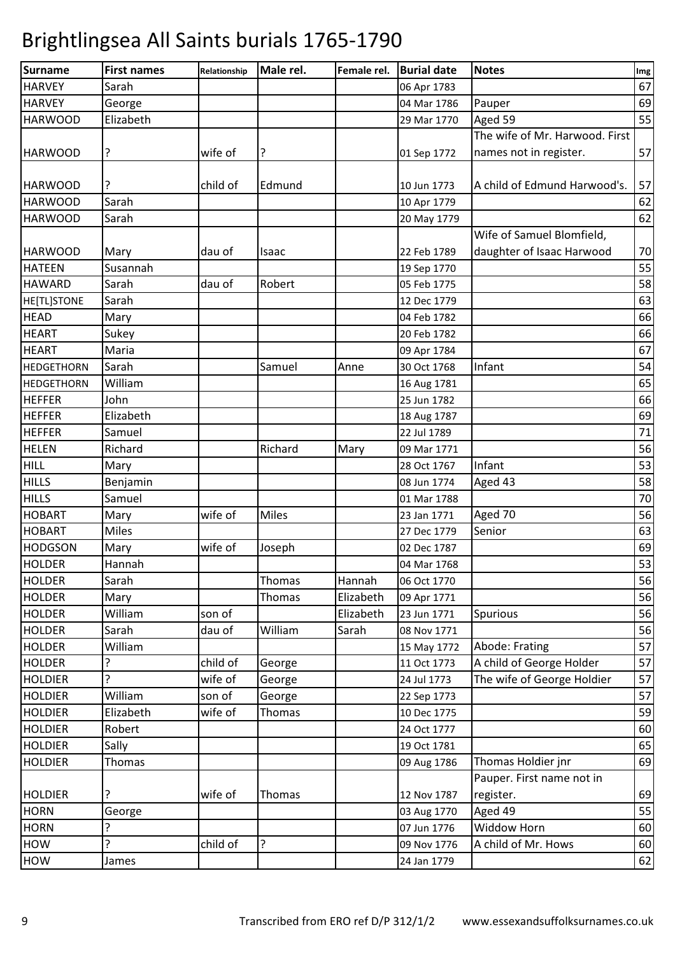| <b>Surname</b>     | <b>First names</b> | Relationship | Male rel.    | Female rel. | <b>Burial date</b> | <b>Notes</b>                   | Img |
|--------------------|--------------------|--------------|--------------|-------------|--------------------|--------------------------------|-----|
| <b>HARVEY</b>      | Sarah              |              |              |             | 06 Apr 1783        |                                | 67  |
| <b>HARVEY</b>      | George             |              |              |             | 04 Mar 1786        | Pauper                         | 69  |
| <b>HARWOOD</b>     | Elizabeth          |              |              |             | 29 Mar 1770        | Aged 59                        | 55  |
|                    |                    |              |              |             |                    | The wife of Mr. Harwood. First |     |
| <b>HARWOOD</b>     | ?                  | wife of      | ?            |             | 01 Sep 1772        | names not in register.         | 57  |
|                    |                    |              |              |             |                    |                                |     |
| <b>HARWOOD</b>     | ?                  | child of     | Edmund       |             | 10 Jun 1773        | A child of Edmund Harwood's.   | 57  |
| <b>HARWOOD</b>     | Sarah              |              |              |             | 10 Apr 1779        |                                | 62  |
| <b>HARWOOD</b>     | Sarah              |              |              |             | 20 May 1779        |                                | 62  |
|                    |                    |              |              |             |                    | Wife of Samuel Blomfield,      |     |
| <b>HARWOOD</b>     | Mary               | dau of       | Isaac        |             | 22 Feb 1789        | daughter of Isaac Harwood      | 70  |
| <b>HATEEN</b>      | Susannah           |              |              |             | 19 Sep 1770        |                                | 55  |
| <b>HAWARD</b>      | Sarah              | dau of       | Robert       |             | 05 Feb 1775        |                                | 58  |
| <b>HE[TL]STONE</b> | Sarah              |              |              |             | 12 Dec 1779        |                                | 63  |
| <b>HEAD</b>        | Mary               |              |              |             | 04 Feb 1782        |                                | 66  |
| <b>HEART</b>       | Sukey              |              |              |             | 20 Feb 1782        |                                | 66  |
| <b>HEART</b>       | Maria              |              |              |             | 09 Apr 1784        |                                | 67  |
| <b>HEDGETHORN</b>  | Sarah              |              | Samuel       | Anne        | 30 Oct 1768        | Infant                         | 54  |
| <b>HEDGETHORN</b>  | William            |              |              |             | 16 Aug 1781        |                                | 65  |
| <b>HEFFER</b>      | John               |              |              |             | 25 Jun 1782        |                                | 66  |
| <b>HEFFER</b>      | Elizabeth          |              |              |             | 18 Aug 1787        |                                | 69  |
| <b>HEFFER</b>      | Samuel             |              |              |             | 22 Jul 1789        |                                | 71  |
| <b>HELEN</b>       | Richard            |              | Richard      | Mary        | 09 Mar 1771        |                                | 56  |
| <b>HILL</b>        | Mary               |              |              |             | 28 Oct 1767        | Infant                         | 53  |
| <b>HILLS</b>       | Benjamin           |              |              |             | 08 Jun 1774        | Aged 43                        | 58  |
| <b>HILLS</b>       | Samuel             |              |              |             | 01 Mar 1788        |                                | 70  |
| <b>HOBART</b>      | Mary               | wife of      | <b>Miles</b> |             | 23 Jan 1771        | Aged 70                        | 56  |
| <b>HOBART</b>      | Miles              |              |              |             | 27 Dec 1779        | Senior                         | 63  |
| <b>HODGSON</b>     | Mary               | wife of      | Joseph       |             | 02 Dec 1787        |                                | 69  |
| <b>HOLDER</b>      | Hannah             |              |              |             | 04 Mar 1768        |                                | 53  |
| <b>HOLDER</b>      | Sarah              |              | Thomas       | Hannah      | 06 Oct 1770        |                                | 56  |
| <b>HOLDER</b>      | Mary               |              | Thomas       | Elizabeth   | 09 Apr 1771        |                                | 56  |
| <b>HOLDER</b>      | William            | son of       |              | Elizabeth   | 23 Jun 1771        | Spurious                       | 56  |
| <b>HOLDER</b>      | Sarah              | dau of       | William      | Sarah       | 08 Nov 1771        |                                | 56  |
| <b>HOLDER</b>      | William            |              |              |             | 15 May 1772        | Abode: Frating                 | 57  |
| <b>HOLDER</b>      |                    | child of     | George       |             | 11 Oct 1773        | A child of George Holder       | 57  |
| <b>HOLDIER</b>     | 5.                 | wife of      | George       |             | 24 Jul 1773        | The wife of George Holdier     | 57  |
| <b>HOLDIER</b>     | William            | son of       | George       |             | 22 Sep 1773        |                                | 57  |
| <b>HOLDIER</b>     | Elizabeth          | wife of      | Thomas       |             | 10 Dec 1775        |                                | 59  |
| <b>HOLDIER</b>     | Robert             |              |              |             | 24 Oct 1777        |                                | 60  |
| <b>HOLDIER</b>     | Sally              |              |              |             | 19 Oct 1781        |                                | 65  |
| <b>HOLDIER</b>     | Thomas             |              |              |             | 09 Aug 1786        | Thomas Holdier jnr             | 69  |
|                    |                    |              |              |             |                    | Pauper. First name not in      |     |
| <b>HOLDIER</b>     | ς                  | wife of      | Thomas       |             | 12 Nov 1787        | register.                      | 69  |
| <b>HORN</b>        | George             |              |              |             | 03 Aug 1770        | Aged 49                        | 55  |
| <b>HORN</b>        | 5.                 |              |              |             | 07 Jun 1776        | <b>Widdow Horn</b>             | 60  |
| HOW                | <sup>2</sup>       | child of     | ?            |             | 09 Nov 1776        | A child of Mr. Hows            | 60  |
| HOW                | James              |              |              |             | 24 Jan 1779        |                                | 62  |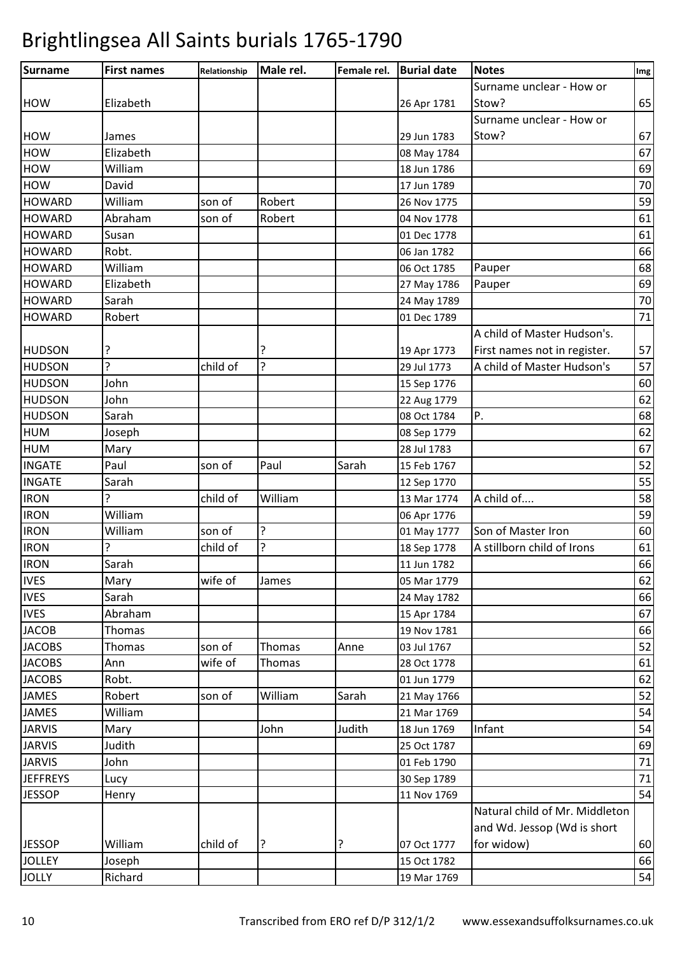| Surname unclear - How or<br>65<br>Elizabeth<br>Stow?<br>26 Apr 1781<br>Surname unclear - How or<br>Stow?<br>67<br>29 Jun 1783<br>James<br>Elizabeth<br>67<br>08 May 1784<br>William<br>69<br>18 Jun 1786<br>70<br>David<br>17 Jun 1789<br>59<br>William<br>Robert<br>son of<br>26 Nov 1775<br>61<br>Abraham<br>son of<br>Robert<br>04 Nov 1778<br>61<br>Susan<br>01 Dec 1778<br>Robt.<br>66<br>06 Jan 1782<br>William<br>68<br>06 Oct 1785<br>Pauper<br>69<br>Elizabeth<br>27 May 1786<br>Pauper<br>Sarah<br>70<br>24 May 1789<br>71<br>Robert<br>01 Dec 1789<br>A child of Master Hudson's.<br>57<br>?<br>?<br>First names not in register.<br>19 Apr 1773<br><sup>2</sup><br>?<br>57<br>child of<br>A child of Master Hudson's<br>29 Jul 1773<br>John<br>60<br>15 Sep 1776<br>62<br>John<br>22 Aug 1779<br>Sarah<br>Ρ.<br>68<br>08 Oct 1784<br>62<br>Joseph<br>08 Sep 1779<br>67<br>Mary<br>28 Jul 1783<br>52<br>Paul<br>Paul<br>Sarah<br>son of<br>15 Feb 1767<br>55<br>Sarah<br>12 Sep 1770<br>A child of<br>58<br>ς<br>child of<br>William<br>13 Mar 1774<br>William<br>59<br>06 Apr 1776<br>?<br>William<br>60<br>Son of Master Iron<br>son of<br>01 May 1777<br>?<br>A stillborn child of Irons<br>5.<br>child of<br>61<br>18 Sep 1778<br>66<br>Sarah<br>11 Jun 1782<br>62<br>Mary<br>wife of<br>05 Mar 1779<br>James<br>Sarah<br>24 May 1782<br>66<br>67<br>Abraham<br>15 Apr 1784<br>66<br>Thomas<br>19 Nov 1781<br>52<br>Thomas<br>son of<br>Thomas<br>Anne<br>03 Jul 1767<br>61<br>wife of<br>Ann<br>Thomas<br>28 Oct 1778<br>62<br>Robt.<br>01 Jun 1779<br>Robert<br>William<br>Sarah<br>52<br>son of<br>21 May 1766<br>54<br>William<br>21 Mar 1769<br>John<br>Judith<br>54<br>Infant<br>Mary<br>18 Jun 1769<br>Judith<br>69<br>25 Oct 1787<br>71<br>John<br>01 Feb 1790<br>$71\,$<br>30 Sep 1789<br>Lucy<br>54<br>11 Nov 1769<br>Henry<br>Natural child of Mr. Middleton<br>and Wd. Jessop (Wd is short<br>William<br>child of<br>?<br>for widow)<br>60<br>?<br>07 Oct 1777<br>66<br>Joseph<br>15 Oct 1782<br>54<br>Richard<br>19 Mar 1769 | Surname         | <b>First names</b> | Relationship | Male rel. | Female rel. | <b>Burial date</b> | <b>Notes</b> | Img |
|----------------------------------------------------------------------------------------------------------------------------------------------------------------------------------------------------------------------------------------------------------------------------------------------------------------------------------------------------------------------------------------------------------------------------------------------------------------------------------------------------------------------------------------------------------------------------------------------------------------------------------------------------------------------------------------------------------------------------------------------------------------------------------------------------------------------------------------------------------------------------------------------------------------------------------------------------------------------------------------------------------------------------------------------------------------------------------------------------------------------------------------------------------------------------------------------------------------------------------------------------------------------------------------------------------------------------------------------------------------------------------------------------------------------------------------------------------------------------------------------------------------------------------------------------------------------------------------------------------------------------------------------------------------------------------------------------------------------------------------------------------------------------------------------------------------------------------------------------------------------------------------------------------------------------------------------------------------------------------------------------------------------------------------------------------|-----------------|--------------------|--------------|-----------|-------------|--------------------|--------------|-----|
|                                                                                                                                                                                                                                                                                                                                                                                                                                                                                                                                                                                                                                                                                                                                                                                                                                                                                                                                                                                                                                                                                                                                                                                                                                                                                                                                                                                                                                                                                                                                                                                                                                                                                                                                                                                                                                                                                                                                                                                                                                                          |                 |                    |              |           |             |                    |              |     |
|                                                                                                                                                                                                                                                                                                                                                                                                                                                                                                                                                                                                                                                                                                                                                                                                                                                                                                                                                                                                                                                                                                                                                                                                                                                                                                                                                                                                                                                                                                                                                                                                                                                                                                                                                                                                                                                                                                                                                                                                                                                          | <b>HOW</b>      |                    |              |           |             |                    |              |     |
|                                                                                                                                                                                                                                                                                                                                                                                                                                                                                                                                                                                                                                                                                                                                                                                                                                                                                                                                                                                                                                                                                                                                                                                                                                                                                                                                                                                                                                                                                                                                                                                                                                                                                                                                                                                                                                                                                                                                                                                                                                                          |                 |                    |              |           |             |                    |              |     |
|                                                                                                                                                                                                                                                                                                                                                                                                                                                                                                                                                                                                                                                                                                                                                                                                                                                                                                                                                                                                                                                                                                                                                                                                                                                                                                                                                                                                                                                                                                                                                                                                                                                                                                                                                                                                                                                                                                                                                                                                                                                          | <b>HOW</b>      |                    |              |           |             |                    |              |     |
|                                                                                                                                                                                                                                                                                                                                                                                                                                                                                                                                                                                                                                                                                                                                                                                                                                                                                                                                                                                                                                                                                                                                                                                                                                                                                                                                                                                                                                                                                                                                                                                                                                                                                                                                                                                                                                                                                                                                                                                                                                                          | <b>HOW</b>      |                    |              |           |             |                    |              |     |
|                                                                                                                                                                                                                                                                                                                                                                                                                                                                                                                                                                                                                                                                                                                                                                                                                                                                                                                                                                                                                                                                                                                                                                                                                                                                                                                                                                                                                                                                                                                                                                                                                                                                                                                                                                                                                                                                                                                                                                                                                                                          | <b>HOW</b>      |                    |              |           |             |                    |              |     |
|                                                                                                                                                                                                                                                                                                                                                                                                                                                                                                                                                                                                                                                                                                                                                                                                                                                                                                                                                                                                                                                                                                                                                                                                                                                                                                                                                                                                                                                                                                                                                                                                                                                                                                                                                                                                                                                                                                                                                                                                                                                          | <b>HOW</b>      |                    |              |           |             |                    |              |     |
|                                                                                                                                                                                                                                                                                                                                                                                                                                                                                                                                                                                                                                                                                                                                                                                                                                                                                                                                                                                                                                                                                                                                                                                                                                                                                                                                                                                                                                                                                                                                                                                                                                                                                                                                                                                                                                                                                                                                                                                                                                                          | <b>HOWARD</b>   |                    |              |           |             |                    |              |     |
|                                                                                                                                                                                                                                                                                                                                                                                                                                                                                                                                                                                                                                                                                                                                                                                                                                                                                                                                                                                                                                                                                                                                                                                                                                                                                                                                                                                                                                                                                                                                                                                                                                                                                                                                                                                                                                                                                                                                                                                                                                                          | <b>HOWARD</b>   |                    |              |           |             |                    |              |     |
|                                                                                                                                                                                                                                                                                                                                                                                                                                                                                                                                                                                                                                                                                                                                                                                                                                                                                                                                                                                                                                                                                                                                                                                                                                                                                                                                                                                                                                                                                                                                                                                                                                                                                                                                                                                                                                                                                                                                                                                                                                                          | <b>HOWARD</b>   |                    |              |           |             |                    |              |     |
|                                                                                                                                                                                                                                                                                                                                                                                                                                                                                                                                                                                                                                                                                                                                                                                                                                                                                                                                                                                                                                                                                                                                                                                                                                                                                                                                                                                                                                                                                                                                                                                                                                                                                                                                                                                                                                                                                                                                                                                                                                                          | <b>HOWARD</b>   |                    |              |           |             |                    |              |     |
|                                                                                                                                                                                                                                                                                                                                                                                                                                                                                                                                                                                                                                                                                                                                                                                                                                                                                                                                                                                                                                                                                                                                                                                                                                                                                                                                                                                                                                                                                                                                                                                                                                                                                                                                                                                                                                                                                                                                                                                                                                                          | <b>HOWARD</b>   |                    |              |           |             |                    |              |     |
|                                                                                                                                                                                                                                                                                                                                                                                                                                                                                                                                                                                                                                                                                                                                                                                                                                                                                                                                                                                                                                                                                                                                                                                                                                                                                                                                                                                                                                                                                                                                                                                                                                                                                                                                                                                                                                                                                                                                                                                                                                                          | <b>HOWARD</b>   |                    |              |           |             |                    |              |     |
|                                                                                                                                                                                                                                                                                                                                                                                                                                                                                                                                                                                                                                                                                                                                                                                                                                                                                                                                                                                                                                                                                                                                                                                                                                                                                                                                                                                                                                                                                                                                                                                                                                                                                                                                                                                                                                                                                                                                                                                                                                                          | <b>HOWARD</b>   |                    |              |           |             |                    |              |     |
|                                                                                                                                                                                                                                                                                                                                                                                                                                                                                                                                                                                                                                                                                                                                                                                                                                                                                                                                                                                                                                                                                                                                                                                                                                                                                                                                                                                                                                                                                                                                                                                                                                                                                                                                                                                                                                                                                                                                                                                                                                                          | <b>HOWARD</b>   |                    |              |           |             |                    |              |     |
|                                                                                                                                                                                                                                                                                                                                                                                                                                                                                                                                                                                                                                                                                                                                                                                                                                                                                                                                                                                                                                                                                                                                                                                                                                                                                                                                                                                                                                                                                                                                                                                                                                                                                                                                                                                                                                                                                                                                                                                                                                                          |                 |                    |              |           |             |                    |              |     |
|                                                                                                                                                                                                                                                                                                                                                                                                                                                                                                                                                                                                                                                                                                                                                                                                                                                                                                                                                                                                                                                                                                                                                                                                                                                                                                                                                                                                                                                                                                                                                                                                                                                                                                                                                                                                                                                                                                                                                                                                                                                          | <b>HUDSON</b>   |                    |              |           |             |                    |              |     |
|                                                                                                                                                                                                                                                                                                                                                                                                                                                                                                                                                                                                                                                                                                                                                                                                                                                                                                                                                                                                                                                                                                                                                                                                                                                                                                                                                                                                                                                                                                                                                                                                                                                                                                                                                                                                                                                                                                                                                                                                                                                          | <b>HUDSON</b>   |                    |              |           |             |                    |              |     |
|                                                                                                                                                                                                                                                                                                                                                                                                                                                                                                                                                                                                                                                                                                                                                                                                                                                                                                                                                                                                                                                                                                                                                                                                                                                                                                                                                                                                                                                                                                                                                                                                                                                                                                                                                                                                                                                                                                                                                                                                                                                          | <b>HUDSON</b>   |                    |              |           |             |                    |              |     |
|                                                                                                                                                                                                                                                                                                                                                                                                                                                                                                                                                                                                                                                                                                                                                                                                                                                                                                                                                                                                                                                                                                                                                                                                                                                                                                                                                                                                                                                                                                                                                                                                                                                                                                                                                                                                                                                                                                                                                                                                                                                          | <b>HUDSON</b>   |                    |              |           |             |                    |              |     |
|                                                                                                                                                                                                                                                                                                                                                                                                                                                                                                                                                                                                                                                                                                                                                                                                                                                                                                                                                                                                                                                                                                                                                                                                                                                                                                                                                                                                                                                                                                                                                                                                                                                                                                                                                                                                                                                                                                                                                                                                                                                          | <b>HUDSON</b>   |                    |              |           |             |                    |              |     |
|                                                                                                                                                                                                                                                                                                                                                                                                                                                                                                                                                                                                                                                                                                                                                                                                                                                                                                                                                                                                                                                                                                                                                                                                                                                                                                                                                                                                                                                                                                                                                                                                                                                                                                                                                                                                                                                                                                                                                                                                                                                          | <b>HUM</b>      |                    |              |           |             |                    |              |     |
|                                                                                                                                                                                                                                                                                                                                                                                                                                                                                                                                                                                                                                                                                                                                                                                                                                                                                                                                                                                                                                                                                                                                                                                                                                                                                                                                                                                                                                                                                                                                                                                                                                                                                                                                                                                                                                                                                                                                                                                                                                                          | <b>HUM</b>      |                    |              |           |             |                    |              |     |
|                                                                                                                                                                                                                                                                                                                                                                                                                                                                                                                                                                                                                                                                                                                                                                                                                                                                                                                                                                                                                                                                                                                                                                                                                                                                                                                                                                                                                                                                                                                                                                                                                                                                                                                                                                                                                                                                                                                                                                                                                                                          | <b>INGATE</b>   |                    |              |           |             |                    |              |     |
|                                                                                                                                                                                                                                                                                                                                                                                                                                                                                                                                                                                                                                                                                                                                                                                                                                                                                                                                                                                                                                                                                                                                                                                                                                                                                                                                                                                                                                                                                                                                                                                                                                                                                                                                                                                                                                                                                                                                                                                                                                                          | <b>INGATE</b>   |                    |              |           |             |                    |              |     |
|                                                                                                                                                                                                                                                                                                                                                                                                                                                                                                                                                                                                                                                                                                                                                                                                                                                                                                                                                                                                                                                                                                                                                                                                                                                                                                                                                                                                                                                                                                                                                                                                                                                                                                                                                                                                                                                                                                                                                                                                                                                          | <b>IRON</b>     |                    |              |           |             |                    |              |     |
|                                                                                                                                                                                                                                                                                                                                                                                                                                                                                                                                                                                                                                                                                                                                                                                                                                                                                                                                                                                                                                                                                                                                                                                                                                                                                                                                                                                                                                                                                                                                                                                                                                                                                                                                                                                                                                                                                                                                                                                                                                                          | <b>IRON</b>     |                    |              |           |             |                    |              |     |
|                                                                                                                                                                                                                                                                                                                                                                                                                                                                                                                                                                                                                                                                                                                                                                                                                                                                                                                                                                                                                                                                                                                                                                                                                                                                                                                                                                                                                                                                                                                                                                                                                                                                                                                                                                                                                                                                                                                                                                                                                                                          | <b>IRON</b>     |                    |              |           |             |                    |              |     |
|                                                                                                                                                                                                                                                                                                                                                                                                                                                                                                                                                                                                                                                                                                                                                                                                                                                                                                                                                                                                                                                                                                                                                                                                                                                                                                                                                                                                                                                                                                                                                                                                                                                                                                                                                                                                                                                                                                                                                                                                                                                          | <b>IRON</b>     |                    |              |           |             |                    |              |     |
|                                                                                                                                                                                                                                                                                                                                                                                                                                                                                                                                                                                                                                                                                                                                                                                                                                                                                                                                                                                                                                                                                                                                                                                                                                                                                                                                                                                                                                                                                                                                                                                                                                                                                                                                                                                                                                                                                                                                                                                                                                                          | <b>IRON</b>     |                    |              |           |             |                    |              |     |
|                                                                                                                                                                                                                                                                                                                                                                                                                                                                                                                                                                                                                                                                                                                                                                                                                                                                                                                                                                                                                                                                                                                                                                                                                                                                                                                                                                                                                                                                                                                                                                                                                                                                                                                                                                                                                                                                                                                                                                                                                                                          | <b>IVES</b>     |                    |              |           |             |                    |              |     |
|                                                                                                                                                                                                                                                                                                                                                                                                                                                                                                                                                                                                                                                                                                                                                                                                                                                                                                                                                                                                                                                                                                                                                                                                                                                                                                                                                                                                                                                                                                                                                                                                                                                                                                                                                                                                                                                                                                                                                                                                                                                          | <b>IVES</b>     |                    |              |           |             |                    |              |     |
|                                                                                                                                                                                                                                                                                                                                                                                                                                                                                                                                                                                                                                                                                                                                                                                                                                                                                                                                                                                                                                                                                                                                                                                                                                                                                                                                                                                                                                                                                                                                                                                                                                                                                                                                                                                                                                                                                                                                                                                                                                                          | <b>IVES</b>     |                    |              |           |             |                    |              |     |
|                                                                                                                                                                                                                                                                                                                                                                                                                                                                                                                                                                                                                                                                                                                                                                                                                                                                                                                                                                                                                                                                                                                                                                                                                                                                                                                                                                                                                                                                                                                                                                                                                                                                                                                                                                                                                                                                                                                                                                                                                                                          | <b>JACOB</b>    |                    |              |           |             |                    |              |     |
|                                                                                                                                                                                                                                                                                                                                                                                                                                                                                                                                                                                                                                                                                                                                                                                                                                                                                                                                                                                                                                                                                                                                                                                                                                                                                                                                                                                                                                                                                                                                                                                                                                                                                                                                                                                                                                                                                                                                                                                                                                                          | <b>JACOBS</b>   |                    |              |           |             |                    |              |     |
|                                                                                                                                                                                                                                                                                                                                                                                                                                                                                                                                                                                                                                                                                                                                                                                                                                                                                                                                                                                                                                                                                                                                                                                                                                                                                                                                                                                                                                                                                                                                                                                                                                                                                                                                                                                                                                                                                                                                                                                                                                                          | <b>JACOBS</b>   |                    |              |           |             |                    |              |     |
|                                                                                                                                                                                                                                                                                                                                                                                                                                                                                                                                                                                                                                                                                                                                                                                                                                                                                                                                                                                                                                                                                                                                                                                                                                                                                                                                                                                                                                                                                                                                                                                                                                                                                                                                                                                                                                                                                                                                                                                                                                                          | <b>JACOBS</b>   |                    |              |           |             |                    |              |     |
|                                                                                                                                                                                                                                                                                                                                                                                                                                                                                                                                                                                                                                                                                                                                                                                                                                                                                                                                                                                                                                                                                                                                                                                                                                                                                                                                                                                                                                                                                                                                                                                                                                                                                                                                                                                                                                                                                                                                                                                                                                                          | <b>JAMES</b>    |                    |              |           |             |                    |              |     |
|                                                                                                                                                                                                                                                                                                                                                                                                                                                                                                                                                                                                                                                                                                                                                                                                                                                                                                                                                                                                                                                                                                                                                                                                                                                                                                                                                                                                                                                                                                                                                                                                                                                                                                                                                                                                                                                                                                                                                                                                                                                          | <b>JAMES</b>    |                    |              |           |             |                    |              |     |
|                                                                                                                                                                                                                                                                                                                                                                                                                                                                                                                                                                                                                                                                                                                                                                                                                                                                                                                                                                                                                                                                                                                                                                                                                                                                                                                                                                                                                                                                                                                                                                                                                                                                                                                                                                                                                                                                                                                                                                                                                                                          | <b>JARVIS</b>   |                    |              |           |             |                    |              |     |
|                                                                                                                                                                                                                                                                                                                                                                                                                                                                                                                                                                                                                                                                                                                                                                                                                                                                                                                                                                                                                                                                                                                                                                                                                                                                                                                                                                                                                                                                                                                                                                                                                                                                                                                                                                                                                                                                                                                                                                                                                                                          | <b>JARVIS</b>   |                    |              |           |             |                    |              |     |
|                                                                                                                                                                                                                                                                                                                                                                                                                                                                                                                                                                                                                                                                                                                                                                                                                                                                                                                                                                                                                                                                                                                                                                                                                                                                                                                                                                                                                                                                                                                                                                                                                                                                                                                                                                                                                                                                                                                                                                                                                                                          | <b>JARVIS</b>   |                    |              |           |             |                    |              |     |
|                                                                                                                                                                                                                                                                                                                                                                                                                                                                                                                                                                                                                                                                                                                                                                                                                                                                                                                                                                                                                                                                                                                                                                                                                                                                                                                                                                                                                                                                                                                                                                                                                                                                                                                                                                                                                                                                                                                                                                                                                                                          | <b>JEFFREYS</b> |                    |              |           |             |                    |              |     |
|                                                                                                                                                                                                                                                                                                                                                                                                                                                                                                                                                                                                                                                                                                                                                                                                                                                                                                                                                                                                                                                                                                                                                                                                                                                                                                                                                                                                                                                                                                                                                                                                                                                                                                                                                                                                                                                                                                                                                                                                                                                          | <b>JESSOP</b>   |                    |              |           |             |                    |              |     |
|                                                                                                                                                                                                                                                                                                                                                                                                                                                                                                                                                                                                                                                                                                                                                                                                                                                                                                                                                                                                                                                                                                                                                                                                                                                                                                                                                                                                                                                                                                                                                                                                                                                                                                                                                                                                                                                                                                                                                                                                                                                          |                 |                    |              |           |             |                    |              |     |
|                                                                                                                                                                                                                                                                                                                                                                                                                                                                                                                                                                                                                                                                                                                                                                                                                                                                                                                                                                                                                                                                                                                                                                                                                                                                                                                                                                                                                                                                                                                                                                                                                                                                                                                                                                                                                                                                                                                                                                                                                                                          |                 |                    |              |           |             |                    |              |     |
|                                                                                                                                                                                                                                                                                                                                                                                                                                                                                                                                                                                                                                                                                                                                                                                                                                                                                                                                                                                                                                                                                                                                                                                                                                                                                                                                                                                                                                                                                                                                                                                                                                                                                                                                                                                                                                                                                                                                                                                                                                                          | <b>JESSOP</b>   |                    |              |           |             |                    |              |     |
|                                                                                                                                                                                                                                                                                                                                                                                                                                                                                                                                                                                                                                                                                                                                                                                                                                                                                                                                                                                                                                                                                                                                                                                                                                                                                                                                                                                                                                                                                                                                                                                                                                                                                                                                                                                                                                                                                                                                                                                                                                                          | <b>JOLLEY</b>   |                    |              |           |             |                    |              |     |
|                                                                                                                                                                                                                                                                                                                                                                                                                                                                                                                                                                                                                                                                                                                                                                                                                                                                                                                                                                                                                                                                                                                                                                                                                                                                                                                                                                                                                                                                                                                                                                                                                                                                                                                                                                                                                                                                                                                                                                                                                                                          | <b>JOLLY</b>    |                    |              |           |             |                    |              |     |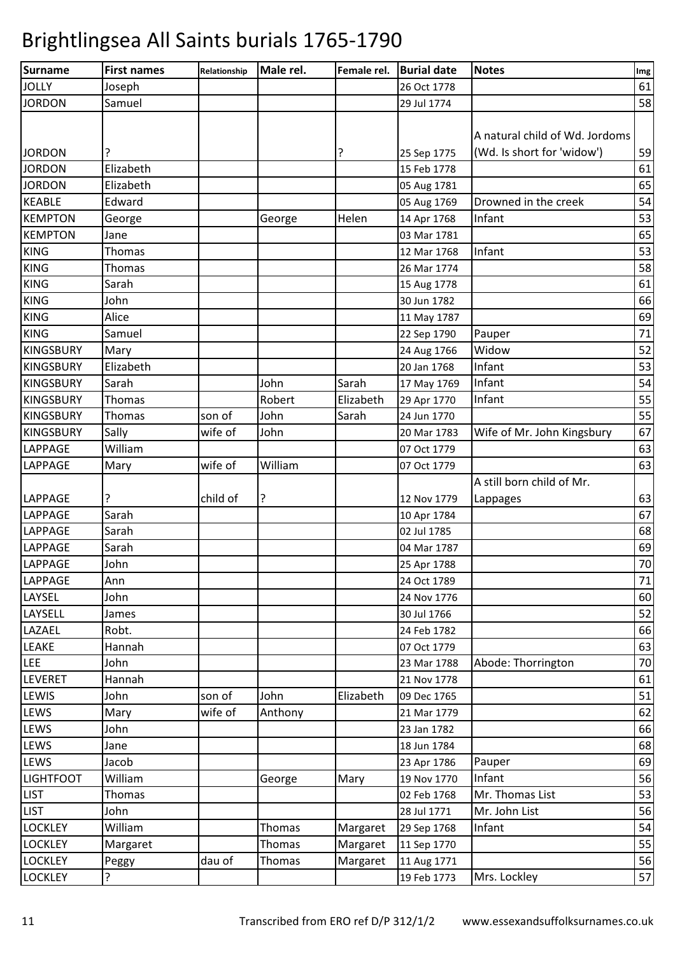| Surname          | <b>First names</b> | Relationship | Male rel.     | Female rel. | <b>Burial date</b> | <b>Notes</b>                   | Img |
|------------------|--------------------|--------------|---------------|-------------|--------------------|--------------------------------|-----|
| <b>JOLLY</b>     | Joseph             |              |               |             | 26 Oct 1778        |                                | 61  |
| <b>JORDON</b>    | Samuel             |              |               |             | 29 Jul 1774        |                                | 58  |
|                  |                    |              |               |             |                    |                                |     |
|                  |                    |              |               |             |                    | A natural child of Wd. Jordoms |     |
| <b>JORDON</b>    | ?                  |              |               | ?           | 25 Sep 1775        | (Wd. Is short for 'widow')     | 59  |
| <b>JORDON</b>    | Elizabeth          |              |               |             | 15 Feb 1778        |                                | 61  |
| <b>JORDON</b>    | Elizabeth          |              |               |             | 05 Aug 1781        |                                | 65  |
| <b>KEABLE</b>    | Edward             |              |               |             | 05 Aug 1769        | Drowned in the creek           | 54  |
| <b>KEMPTON</b>   | George             |              | George        | Helen       | 14 Apr 1768        | Infant                         | 53  |
| <b>KEMPTON</b>   | Jane               |              |               |             | 03 Mar 1781        |                                | 65  |
| <b>KING</b>      | <b>Thomas</b>      |              |               |             | 12 Mar 1768        | Infant                         | 53  |
| <b>KING</b>      | <b>Thomas</b>      |              |               |             | 26 Mar 1774        |                                | 58  |
| <b>KING</b>      | Sarah              |              |               |             | 15 Aug 1778        |                                | 61  |
| <b>KING</b>      | John               |              |               |             | 30 Jun 1782        |                                | 66  |
| <b>KING</b>      | Alice              |              |               |             | 11 May 1787        |                                | 69  |
| <b>KING</b>      | Samuel             |              |               |             | 22 Sep 1790        | Pauper                         | 71  |
| <b>KINGSBURY</b> | Mary               |              |               |             | 24 Aug 1766        | Widow                          | 52  |
| <b>KINGSBURY</b> | Elizabeth          |              |               |             | 20 Jan 1768        | Infant                         | 53  |
| <b>KINGSBURY</b> | Sarah              |              | John          | Sarah       | 17 May 1769        | Infant                         | 54  |
| <b>KINGSBURY</b> | Thomas             |              | Robert        | Elizabeth   | 29 Apr 1770        | Infant                         | 55  |
| <b>KINGSBURY</b> | Thomas             | son of       | John          | Sarah       | 24 Jun 1770        |                                | 55  |
| <b>KINGSBURY</b> | Sally              | wife of      | John          |             | 20 Mar 1783        | Wife of Mr. John Kingsbury     | 67  |
| LAPPAGE          | William            |              |               |             | 07 Oct 1779        |                                | 63  |
| LAPPAGE          | Mary               | wife of      | William       |             | 07 Oct 1779        |                                | 63  |
|                  |                    |              |               |             |                    | A still born child of Mr.      |     |
| <b>LAPPAGE</b>   | ?                  | child of     | ?             |             | 12 Nov 1779        | Lappages                       | 63  |
| <b>LAPPAGE</b>   | Sarah              |              |               |             | 10 Apr 1784        |                                | 67  |
| <b>LAPPAGE</b>   | Sarah              |              |               |             | 02 Jul 1785        |                                | 68  |
| <b>LAPPAGE</b>   | Sarah              |              |               |             | 04 Mar 1787        |                                | 69  |
| <b>LAPPAGE</b>   | John               |              |               |             | 25 Apr 1788        |                                | 70  |
| LAPPAGE          | Ann                |              |               |             | 24 Oct 1789        |                                | 71  |
| LAYSEL           | John               |              |               |             | 24 Nov 1776        |                                | 60  |
| LAYSELL          | James              |              |               |             | 30 Jul 1766        |                                | 52  |
| LAZAEL           | Robt.              |              |               |             | 24 Feb 1782        |                                | 66  |
| LEAKE            | Hannah             |              |               |             | 07 Oct 1779        |                                | 63  |
| <b>LEE</b>       | John               |              |               |             | 23 Mar 1788        | Abode: Thorrington             | 70  |
| LEVERET          | Hannah             |              |               |             | 21 Nov 1778        |                                | 61  |
| LEWIS            | John               | son of       | John          | Elizabeth   | 09 Dec 1765        |                                | 51  |
| LEWS             | Mary               | wife of      | Anthony       |             | 21 Mar 1779        |                                | 62  |
| LEWS             | John               |              |               |             | 23 Jan 1782        |                                | 66  |
| LEWS             | Jane               |              |               |             | 18 Jun 1784        |                                | 68  |
| LEWS             | Jacob              |              |               |             | 23 Apr 1786        | Pauper                         | 69  |
| <b>LIGHTFOOT</b> | William            |              | George        | Mary        | 19 Nov 1770        | Infant                         | 56  |
| <b>LIST</b>      | Thomas             |              |               |             | 02 Feb 1768        | Mr. Thomas List                | 53  |
| <b>LIST</b>      | John               |              |               |             | 28 Jul 1771        | Mr. John List                  | 56  |
| <b>LOCKLEY</b>   | William            |              | Thomas        | Margaret    | 29 Sep 1768        | Infant                         | 54  |
| <b>LOCKLEY</b>   | Margaret           |              | Thomas        | Margaret    | 11 Sep 1770        |                                | 55  |
| <b>LOCKLEY</b>   | Peggy              | dau of       | <b>Thomas</b> | Margaret    | 11 Aug 1771        |                                | 56  |
| <b>LOCKLEY</b>   | ?                  |              |               |             | 19 Feb 1773        | Mrs. Lockley                   | 57  |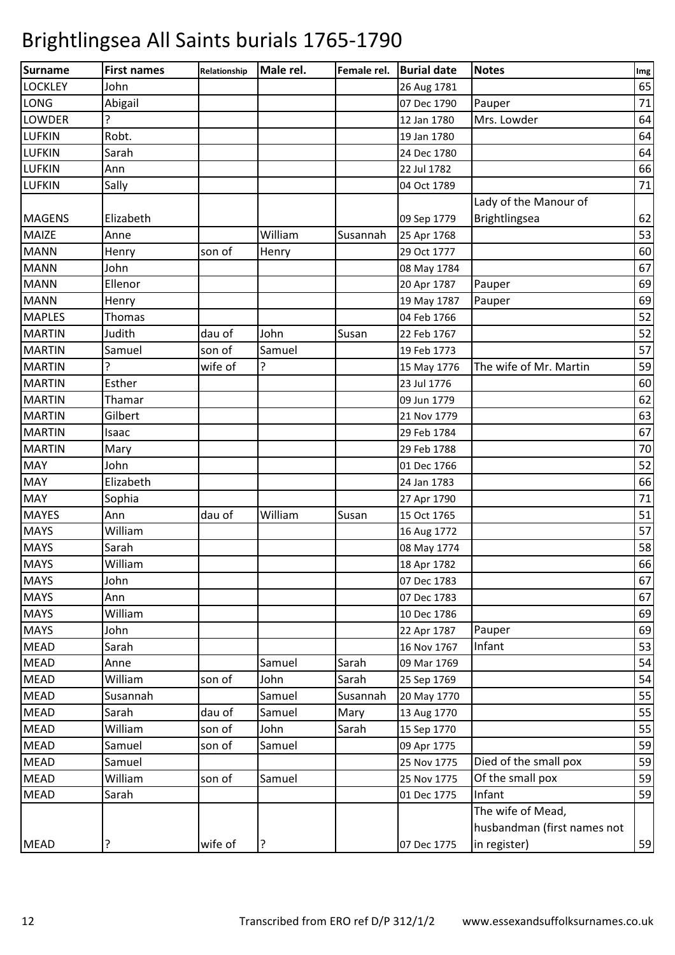| Surname        | <b>First names</b> | Relationship | Male rel. | Female rel. | <b>Burial date</b> | <b>Notes</b>                | Img |
|----------------|--------------------|--------------|-----------|-------------|--------------------|-----------------------------|-----|
| <b>LOCKLEY</b> | John               |              |           |             | 26 Aug 1781        |                             | 65  |
| <b>LONG</b>    | Abigail            |              |           |             | 07 Dec 1790        | Pauper                      | 71  |
| <b>LOWDER</b>  | 5                  |              |           |             | 12 Jan 1780        | Mrs. Lowder                 | 64  |
| <b>LUFKIN</b>  | Robt.              |              |           |             | 19 Jan 1780        |                             | 64  |
| <b>LUFKIN</b>  | Sarah              |              |           |             | 24 Dec 1780        |                             | 64  |
| <b>LUFKIN</b>  | Ann                |              |           |             | 22 Jul 1782        |                             | 66  |
| <b>LUFKIN</b>  | Sally              |              |           |             | 04 Oct 1789        |                             | 71  |
|                |                    |              |           |             |                    | Lady of the Manour of       |     |
| <b>MAGENS</b>  | Elizabeth          |              |           |             | 09 Sep 1779        | Brightlingsea               | 62  |
| <b>MAIZE</b>   | Anne               |              | William   | Susannah    | 25 Apr 1768        |                             | 53  |
| <b>MANN</b>    | Henry              | son of       | Henry     |             | 29 Oct 1777        |                             | 60  |
| <b>MANN</b>    | John               |              |           |             | 08 May 1784        |                             | 67  |
| <b>MANN</b>    | Ellenor            |              |           |             | 20 Apr 1787        | Pauper                      | 69  |
| <b>MANN</b>    | Henry              |              |           |             | 19 May 1787        | Pauper                      | 69  |
| <b>MAPLES</b>  | Thomas             |              |           |             | 04 Feb 1766        |                             | 52  |
| <b>MARTIN</b>  | Judith             | dau of       | John      | Susan       | 22 Feb 1767        |                             | 52  |
| <b>MARTIN</b>  | Samuel             | son of       | Samuel    |             | 19 Feb 1773        |                             | 57  |
| <b>MARTIN</b>  |                    | wife of      | ?         |             | 15 May 1776        | The wife of Mr. Martin      | 59  |
| <b>MARTIN</b>  | Esther             |              |           |             | 23 Jul 1776        |                             | 60  |
| <b>MARTIN</b>  | Thamar             |              |           |             | 09 Jun 1779        |                             | 62  |
| <b>MARTIN</b>  | Gilbert            |              |           |             | 21 Nov 1779        |                             | 63  |
| <b>MARTIN</b>  | Isaac              |              |           |             | 29 Feb 1784        |                             | 67  |
| <b>MARTIN</b>  | Mary               |              |           |             | 29 Feb 1788        |                             | 70  |
| <b>MAY</b>     | John               |              |           |             | 01 Dec 1766        |                             | 52  |
| <b>MAY</b>     | Elizabeth          |              |           |             | 24 Jan 1783        |                             | 66  |
| <b>MAY</b>     | Sophia             |              |           |             | 27 Apr 1790        |                             | 71  |
| <b>MAYES</b>   | Ann                | dau of       | William   | Susan       | 15 Oct 1765        |                             | 51  |
| <b>MAYS</b>    | William            |              |           |             | 16 Aug 1772        |                             | 57  |
| <b>MAYS</b>    | Sarah              |              |           |             | 08 May 1774        |                             | 58  |
| <b>MAYS</b>    | William            |              |           |             | 18 Apr 1782        |                             | 66  |
| <b>MAYS</b>    | John               |              |           |             | 07 Dec 1783        |                             | 67  |
| <b>MAYS</b>    | Ann                |              |           |             | 07 Dec 1783        |                             | 67  |
| <b>MAYS</b>    | William            |              |           |             | 10 Dec 1786        |                             | 69  |
| <b>MAYS</b>    | John               |              |           |             | 22 Apr 1787        | Pauper                      | 69  |
| <b>MEAD</b>    | Sarah              |              |           |             | 16 Nov 1767        | Infant                      | 53  |
| <b>MEAD</b>    | Anne               |              | Samuel    | Sarah       | 09 Mar 1769        |                             | 54  |
| <b>MEAD</b>    | William            | son of       | John      | Sarah       | 25 Sep 1769        |                             | 54  |
| <b>MEAD</b>    | Susannah           |              | Samuel    | Susannah    | 20 May 1770        |                             | 55  |
| <b>MEAD</b>    | Sarah              | dau of       | Samuel    | Mary        | 13 Aug 1770        |                             | 55  |
| <b>MEAD</b>    | William            | son of       | John      | Sarah       | 15 Sep 1770        |                             | 55  |
| <b>MEAD</b>    | Samuel             | son of       | Samuel    |             | 09 Apr 1775        |                             | 59  |
| <b>MEAD</b>    | Samuel             |              |           |             | 25 Nov 1775        | Died of the small pox       | 59  |
| <b>MEAD</b>    | William            | son of       | Samuel    |             | 25 Nov 1775        | Of the small pox            | 59  |
| <b>MEAD</b>    | Sarah              |              |           |             | 01 Dec 1775        | Infant                      | 59  |
|                |                    |              |           |             |                    | The wife of Mead,           |     |
|                |                    |              |           |             |                    | husbandman (first names not |     |
| <b>MEAD</b>    | ?                  | wife of      | ?         |             | 07 Dec 1775        | in register)                | 59  |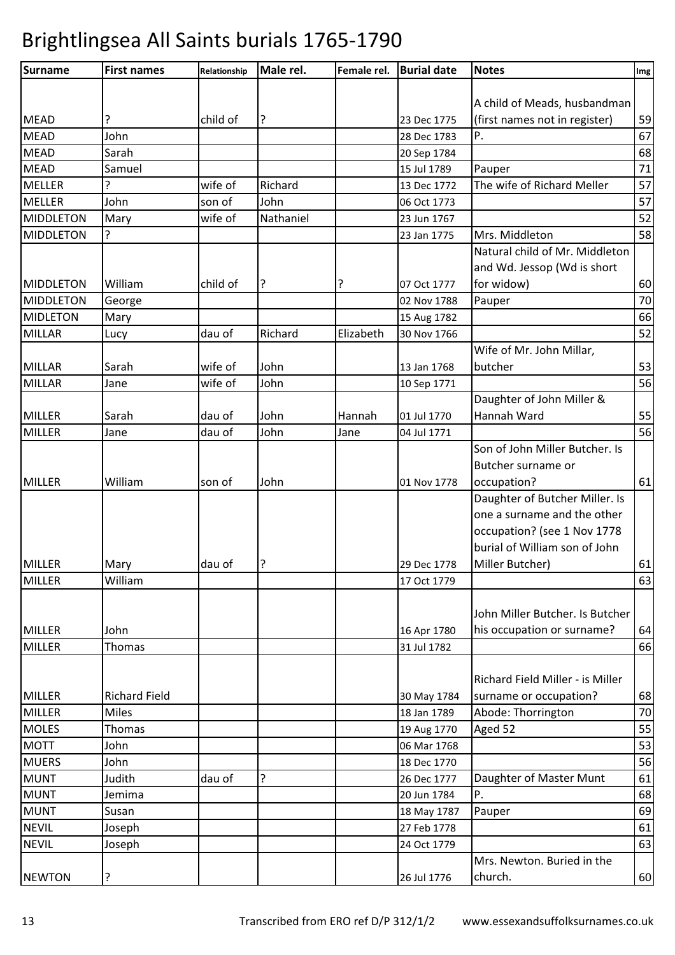| <b>Surname</b>   | <b>First names</b>   | Relationship | Male rel. | Female rel. | <b>Burial date</b>         | <b>Notes</b>                     | Img |
|------------------|----------------------|--------------|-----------|-------------|----------------------------|----------------------------------|-----|
|                  |                      |              |           |             |                            |                                  |     |
|                  |                      |              |           |             |                            | A child of Meads, husbandman     |     |
| <b>MEAD</b>      | ?                    | child of     | ?         |             | 23 Dec 1775                | (first names not in register)    | 59  |
| <b>MEAD</b>      | John                 |              |           |             | 28 Dec 1783                | Ρ.                               | 67  |
| <b>MEAD</b>      | Sarah                |              |           |             | 20 Sep 1784                |                                  | 68  |
| <b>MEAD</b>      | Samuel               |              |           |             | 15 Jul 1789                | Pauper                           | 71  |
| <b>MELLER</b>    | ς                    | wife of      | Richard   |             | 13 Dec 1772                | The wife of Richard Meller       | 57  |
| <b>MELLER</b>    | John                 | son of       | John      |             | 06 Oct 1773                |                                  | 57  |
| <b>MIDDLETON</b> | Mary                 | wife of      | Nathaniel |             | 23 Jun 1767                |                                  | 52  |
| <b>MIDDLETON</b> | 5.                   |              |           |             | 23 Jan 1775                | Mrs. Middleton                   | 58  |
|                  |                      |              |           |             |                            | Natural child of Mr. Middleton   |     |
|                  |                      |              |           |             |                            | and Wd. Jessop (Wd is short      |     |
| <b>MIDDLETON</b> | William              | child of     | ?         | ?           | 07 Oct 1777                | for widow)                       | 60  |
| <b>MIDDLETON</b> | George               |              |           |             | 02 Nov 1788                | Pauper                           | 70  |
| <b>MIDLETON</b>  | Mary                 |              |           |             | 15 Aug 1782                |                                  | 66  |
| <b>MILLAR</b>    | Lucy                 | dau of       | Richard   | Elizabeth   | 30 Nov 1766                |                                  | 52  |
|                  |                      |              |           |             |                            | Wife of Mr. John Millar,         |     |
| <b>MILLAR</b>    | Sarah                | wife of      | John      |             | 13 Jan 1768                | butcher                          | 53  |
| <b>MILLAR</b>    | Jane                 | wife of      | John      |             | 10 Sep 1771                |                                  | 56  |
|                  |                      |              |           |             |                            | Daughter of John Miller &        |     |
| <b>MILLER</b>    | Sarah                | dau of       | John      | Hannah      | 01 Jul 1770                | Hannah Ward                      | 55  |
| <b>MILLER</b>    | Jane                 | dau of       | John      | Jane        | 04 Jul 1771                |                                  | 56  |
|                  |                      |              |           |             |                            | Son of John Miller Butcher. Is   |     |
|                  |                      |              |           |             |                            | Butcher surname or               |     |
| <b>MILLER</b>    | William              | son of       | John      |             | 01 Nov 1778                | occupation?                      | 61  |
|                  |                      |              |           |             |                            | Daughter of Butcher Miller. Is   |     |
|                  |                      |              |           |             |                            | one a surname and the other      |     |
|                  |                      |              |           |             |                            | occupation? (see 1 Nov 1778      |     |
|                  |                      |              |           |             |                            | burial of William son of John    |     |
| <b>MILLER</b>    | Mary                 | dau of       | ?         |             | 29 Dec 1778                | Miller Butcher)                  | 61  |
| <b>MILLER</b>    | William              |              |           |             | 17 Oct 1779                |                                  | 63  |
|                  |                      |              |           |             |                            |                                  |     |
|                  |                      |              |           |             |                            | John Miller Butcher. Is Butcher  |     |
| <b>MILLER</b>    | John                 |              |           |             |                            | his occupation or surname?       | 64  |
| <b>MILLER</b>    | <b>Thomas</b>        |              |           |             | 16 Apr 1780<br>31 Jul 1782 |                                  | 66  |
|                  |                      |              |           |             |                            |                                  |     |
|                  |                      |              |           |             |                            |                                  |     |
|                  |                      |              |           |             |                            | Richard Field Miller - is Miller |     |
| <b>MILLER</b>    | <b>Richard Field</b> |              |           |             | 30 May 1784                | surname or occupation?           | 68  |
| <b>MILLER</b>    | <b>Miles</b>         |              |           |             | 18 Jan 1789                | Abode: Thorrington               | 70  |
| <b>MOLES</b>     | Thomas               |              |           |             | 19 Aug 1770                | Aged 52                          | 55  |
| <b>MOTT</b>      | John                 |              |           |             | 06 Mar 1768                |                                  | 53  |
| <b>MUERS</b>     | John                 |              |           |             | 18 Dec 1770                |                                  | 56  |
| <b>MUNT</b>      | Judith               | dau of       | ?         |             | 26 Dec 1777                | Daughter of Master Munt          | 61  |
| <b>MUNT</b>      | Jemima               |              |           |             | 20 Jun 1784                | Ρ.                               | 68  |
| <b>MUNT</b>      | Susan                |              |           |             | 18 May 1787                | Pauper                           | 69  |
| <b>NEVIL</b>     | Joseph               |              |           |             | 27 Feb 1778                |                                  | 61  |
| <b>NEVIL</b>     | Joseph               |              |           |             | 24 Oct 1779                |                                  | 63  |
|                  |                      |              |           |             |                            | Mrs. Newton. Buried in the       |     |
| <b>NEWTON</b>    | ?                    |              |           |             | 26 Jul 1776                | church.                          | 60  |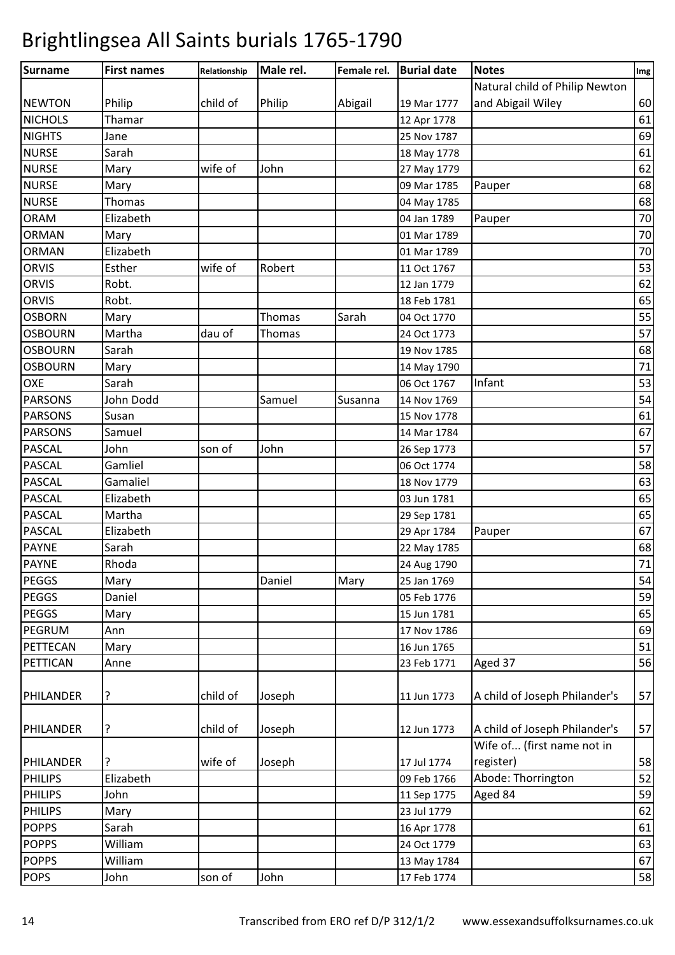| Surname        | <b>First names</b> | Relationship | Male rel. | Female rel. | <b>Burial date</b> | <b>Notes</b>                   | Img    |
|----------------|--------------------|--------------|-----------|-------------|--------------------|--------------------------------|--------|
|                |                    |              |           |             |                    | Natural child of Philip Newton |        |
| <b>NEWTON</b>  | Philip             | child of     | Philip    | Abigail     | 19 Mar 1777        | and Abigail Wiley              | 60     |
| <b>NICHOLS</b> | Thamar             |              |           |             | 12 Apr 1778        |                                | 61     |
| <b>NIGHTS</b>  | Jane               |              |           |             | 25 Nov 1787        |                                | 69     |
| <b>NURSE</b>   | Sarah              |              |           |             | 18 May 1778        |                                | 61     |
| <b>NURSE</b>   | Mary               | wife of      | John      |             | 27 May 1779        |                                | 62     |
| <b>NURSE</b>   | Mary               |              |           |             | 09 Mar 1785        | Pauper                         | 68     |
| <b>NURSE</b>   | Thomas             |              |           |             | 04 May 1785        |                                | 68     |
| <b>ORAM</b>    | Elizabeth          |              |           |             | 04 Jan 1789        | Pauper                         | 70     |
| <b>ORMAN</b>   | Mary               |              |           |             | 01 Mar 1789        |                                | 70     |
| <b>ORMAN</b>   | Elizabeth          |              |           |             | 01 Mar 1789        |                                | 70     |
| <b>ORVIS</b>   | Esther             | wife of      | Robert    |             | 11 Oct 1767        |                                | 53     |
| <b>ORVIS</b>   | Robt.              |              |           |             | 12 Jan 1779        |                                | 62     |
| <b>ORVIS</b>   | Robt.              |              |           |             | 18 Feb 1781        |                                | 65     |
| <b>OSBORN</b>  | Mary               |              | Thomas    | Sarah       | 04 Oct 1770        |                                | 55     |
| <b>OSBOURN</b> | Martha             | dau of       | Thomas    |             | 24 Oct 1773        |                                | 57     |
| <b>OSBOURN</b> | Sarah              |              |           |             | 19 Nov 1785        |                                | 68     |
| <b>OSBOURN</b> | Mary               |              |           |             | 14 May 1790        |                                | 71     |
| OXE            | Sarah              |              |           |             | 06 Oct 1767        | Infant                         | 53     |
| <b>PARSONS</b> | John Dodd          |              | Samuel    | Susanna     | 14 Nov 1769        |                                | 54     |
| <b>PARSONS</b> | Susan              |              |           |             | 15 Nov 1778        |                                | 61     |
| <b>PARSONS</b> | Samuel             |              |           |             | 14 Mar 1784        |                                | 67     |
| <b>PASCAL</b>  | John               | son of       | John      |             | 26 Sep 1773        |                                | 57     |
| <b>PASCAL</b>  | Gamliel            |              |           |             | 06 Oct 1774        |                                | 58     |
| <b>PASCAL</b>  | Gamaliel           |              |           |             | 18 Nov 1779        |                                | 63     |
| <b>PASCAL</b>  | Elizabeth          |              |           |             | 03 Jun 1781        |                                | 65     |
| <b>PASCAL</b>  | Martha             |              |           |             | 29 Sep 1781        |                                | 65     |
| <b>PASCAL</b>  | Elizabeth          |              |           |             | 29 Apr 1784        | Pauper                         | 67     |
| <b>PAYNE</b>   | Sarah              |              |           |             | 22 May 1785        |                                | 68     |
| <b>PAYNE</b>   | Rhoda              |              |           |             | 24 Aug 1790        |                                | $71\,$ |
| PEGGS          | Mary               |              | Daniel    | Mary        | 25 Jan 1769        |                                | 54     |
| <b>PEGGS</b>   | Daniel             |              |           |             | 05 Feb 1776        |                                | 59     |
| <b>PEGGS</b>   | Mary               |              |           |             | 15 Jun 1781        |                                | 65     |
| PEGRUM         | Ann                |              |           |             | 17 Nov 1786        |                                | 69     |
| PETTECAN       | Mary               |              |           |             | 16 Jun 1765        |                                | 51     |
| PETTICAN       | Anne               |              |           |             | 23 Feb 1771        | Aged 37                        | 56     |
|                |                    |              |           |             |                    |                                |        |
| PHILANDER      | ?                  | child of     | Joseph    |             | 11 Jun 1773        | A child of Joseph Philander's  | 57     |
| PHILANDER      | ?                  | child of     | Joseph    |             | 12 Jun 1773        | A child of Joseph Philander's  | 57     |
|                |                    |              |           |             |                    | Wife of (first name not in     |        |
| PHILANDER      | ?                  | wife of      | Joseph    |             | 17 Jul 1774        | register)                      | 58     |
| <b>PHILIPS</b> | Elizabeth          |              |           |             | 09 Feb 1766        | Abode: Thorrington             | 52     |
| <b>PHILIPS</b> | John               |              |           |             | 11 Sep 1775        | Aged 84                        | 59     |
| <b>PHILIPS</b> | Mary               |              |           |             | 23 Jul 1779        |                                | 62     |
| <b>POPPS</b>   | Sarah              |              |           |             | 16 Apr 1778        |                                | 61     |
| <b>POPPS</b>   | William            |              |           |             | 24 Oct 1779        |                                | 63     |
| <b>POPPS</b>   | William            |              |           |             | 13 May 1784        |                                | 67     |
| <b>POPS</b>    | John               | son of       | John      |             | 17 Feb 1774        |                                | 58     |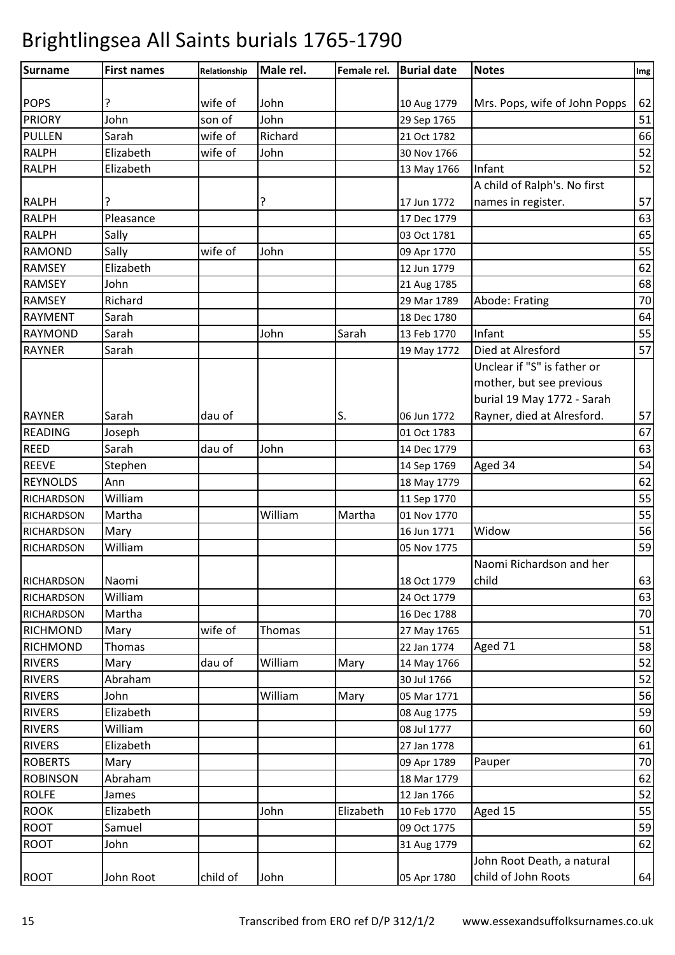| <b>Surname</b>    | <b>First names</b> | Relationship | Male rel. | Female rel. | <b>Burial date</b> | <b>Notes</b>                  | Img |
|-------------------|--------------------|--------------|-----------|-------------|--------------------|-------------------------------|-----|
|                   |                    |              |           |             |                    |                               |     |
| <b>POPS</b>       | ?                  | wife of      | John      |             | 10 Aug 1779        | Mrs. Pops, wife of John Popps | 62  |
| <b>PRIORY</b>     | John               | son of       | John      |             | 29 Sep 1765        |                               | 51  |
| <b>PULLEN</b>     | Sarah              | wife of      | Richard   |             | 21 Oct 1782        |                               | 66  |
| <b>RALPH</b>      | Elizabeth          | wife of      | John      |             | 30 Nov 1766        |                               | 52  |
| <b>RALPH</b>      | Elizabeth          |              |           |             | 13 May 1766        | Infant                        | 52  |
|                   |                    |              |           |             |                    | A child of Ralph's. No first  |     |
| <b>RALPH</b>      | ?                  |              | ?         |             | 17 Jun 1772        | names in register.            | 57  |
| <b>RALPH</b>      | Pleasance          |              |           |             | 17 Dec 1779        |                               | 63  |
| <b>RALPH</b>      | Sally              |              |           |             | 03 Oct 1781        |                               | 65  |
| <b>RAMOND</b>     | Sally              | wife of      | John      |             | 09 Apr 1770        |                               | 55  |
| <b>RAMSEY</b>     | Elizabeth          |              |           |             | 12 Jun 1779        |                               | 62  |
| <b>RAMSEY</b>     | John               |              |           |             | 21 Aug 1785        |                               | 68  |
| <b>RAMSEY</b>     | Richard            |              |           |             | 29 Mar 1789        | Abode: Frating                | 70  |
| <b>RAYMENT</b>    | Sarah              |              |           |             | 18 Dec 1780        |                               | 64  |
| <b>RAYMOND</b>    | Sarah              |              | John      | Sarah       | 13 Feb 1770        | Infant                        | 55  |
| <b>RAYNER</b>     | Sarah              |              |           |             | 19 May 1772        | Died at Alresford             | 57  |
|                   |                    |              |           |             |                    | Unclear if "S" is father or   |     |
|                   |                    |              |           |             |                    | mother, but see previous      |     |
|                   |                    |              |           |             |                    | burial 19 May 1772 - Sarah    |     |
| <b>RAYNER</b>     | Sarah              | dau of       |           | S.          | 06 Jun 1772        | Rayner, died at Alresford.    | 57  |
| <b>READING</b>    | Joseph             |              |           |             | 01 Oct 1783        |                               | 67  |
| <b>REED</b>       | Sarah              | dau of       | John      |             | 14 Dec 1779        |                               | 63  |
| <b>REEVE</b>      | Stephen            |              |           |             | 14 Sep 1769        | Aged 34                       | 54  |
| <b>REYNOLDS</b>   | Ann                |              |           |             | 18 May 1779        |                               | 62  |
| <b>RICHARDSON</b> | William            |              |           |             | 11 Sep 1770        |                               | 55  |
| <b>RICHARDSON</b> | Martha             |              | William   | Martha      | 01 Nov 1770        |                               | 55  |
| <b>RICHARDSON</b> | Mary               |              |           |             | 16 Jun 1771        | Widow                         | 56  |
| <b>RICHARDSON</b> | William            |              |           |             | 05 Nov 1775        |                               | 59  |
|                   |                    |              |           |             |                    | Naomi Richardson and her      |     |
| <b>RICHARDSON</b> | Naomi              |              |           |             | 18 Oct 1779        | child                         | 63  |
| <b>RICHARDSON</b> | William            |              |           |             | 24 Oct 1779        |                               | 63  |
| <b>RICHARDSON</b> | Martha             |              |           |             | 16 Dec 1788        |                               | 70  |
| <b>RICHMOND</b>   | Mary               | wife of      | Thomas    |             | 27 May 1765        |                               | 51  |
| <b>RICHMOND</b>   | Thomas             |              |           |             | 22 Jan 1774        | Aged 71                       | 58  |
| <b>RIVERS</b>     | Mary               | dau of       | William   | Mary        | 14 May 1766        |                               | 52  |
| <b>RIVERS</b>     | Abraham            |              |           |             | 30 Jul 1766        |                               | 52  |
| <b>RIVERS</b>     | John               |              | William   | Mary        | 05 Mar 1771        |                               | 56  |
| <b>RIVERS</b>     | Elizabeth          |              |           |             | 08 Aug 1775        |                               | 59  |
| <b>RIVERS</b>     | William            |              |           |             | 08 Jul 1777        |                               | 60  |
| <b>RIVERS</b>     | Elizabeth          |              |           |             | 27 Jan 1778        |                               | 61  |
| <b>ROBERTS</b>    | Mary               |              |           |             | 09 Apr 1789        | Pauper                        | 70  |
| <b>ROBINSON</b>   | Abraham            |              |           |             | 18 Mar 1779        |                               | 62  |
| <b>ROLFE</b>      | James              |              |           |             | 12 Jan 1766        |                               | 52  |
| <b>ROOK</b>       | Elizabeth          |              | John      | Elizabeth   | 10 Feb 1770        | Aged 15                       | 55  |
| <b>ROOT</b>       | Samuel             |              |           |             | 09 Oct 1775        |                               | 59  |
| <b>ROOT</b>       | John               |              |           |             | 31 Aug 1779        |                               | 62  |
|                   |                    |              |           |             |                    | John Root Death, a natural    |     |
| <b>ROOT</b>       | John Root          | child of     | John      |             | 05 Apr 1780        | child of John Roots           | 64  |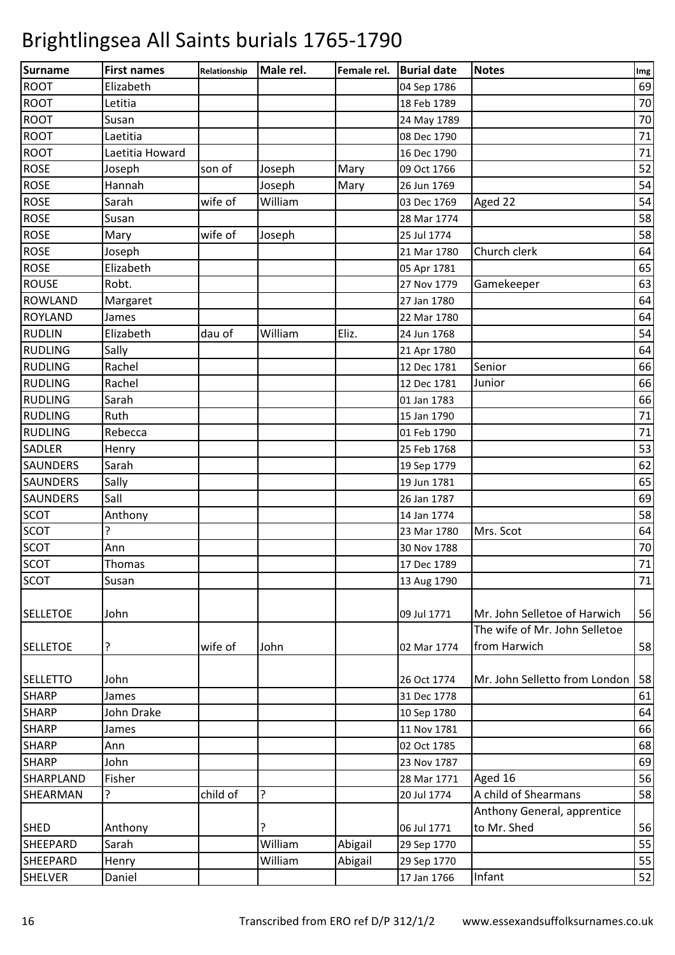| 69<br>Elizabeth<br>04 Sep 1786<br>70<br>Letitia<br>18 Feb 1789<br>Susan<br>70<br>24 May 1789<br>71<br>Laetitia<br>08 Dec 1790<br>$71\,$<br>Laetitia Howard<br>16 Dec 1790<br>52<br>Joseph<br>son of<br>Joseph<br>Mary<br>09 Oct 1766<br>54<br>Hannah<br>Mary<br>Joseph<br>26 Jun 1769<br>54<br>wife of<br>Sarah<br>William<br>Aged 22<br>03 Dec 1769<br>58<br>Susan<br>28 Mar 1774<br>58<br>wife of<br>Joseph<br>25 Jul 1774<br>Mary<br>Church clerk<br>64<br>Joseph<br>21 Mar 1780<br>65<br>Elizabeth<br>05 Apr 1781<br>63<br>Robt.<br>27 Nov 1779<br>Gamekeeper<br>64<br>Margaret<br>27 Jan 1780<br>64<br>James<br>22 Mar 1780<br>William<br>Eliz.<br>Elizabeth<br>54<br>dau of<br>24 Jun 1768<br>Sally<br>64<br>21 Apr 1780<br>66<br>Rachel<br>Senior<br>12 Dec 1781<br>66<br>Rachel<br>Junior<br>12 Dec 1781<br>66<br>Sarah<br>01 Jan 1783<br>71<br>Ruth<br>15 Jan 1790<br>71<br>Rebecca<br>01 Feb 1790<br>53<br>25 Feb 1768<br>Henry<br>62<br>Sarah<br>19 Sep 1779<br>65<br>Sally<br>19 Jun 1781<br>Sall<br>69<br>26 Jan 1787<br>58<br>Anthony<br>14 Jan 1774<br>64<br>7<br>Mrs. Scot<br>23 Mar 1780<br>70<br>Ann<br>30 Nov 1788<br>$71\,$<br>Thomas<br>17 Dec 1789<br>SCOT<br>$71\,$<br>Susan<br>13 Aug 1790<br>John<br>Mr. John Selletoe of Harwich<br>09 Jul 1771<br>The wife of Mr. John Selletoe<br>from Harwich<br>?<br>wife of<br>John<br>02 Mar 1774<br>John<br>Mr. John Selletto from London<br>26 Oct 1774<br>31 Dec 1778<br>James<br>John Drake<br>10 Sep 1780<br>James<br>11 Nov 1781<br>02 Oct 1785<br>Ann<br>John<br>23 Nov 1787<br>Fisher<br>Aged 16<br>28 Mar 1771<br>?<br>child of<br>?<br>A child of Shearmans<br>20 Jul 1774<br>Anthony General, apprentice<br>to Mr. Shed<br>Anthony<br>?<br>06 Jul 1771<br>William<br>55<br>Sarah<br>Abigail<br>29 Sep 1770<br>William<br>Abigail<br>Henry<br>29 Sep 1770<br>Infant<br>Daniel<br>17 Jan 1766 | Surname          | <b>First names</b> | Relationship | Male rel. | Female rel. | <b>Burial date</b> | <b>Notes</b> | Img |
|------------------------------------------------------------------------------------------------------------------------------------------------------------------------------------------------------------------------------------------------------------------------------------------------------------------------------------------------------------------------------------------------------------------------------------------------------------------------------------------------------------------------------------------------------------------------------------------------------------------------------------------------------------------------------------------------------------------------------------------------------------------------------------------------------------------------------------------------------------------------------------------------------------------------------------------------------------------------------------------------------------------------------------------------------------------------------------------------------------------------------------------------------------------------------------------------------------------------------------------------------------------------------------------------------------------------------------------------------------------------------------------------------------------------------------------------------------------------------------------------------------------------------------------------------------------------------------------------------------------------------------------------------------------------------------------------------------------------------------------------------------------------------------------------------------------------------------------------------------------------|------------------|--------------------|--------------|-----------|-------------|--------------------|--------------|-----|
|                                                                                                                                                                                                                                                                                                                                                                                                                                                                                                                                                                                                                                                                                                                                                                                                                                                                                                                                                                                                                                                                                                                                                                                                                                                                                                                                                                                                                                                                                                                                                                                                                                                                                                                                                                                                                                                                        | <b>ROOT</b>      |                    |              |           |             |                    |              |     |
|                                                                                                                                                                                                                                                                                                                                                                                                                                                                                                                                                                                                                                                                                                                                                                                                                                                                                                                                                                                                                                                                                                                                                                                                                                                                                                                                                                                                                                                                                                                                                                                                                                                                                                                                                                                                                                                                        | <b>ROOT</b>      |                    |              |           |             |                    |              |     |
|                                                                                                                                                                                                                                                                                                                                                                                                                                                                                                                                                                                                                                                                                                                                                                                                                                                                                                                                                                                                                                                                                                                                                                                                                                                                                                                                                                                                                                                                                                                                                                                                                                                                                                                                                                                                                                                                        | <b>ROOT</b>      |                    |              |           |             |                    |              |     |
|                                                                                                                                                                                                                                                                                                                                                                                                                                                                                                                                                                                                                                                                                                                                                                                                                                                                                                                                                                                                                                                                                                                                                                                                                                                                                                                                                                                                                                                                                                                                                                                                                                                                                                                                                                                                                                                                        | ROOT             |                    |              |           |             |                    |              |     |
|                                                                                                                                                                                                                                                                                                                                                                                                                                                                                                                                                                                                                                                                                                                                                                                                                                                                                                                                                                                                                                                                                                                                                                                                                                                                                                                                                                                                                                                                                                                                                                                                                                                                                                                                                                                                                                                                        | <b>ROOT</b>      |                    |              |           |             |                    |              |     |
|                                                                                                                                                                                                                                                                                                                                                                                                                                                                                                                                                                                                                                                                                                                                                                                                                                                                                                                                                                                                                                                                                                                                                                                                                                                                                                                                                                                                                                                                                                                                                                                                                                                                                                                                                                                                                                                                        | <b>ROSE</b>      |                    |              |           |             |                    |              |     |
|                                                                                                                                                                                                                                                                                                                                                                                                                                                                                                                                                                                                                                                                                                                                                                                                                                                                                                                                                                                                                                                                                                                                                                                                                                                                                                                                                                                                                                                                                                                                                                                                                                                                                                                                                                                                                                                                        | <b>ROSE</b>      |                    |              |           |             |                    |              |     |
|                                                                                                                                                                                                                                                                                                                                                                                                                                                                                                                                                                                                                                                                                                                                                                                                                                                                                                                                                                                                                                                                                                                                                                                                                                                                                                                                                                                                                                                                                                                                                                                                                                                                                                                                                                                                                                                                        | <b>ROSE</b>      |                    |              |           |             |                    |              |     |
|                                                                                                                                                                                                                                                                                                                                                                                                                                                                                                                                                                                                                                                                                                                                                                                                                                                                                                                                                                                                                                                                                                                                                                                                                                                                                                                                                                                                                                                                                                                                                                                                                                                                                                                                                                                                                                                                        | <b>ROSE</b>      |                    |              |           |             |                    |              |     |
|                                                                                                                                                                                                                                                                                                                                                                                                                                                                                                                                                                                                                                                                                                                                                                                                                                                                                                                                                                                                                                                                                                                                                                                                                                                                                                                                                                                                                                                                                                                                                                                                                                                                                                                                                                                                                                                                        | <b>ROSE</b>      |                    |              |           |             |                    |              |     |
|                                                                                                                                                                                                                                                                                                                                                                                                                                                                                                                                                                                                                                                                                                                                                                                                                                                                                                                                                                                                                                                                                                                                                                                                                                                                                                                                                                                                                                                                                                                                                                                                                                                                                                                                                                                                                                                                        | <b>ROSE</b>      |                    |              |           |             |                    |              |     |
|                                                                                                                                                                                                                                                                                                                                                                                                                                                                                                                                                                                                                                                                                                                                                                                                                                                                                                                                                                                                                                                                                                                                                                                                                                                                                                                                                                                                                                                                                                                                                                                                                                                                                                                                                                                                                                                                        | <b>ROSE</b>      |                    |              |           |             |                    |              |     |
|                                                                                                                                                                                                                                                                                                                                                                                                                                                                                                                                                                                                                                                                                                                                                                                                                                                                                                                                                                                                                                                                                                                                                                                                                                                                                                                                                                                                                                                                                                                                                                                                                                                                                                                                                                                                                                                                        | <b>ROUSE</b>     |                    |              |           |             |                    |              |     |
|                                                                                                                                                                                                                                                                                                                                                                                                                                                                                                                                                                                                                                                                                                                                                                                                                                                                                                                                                                                                                                                                                                                                                                                                                                                                                                                                                                                                                                                                                                                                                                                                                                                                                                                                                                                                                                                                        | <b>ROWLAND</b>   |                    |              |           |             |                    |              |     |
|                                                                                                                                                                                                                                                                                                                                                                                                                                                                                                                                                                                                                                                                                                                                                                                                                                                                                                                                                                                                                                                                                                                                                                                                                                                                                                                                                                                                                                                                                                                                                                                                                                                                                                                                                                                                                                                                        | <b>ROYLAND</b>   |                    |              |           |             |                    |              |     |
|                                                                                                                                                                                                                                                                                                                                                                                                                                                                                                                                                                                                                                                                                                                                                                                                                                                                                                                                                                                                                                                                                                                                                                                                                                                                                                                                                                                                                                                                                                                                                                                                                                                                                                                                                                                                                                                                        | <b>RUDLIN</b>    |                    |              |           |             |                    |              |     |
|                                                                                                                                                                                                                                                                                                                                                                                                                                                                                                                                                                                                                                                                                                                                                                                                                                                                                                                                                                                                                                                                                                                                                                                                                                                                                                                                                                                                                                                                                                                                                                                                                                                                                                                                                                                                                                                                        | <b>RUDLING</b>   |                    |              |           |             |                    |              |     |
|                                                                                                                                                                                                                                                                                                                                                                                                                                                                                                                                                                                                                                                                                                                                                                                                                                                                                                                                                                                                                                                                                                                                                                                                                                                                                                                                                                                                                                                                                                                                                                                                                                                                                                                                                                                                                                                                        | <b>RUDLING</b>   |                    |              |           |             |                    |              |     |
|                                                                                                                                                                                                                                                                                                                                                                                                                                                                                                                                                                                                                                                                                                                                                                                                                                                                                                                                                                                                                                                                                                                                                                                                                                                                                                                                                                                                                                                                                                                                                                                                                                                                                                                                                                                                                                                                        | <b>RUDLING</b>   |                    |              |           |             |                    |              |     |
|                                                                                                                                                                                                                                                                                                                                                                                                                                                                                                                                                                                                                                                                                                                                                                                                                                                                                                                                                                                                                                                                                                                                                                                                                                                                                                                                                                                                                                                                                                                                                                                                                                                                                                                                                                                                                                                                        | <b>RUDLING</b>   |                    |              |           |             |                    |              |     |
|                                                                                                                                                                                                                                                                                                                                                                                                                                                                                                                                                                                                                                                                                                                                                                                                                                                                                                                                                                                                                                                                                                                                                                                                                                                                                                                                                                                                                                                                                                                                                                                                                                                                                                                                                                                                                                                                        | <b>RUDLING</b>   |                    |              |           |             |                    |              |     |
|                                                                                                                                                                                                                                                                                                                                                                                                                                                                                                                                                                                                                                                                                                                                                                                                                                                                                                                                                                                                                                                                                                                                                                                                                                                                                                                                                                                                                                                                                                                                                                                                                                                                                                                                                                                                                                                                        | <b>RUDLING</b>   |                    |              |           |             |                    |              |     |
|                                                                                                                                                                                                                                                                                                                                                                                                                                                                                                                                                                                                                                                                                                                                                                                                                                                                                                                                                                                                                                                                                                                                                                                                                                                                                                                                                                                                                                                                                                                                                                                                                                                                                                                                                                                                                                                                        | <b>SADLER</b>    |                    |              |           |             |                    |              |     |
|                                                                                                                                                                                                                                                                                                                                                                                                                                                                                                                                                                                                                                                                                                                                                                                                                                                                                                                                                                                                                                                                                                                                                                                                                                                                                                                                                                                                                                                                                                                                                                                                                                                                                                                                                                                                                                                                        | <b>SAUNDERS</b>  |                    |              |           |             |                    |              |     |
|                                                                                                                                                                                                                                                                                                                                                                                                                                                                                                                                                                                                                                                                                                                                                                                                                                                                                                                                                                                                                                                                                                                                                                                                                                                                                                                                                                                                                                                                                                                                                                                                                                                                                                                                                                                                                                                                        | <b>SAUNDERS</b>  |                    |              |           |             |                    |              |     |
|                                                                                                                                                                                                                                                                                                                                                                                                                                                                                                                                                                                                                                                                                                                                                                                                                                                                                                                                                                                                                                                                                                                                                                                                                                                                                                                                                                                                                                                                                                                                                                                                                                                                                                                                                                                                                                                                        | <b>SAUNDERS</b>  |                    |              |           |             |                    |              |     |
|                                                                                                                                                                                                                                                                                                                                                                                                                                                                                                                                                                                                                                                                                                                                                                                                                                                                                                                                                                                                                                                                                                                                                                                                                                                                                                                                                                                                                                                                                                                                                                                                                                                                                                                                                                                                                                                                        | <b>SCOT</b>      |                    |              |           |             |                    |              |     |
|                                                                                                                                                                                                                                                                                                                                                                                                                                                                                                                                                                                                                                                                                                                                                                                                                                                                                                                                                                                                                                                                                                                                                                                                                                                                                                                                                                                                                                                                                                                                                                                                                                                                                                                                                                                                                                                                        | <b>SCOT</b>      |                    |              |           |             |                    |              |     |
|                                                                                                                                                                                                                                                                                                                                                                                                                                                                                                                                                                                                                                                                                                                                                                                                                                                                                                                                                                                                                                                                                                                                                                                                                                                                                                                                                                                                                                                                                                                                                                                                                                                                                                                                                                                                                                                                        | <b>SCOT</b>      |                    |              |           |             |                    |              |     |
|                                                                                                                                                                                                                                                                                                                                                                                                                                                                                                                                                                                                                                                                                                                                                                                                                                                                                                                                                                                                                                                                                                                                                                                                                                                                                                                                                                                                                                                                                                                                                                                                                                                                                                                                                                                                                                                                        | <b>SCOT</b>      |                    |              |           |             |                    |              |     |
|                                                                                                                                                                                                                                                                                                                                                                                                                                                                                                                                                                                                                                                                                                                                                                                                                                                                                                                                                                                                                                                                                                                                                                                                                                                                                                                                                                                                                                                                                                                                                                                                                                                                                                                                                                                                                                                                        |                  |                    |              |           |             |                    |              |     |
| 58<br>58<br>61<br>64<br>66<br>68<br>69<br>56<br>58<br>56<br>55<br>52                                                                                                                                                                                                                                                                                                                                                                                                                                                                                                                                                                                                                                                                                                                                                                                                                                                                                                                                                                                                                                                                                                                                                                                                                                                                                                                                                                                                                                                                                                                                                                                                                                                                                                                                                                                                   | <b>SELLETOE</b>  |                    |              |           |             |                    |              | 56  |
|                                                                                                                                                                                                                                                                                                                                                                                                                                                                                                                                                                                                                                                                                                                                                                                                                                                                                                                                                                                                                                                                                                                                                                                                                                                                                                                                                                                                                                                                                                                                                                                                                                                                                                                                                                                                                                                                        |                  |                    |              |           |             |                    |              |     |
|                                                                                                                                                                                                                                                                                                                                                                                                                                                                                                                                                                                                                                                                                                                                                                                                                                                                                                                                                                                                                                                                                                                                                                                                                                                                                                                                                                                                                                                                                                                                                                                                                                                                                                                                                                                                                                                                        | <b>SELLETOE</b>  |                    |              |           |             |                    |              |     |
|                                                                                                                                                                                                                                                                                                                                                                                                                                                                                                                                                                                                                                                                                                                                                                                                                                                                                                                                                                                                                                                                                                                                                                                                                                                                                                                                                                                                                                                                                                                                                                                                                                                                                                                                                                                                                                                                        | <b>SELLETTO</b>  |                    |              |           |             |                    |              |     |
|                                                                                                                                                                                                                                                                                                                                                                                                                                                                                                                                                                                                                                                                                                                                                                                                                                                                                                                                                                                                                                                                                                                                                                                                                                                                                                                                                                                                                                                                                                                                                                                                                                                                                                                                                                                                                                                                        | <b>SHARP</b>     |                    |              |           |             |                    |              |     |
|                                                                                                                                                                                                                                                                                                                                                                                                                                                                                                                                                                                                                                                                                                                                                                                                                                                                                                                                                                                                                                                                                                                                                                                                                                                                                                                                                                                                                                                                                                                                                                                                                                                                                                                                                                                                                                                                        | <b>SHARP</b>     |                    |              |           |             |                    |              |     |
|                                                                                                                                                                                                                                                                                                                                                                                                                                                                                                                                                                                                                                                                                                                                                                                                                                                                                                                                                                                                                                                                                                                                                                                                                                                                                                                                                                                                                                                                                                                                                                                                                                                                                                                                                                                                                                                                        | <b>SHARP</b>     |                    |              |           |             |                    |              |     |
|                                                                                                                                                                                                                                                                                                                                                                                                                                                                                                                                                                                                                                                                                                                                                                                                                                                                                                                                                                                                                                                                                                                                                                                                                                                                                                                                                                                                                                                                                                                                                                                                                                                                                                                                                                                                                                                                        | <b>SHARP</b>     |                    |              |           |             |                    |              |     |
|                                                                                                                                                                                                                                                                                                                                                                                                                                                                                                                                                                                                                                                                                                                                                                                                                                                                                                                                                                                                                                                                                                                                                                                                                                                                                                                                                                                                                                                                                                                                                                                                                                                                                                                                                                                                                                                                        | <b>SHARP</b>     |                    |              |           |             |                    |              |     |
|                                                                                                                                                                                                                                                                                                                                                                                                                                                                                                                                                                                                                                                                                                                                                                                                                                                                                                                                                                                                                                                                                                                                                                                                                                                                                                                                                                                                                                                                                                                                                                                                                                                                                                                                                                                                                                                                        | <b>SHARPLAND</b> |                    |              |           |             |                    |              |     |
|                                                                                                                                                                                                                                                                                                                                                                                                                                                                                                                                                                                                                                                                                                                                                                                                                                                                                                                                                                                                                                                                                                                                                                                                                                                                                                                                                                                                                                                                                                                                                                                                                                                                                                                                                                                                                                                                        | SHEARMAN         |                    |              |           |             |                    |              |     |
|                                                                                                                                                                                                                                                                                                                                                                                                                                                                                                                                                                                                                                                                                                                                                                                                                                                                                                                                                                                                                                                                                                                                                                                                                                                                                                                                                                                                                                                                                                                                                                                                                                                                                                                                                                                                                                                                        |                  |                    |              |           |             |                    |              |     |
|                                                                                                                                                                                                                                                                                                                                                                                                                                                                                                                                                                                                                                                                                                                                                                                                                                                                                                                                                                                                                                                                                                                                                                                                                                                                                                                                                                                                                                                                                                                                                                                                                                                                                                                                                                                                                                                                        | <b>SHED</b>      |                    |              |           |             |                    |              |     |
|                                                                                                                                                                                                                                                                                                                                                                                                                                                                                                                                                                                                                                                                                                                                                                                                                                                                                                                                                                                                                                                                                                                                                                                                                                                                                                                                                                                                                                                                                                                                                                                                                                                                                                                                                                                                                                                                        | <b>SHEEPARD</b>  |                    |              |           |             |                    |              |     |
|                                                                                                                                                                                                                                                                                                                                                                                                                                                                                                                                                                                                                                                                                                                                                                                                                                                                                                                                                                                                                                                                                                                                                                                                                                                                                                                                                                                                                                                                                                                                                                                                                                                                                                                                                                                                                                                                        | <b>SHEEPARD</b>  |                    |              |           |             |                    |              |     |
|                                                                                                                                                                                                                                                                                                                                                                                                                                                                                                                                                                                                                                                                                                                                                                                                                                                                                                                                                                                                                                                                                                                                                                                                                                                                                                                                                                                                                                                                                                                                                                                                                                                                                                                                                                                                                                                                        | <b>SHELVER</b>   |                    |              |           |             |                    |              |     |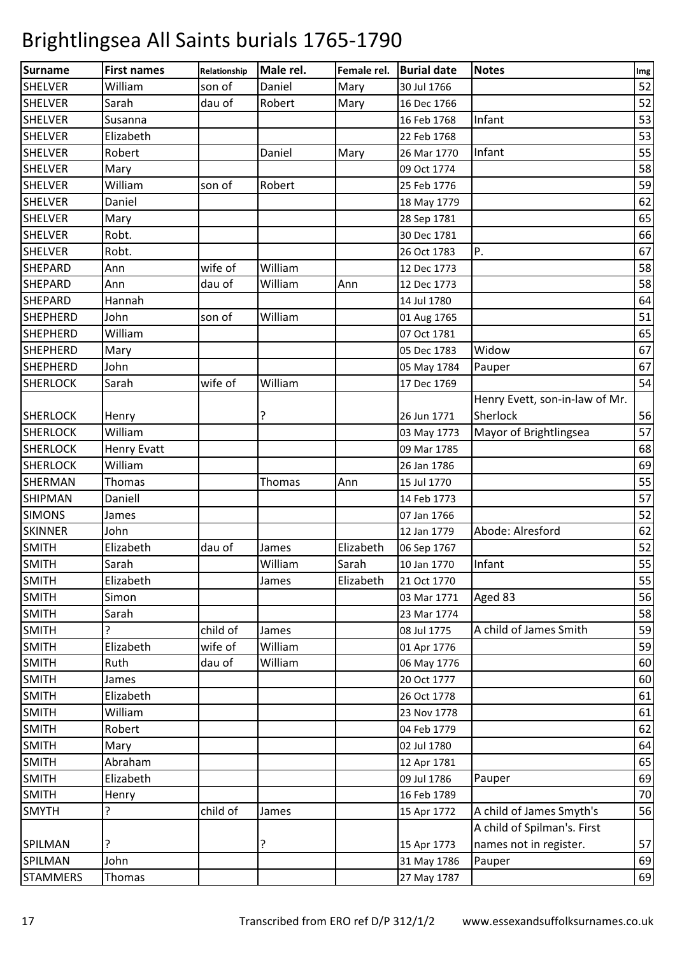| Surname         | <b>First names</b> | Relationship | Male rel. | Female rel. | <b>Burial date</b> | <b>Notes</b>                   | Img |
|-----------------|--------------------|--------------|-----------|-------------|--------------------|--------------------------------|-----|
| <b>SHELVER</b>  | William            | son of       | Daniel    | Mary        | 30 Jul 1766        |                                | 52  |
| <b>SHELVER</b>  | Sarah              | dau of       | Robert    | Mary        | 16 Dec 1766        |                                | 52  |
| <b>SHELVER</b>  | Susanna            |              |           |             | 16 Feb 1768        | Infant                         | 53  |
| <b>SHELVER</b>  | Elizabeth          |              |           |             | 22 Feb 1768        |                                | 53  |
| <b>SHELVER</b>  | Robert             |              | Daniel    | Mary        | 26 Mar 1770        | Infant                         | 55  |
| <b>SHELVER</b>  | Mary               |              |           |             | 09 Oct 1774        |                                | 58  |
| <b>SHELVER</b>  | William            | son of       | Robert    |             | 25 Feb 1776        |                                | 59  |
| <b>SHELVER</b>  | Daniel             |              |           |             | 18 May 1779        |                                | 62  |
| <b>SHELVER</b>  | Mary               |              |           |             | 28 Sep 1781        |                                | 65  |
| <b>SHELVER</b>  | Robt.              |              |           |             | 30 Dec 1781        |                                | 66  |
| <b>SHELVER</b>  | Robt.              |              |           |             | 26 Oct 1783        | P.                             | 67  |
| <b>SHEPARD</b>  | Ann                | wife of      | William   |             | 12 Dec 1773        |                                | 58  |
| <b>SHEPARD</b>  | Ann                | dau of       | William   | Ann         | 12 Dec 1773        |                                | 58  |
| <b>SHEPARD</b>  | Hannah             |              |           |             | 14 Jul 1780        |                                | 64  |
| <b>SHEPHERD</b> | John               | son of       | William   |             | 01 Aug 1765        |                                | 51  |
| <b>SHEPHERD</b> | William            |              |           |             | 07 Oct 1781        |                                | 65  |
| <b>SHEPHERD</b> | Mary               |              |           |             | 05 Dec 1783        | Widow                          | 67  |
| <b>SHEPHERD</b> | John               |              |           |             | 05 May 1784        | Pauper                         | 67  |
| <b>SHERLOCK</b> | Sarah              | wife of      | William   |             | 17 Dec 1769        |                                | 54  |
|                 |                    |              |           |             |                    | Henry Evett, son-in-law of Mr. |     |
| <b>SHERLOCK</b> | Henry              |              | ?         |             | 26 Jun 1771        | Sherlock                       | 56  |
| <b>SHERLOCK</b> | William            |              |           |             | 03 May 1773        | Mayor of Brightlingsea         | 57  |
| <b>SHERLOCK</b> | <b>Henry Evatt</b> |              |           |             | 09 Mar 1785        |                                | 68  |
| <b>SHERLOCK</b> | William            |              |           |             | 26 Jan 1786        |                                | 69  |
| SHERMAN         | Thomas             |              | Thomas    | Ann         | 15 Jul 1770        |                                | 55  |
| <b>SHIPMAN</b>  | Daniell            |              |           |             | 14 Feb 1773        |                                | 57  |
| <b>SIMONS</b>   | James              |              |           |             | 07 Jan 1766        |                                | 52  |
| <b>SKINNER</b>  | John               |              |           |             | 12 Jan 1779        | Abode: Alresford               | 62  |
| <b>SMITH</b>    | Elizabeth          | dau of       | James     | Elizabeth   | 06 Sep 1767        |                                | 52  |
| <b>SMITH</b>    | Sarah              |              | William   | Sarah       | 10 Jan 1770        | Infant                         | 55  |
| <b>SMITH</b>    | Elizabeth          |              | James     | Elizabeth   | 21 Oct 1770        |                                | 55  |
| SMITH           | Simon              |              |           |             |                    |                                | 56  |
|                 |                    |              |           |             | 03 Mar 1771        | Aged 83                        |     |
| <b>SMITH</b>    | Sarah              |              |           |             | 23 Mar 1774        |                                | 58  |
| <b>SMITH</b>    | 5.                 | child of     | James     |             | 08 Jul 1775        | A child of James Smith         | 59  |
| <b>SMITH</b>    | Elizabeth          | wife of      | William   |             | 01 Apr 1776        |                                | 59  |
| <b>SMITH</b>    | Ruth               | dau of       | William   |             | 06 May 1776        |                                | 60  |
| <b>SMITH</b>    | James              |              |           |             | 20 Oct 1777        |                                | 60  |
| <b>SMITH</b>    | Elizabeth          |              |           |             | 26 Oct 1778        |                                | 61  |
| <b>SMITH</b>    | William            |              |           |             | 23 Nov 1778        |                                | 61  |
| <b>SMITH</b>    | Robert             |              |           |             | 04 Feb 1779        |                                | 62  |
| <b>SMITH</b>    | Mary               |              |           |             | 02 Jul 1780        |                                | 64  |
| <b>SMITH</b>    | Abraham            |              |           |             | 12 Apr 1781        |                                | 65  |
| <b>SMITH</b>    | Elizabeth          |              |           |             | 09 Jul 1786        | Pauper                         | 69  |
| <b>SMITH</b>    | Henry              |              |           |             | 16 Feb 1789        |                                | 70  |
| <b>SMYTH</b>    | ?                  | child of     | James     |             | 15 Apr 1772        | A child of James Smyth's       | 56  |
|                 |                    |              |           |             |                    | A child of Spilman's. First    |     |
| <b>SPILMAN</b>  | ?                  |              | ?         |             | 15 Apr 1773        | names not in register.         | 57  |
| SPILMAN         | John               |              |           |             | 31 May 1786        | Pauper                         | 69  |
| <b>STAMMERS</b> | Thomas             |              |           |             | 27 May 1787        |                                | 69  |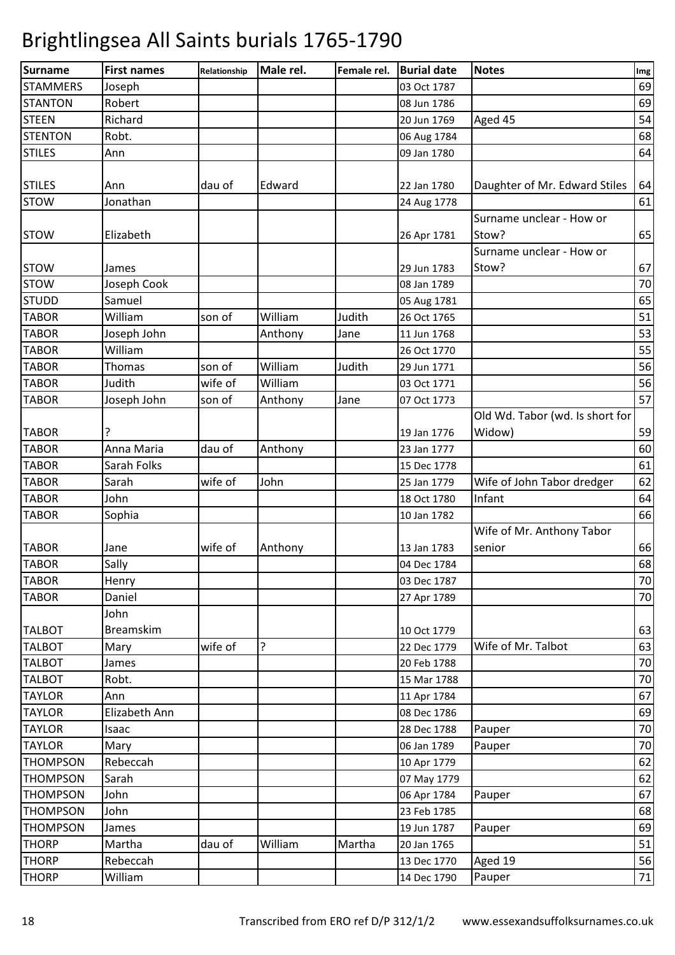| Surname         | <b>First names</b> | Relationship | Male rel. | Female rel. | <b>Burial date</b> | <b>Notes</b>                    | Img |
|-----------------|--------------------|--------------|-----------|-------------|--------------------|---------------------------------|-----|
| <b>STAMMERS</b> | Joseph             |              |           |             | 03 Oct 1787        |                                 | 69  |
| <b>STANTON</b>  | Robert             |              |           |             | 08 Jun 1786        |                                 | 69  |
| <b>STEEN</b>    | Richard            |              |           |             | 20 Jun 1769        | Aged 45                         | 54  |
| <b>STENTON</b>  | Robt.              |              |           |             | 06 Aug 1784        |                                 | 68  |
| <b>STILES</b>   | Ann                |              |           |             | 09 Jan 1780        |                                 | 64  |
|                 |                    |              |           |             |                    |                                 |     |
| <b>STILES</b>   | Ann                | dau of       | Edward    |             | 22 Jan 1780        | Daughter of Mr. Edward Stiles   | 64  |
| <b>STOW</b>     | Jonathan           |              |           |             | 24 Aug 1778        |                                 | 61  |
|                 |                    |              |           |             |                    | Surname unclear - How or        |     |
| <b>STOW</b>     | Elizabeth          |              |           |             | 26 Apr 1781        | Stow?                           | 65  |
|                 |                    |              |           |             |                    | Surname unclear - How or        |     |
| <b>STOW</b>     | James              |              |           |             | 29 Jun 1783        | Stow?                           | 67  |
| <b>STOW</b>     | Joseph Cook        |              |           |             | 08 Jan 1789        |                                 | 70  |
| <b>STUDD</b>    | Samuel             |              |           |             | 05 Aug 1781        |                                 | 65  |
| <b>TABOR</b>    | William            | son of       | William   | Judith      | 26 Oct 1765        |                                 | 51  |
| <b>TABOR</b>    | Joseph John        |              | Anthony   | Jane        | 11 Jun 1768        |                                 | 53  |
| <b>TABOR</b>    | William            |              |           |             | 26 Oct 1770        |                                 | 55  |
| <b>TABOR</b>    | Thomas             | son of       | William   | Judith      | 29 Jun 1771        |                                 | 56  |
| <b>TABOR</b>    | Judith             | wife of      | William   |             | 03 Oct 1771        |                                 | 56  |
| <b>TABOR</b>    | Joseph John        | son of       | Anthony   | Jane        | 07 Oct 1773        |                                 | 57  |
|                 |                    |              |           |             |                    | Old Wd. Tabor (wd. Is short for |     |
| <b>TABOR</b>    | ?                  |              |           |             | 19 Jan 1776        | Widow)                          | 59  |
| <b>TABOR</b>    | Anna Maria         | dau of       |           |             |                    |                                 | 60  |
| <b>TABOR</b>    | Sarah Folks        |              | Anthony   |             | 23 Jan 1777        |                                 | 61  |
|                 |                    |              |           |             | 15 Dec 1778        |                                 |     |
| <b>TABOR</b>    | Sarah              | wife of      | John      |             | 25 Jan 1779        | Wife of John Tabor dredger      | 62  |
| <b>TABOR</b>    | John               |              |           |             | 18 Oct 1780        | Infant                          | 64  |
| <b>TABOR</b>    | Sophia             |              |           |             | 10 Jan 1782        |                                 | 66  |
|                 |                    |              |           |             |                    | Wife of Mr. Anthony Tabor       |     |
| <b>TABOR</b>    | Jane               | wife of      | Anthony   |             | 13 Jan 1783        | senior                          | 66  |
| <b>TABOR</b>    | Sally              |              |           |             | 04 Dec 1784        |                                 | 68  |
| <b>TABOR</b>    | Henry              |              |           |             | 03 Dec 1787        |                                 | 70  |
| <b>TABOR</b>    | Daniel             |              |           |             | 27 Apr 1789        |                                 | 70  |
|                 | John               |              |           |             |                    |                                 |     |
| <b>TALBOT</b>   | <b>Breamskim</b>   |              |           |             | 10 Oct 1779        |                                 | 63  |
| <b>TALBOT</b>   | Mary               | wife of      | 5.        |             | 22 Dec 1779        | Wife of Mr. Talbot              | 63  |
| <b>TALBOT</b>   | James              |              |           |             | 20 Feb 1788        |                                 | 70  |
| <b>TALBOT</b>   | Robt.              |              |           |             | 15 Mar 1788        |                                 | 70  |
| <b>TAYLOR</b>   | Ann                |              |           |             | 11 Apr 1784        |                                 | 67  |
| <b>TAYLOR</b>   | Elizabeth Ann      |              |           |             | 08 Dec 1786        |                                 | 69  |
| <b>TAYLOR</b>   | Isaac              |              |           |             | 28 Dec 1788        | Pauper                          | 70  |
| <b>TAYLOR</b>   | Mary               |              |           |             | 06 Jan 1789        | Pauper                          | 70  |
| <b>THOMPSON</b> | Rebeccah           |              |           |             | 10 Apr 1779        |                                 | 62  |
| <b>THOMPSON</b> | Sarah              |              |           |             | 07 May 1779        |                                 | 62  |
| <b>THOMPSON</b> | John               |              |           |             | 06 Apr 1784        | Pauper                          | 67  |
| <b>THOMPSON</b> | John               |              |           |             | 23 Feb 1785        |                                 | 68  |
| <b>THOMPSON</b> | James              |              |           |             | 19 Jun 1787        | Pauper                          | 69  |
| <b>THORP</b>    | Martha             | dau of       | William   | Martha      | 20 Jan 1765        |                                 | 51  |
| <b>THORP</b>    | Rebeccah           |              |           |             | 13 Dec 1770        | Aged 19                         | 56  |
| <b>THORP</b>    | William            |              |           |             | 14 Dec 1790        | Pauper                          | 71  |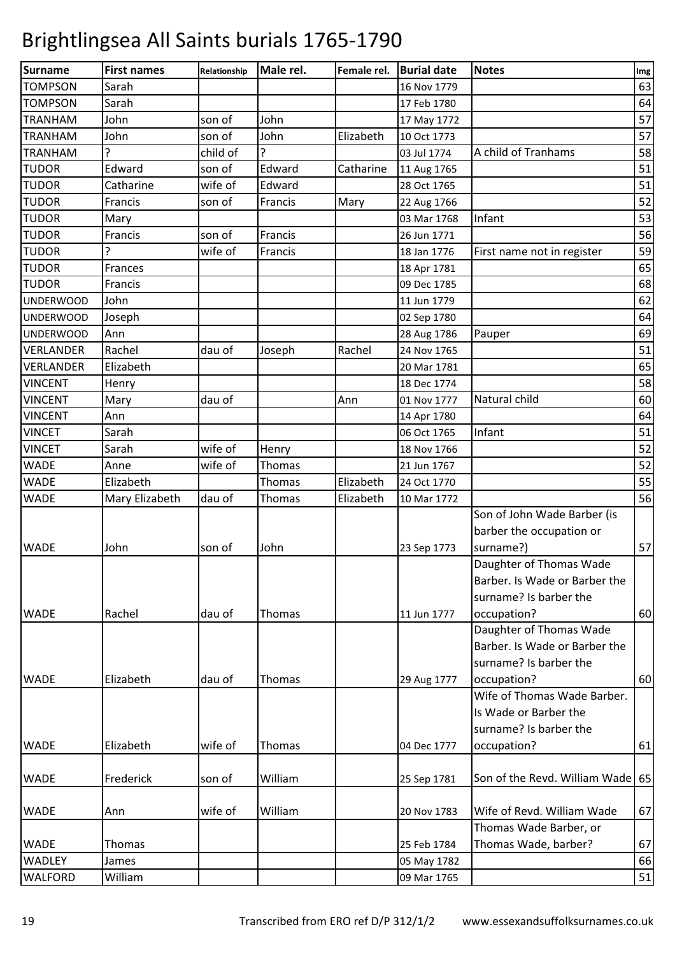| 63<br><b>TOMPSON</b><br>Sarah<br>16 Nov 1779<br><b>TOMPSON</b><br>Sarah<br>17 Feb 1780<br>John<br>John<br><b>TRANHAM</b><br>son of<br>17 May 1772<br>John<br>John<br>Elizabeth<br><b>TRANHAM</b><br>son of<br>10 Oct 1773<br>ς<br><b>TRANHAM</b><br>child of<br>A child of Tranhams<br>03 Jul 1774<br><b>TUDOR</b><br>Edward<br>Edward<br>Catharine<br>son of<br>11 Aug 1765<br><b>TUDOR</b><br>Catharine<br>wife of<br>Edward<br>28 Oct 1765<br><b>TUDOR</b><br>Francis<br>son of<br>Francis<br>Mary<br>22 Aug 1766<br><b>TUDOR</b><br>03 Mar 1768<br>Infant<br>Mary<br><b>TUDOR</b><br>Francis<br>Francis<br>son of<br>26 Jun 1771<br><b>TUDOR</b><br>First name not in register<br>wife of<br>Francis<br>18 Jan 1776<br><b>TUDOR</b><br>Frances<br>18 Apr 1781<br><b>TUDOR</b><br>Francis<br>09 Dec 1785<br>John<br>11 Jun 1779<br><b>UNDERWOOD</b><br>Joseph<br>02 Sep 1780<br><b>UNDERWOOD</b><br><b>UNDERWOOD</b><br>Ann<br>28 Aug 1786<br>Pauper<br>Rachel<br><b>VERLANDER</b><br>Rachel<br>dau of<br>24 Nov 1765<br>Joseph<br><b>VERLANDER</b><br>Elizabeth<br>20 Mar 1781<br><b>VINCENT</b><br>18 Dec 1774<br>Henry<br><b>VINCENT</b><br>dau of<br>Natural child<br>Mary<br>Ann<br>01 Nov 1777<br><b>VINCENT</b><br>Ann<br>14 Apr 1780<br>Infant<br><b>VINCET</b><br>Sarah<br>06 Oct 1765<br>wife of<br><b>VINCET</b><br>Sarah<br>Henry<br>18 Nov 1766<br><b>WADE</b><br>wife of<br>Thomas<br>Anne<br>21 Jun 1767<br><b>WADE</b><br>Elizabeth<br>Elizabeth<br>Thomas<br>24 Oct 1770<br><b>WADE</b><br>dau of<br>Thomas<br>Elizabeth<br>Mary Elizabeth<br>10 Mar 1772<br>Son of John Wade Barber (is<br>barber the occupation or<br>surname?)<br>John<br>son of<br>John<br>23 Sep 1773<br>Daughter of Thomas Wade<br>Barber. Is Wade or Barber the<br>surname? Is barber the<br>Rachel<br>dau of<br>Thomas<br>11 Jun 1777<br>occupation?<br>Daughter of Thomas Wade<br>Barber. Is Wade or Barber the<br>surname? Is barber the<br>Elizabeth<br><b>WADE</b><br>dau of<br>Thomas<br>occupation?<br>29 Aug 1777<br>Wife of Thomas Wade Barber.<br>Is Wade or Barber the<br>surname? Is barber the<br>Elizabeth<br>wife of<br>occupation?<br>Thomas<br>04 Dec 1777<br>William<br>Frederick<br>son of<br>25 Sep 1781<br>Wife of Revd. William Wade<br>William<br>wife of<br>20 Nov 1783<br>Ann<br>Thomas Wade Barber, or<br>Thomas Wade, barber?<br>Thomas<br>25 Feb 1784<br><b>WADLEY</b><br>James<br>05 May 1782<br><b>WALFORD</b><br>William<br>09 Mar 1765 | <b>Surname</b> | <b>First names</b> | Relationship | Male rel. | Female rel. | <b>Burial date</b> | <b>Notes</b> | Img |
|-------------------------------------------------------------------------------------------------------------------------------------------------------------------------------------------------------------------------------------------------------------------------------------------------------------------------------------------------------------------------------------------------------------------------------------------------------------------------------------------------------------------------------------------------------------------------------------------------------------------------------------------------------------------------------------------------------------------------------------------------------------------------------------------------------------------------------------------------------------------------------------------------------------------------------------------------------------------------------------------------------------------------------------------------------------------------------------------------------------------------------------------------------------------------------------------------------------------------------------------------------------------------------------------------------------------------------------------------------------------------------------------------------------------------------------------------------------------------------------------------------------------------------------------------------------------------------------------------------------------------------------------------------------------------------------------------------------------------------------------------------------------------------------------------------------------------------------------------------------------------------------------------------------------------------------------------------------------------------------------------------------------------------------------------------------------------------------------------------------------------------------------------------------------------------------------------------------------------------------------------------------------------------------------------------------------------------------------------------------------------------------------------------------------------------------------------------------------|----------------|--------------------|--------------|-----------|-------------|--------------------|--------------|-----|
| 64<br>69                                                                                                                                                                                                                                                                                                                                                                                                                                                                                                                                                                                                                                                                                                                                                                                                                                                                                                                                                                                                                                                                                                                                                                                                                                                                                                                                                                                                                                                                                                                                                                                                                                                                                                                                                                                                                                                                                                                                                                                                                                                                                                                                                                                                                                                                                                                                                                                                                                                          |                |                    |              |           |             |                    |              |     |
| 57<br>57<br>58<br>51<br>51<br>52<br>53<br>56<br>59<br>65<br>68<br>62<br>64<br>51<br>65<br>58<br>60<br>64<br>51<br>52<br>52<br>55<br>56<br>57<br>60<br>60                                                                                                                                                                                                                                                                                                                                                                                                                                                                                                                                                                                                                                                                                                                                                                                                                                                                                                                                                                                                                                                                                                                                                                                                                                                                                                                                                                                                                                                                                                                                                                                                                                                                                                                                                                                                                                                                                                                                                                                                                                                                                                                                                                                                                                                                                                          |                |                    |              |           |             |                    |              |     |
|                                                                                                                                                                                                                                                                                                                                                                                                                                                                                                                                                                                                                                                                                                                                                                                                                                                                                                                                                                                                                                                                                                                                                                                                                                                                                                                                                                                                                                                                                                                                                                                                                                                                                                                                                                                                                                                                                                                                                                                                                                                                                                                                                                                                                                                                                                                                                                                                                                                                   |                |                    |              |           |             |                    |              |     |
|                                                                                                                                                                                                                                                                                                                                                                                                                                                                                                                                                                                                                                                                                                                                                                                                                                                                                                                                                                                                                                                                                                                                                                                                                                                                                                                                                                                                                                                                                                                                                                                                                                                                                                                                                                                                                                                                                                                                                                                                                                                                                                                                                                                                                                                                                                                                                                                                                                                                   |                |                    |              |           |             |                    |              |     |
|                                                                                                                                                                                                                                                                                                                                                                                                                                                                                                                                                                                                                                                                                                                                                                                                                                                                                                                                                                                                                                                                                                                                                                                                                                                                                                                                                                                                                                                                                                                                                                                                                                                                                                                                                                                                                                                                                                                                                                                                                                                                                                                                                                                                                                                                                                                                                                                                                                                                   |                |                    |              |           |             |                    |              |     |
|                                                                                                                                                                                                                                                                                                                                                                                                                                                                                                                                                                                                                                                                                                                                                                                                                                                                                                                                                                                                                                                                                                                                                                                                                                                                                                                                                                                                                                                                                                                                                                                                                                                                                                                                                                                                                                                                                                                                                                                                                                                                                                                                                                                                                                                                                                                                                                                                                                                                   |                |                    |              |           |             |                    |              |     |
|                                                                                                                                                                                                                                                                                                                                                                                                                                                                                                                                                                                                                                                                                                                                                                                                                                                                                                                                                                                                                                                                                                                                                                                                                                                                                                                                                                                                                                                                                                                                                                                                                                                                                                                                                                                                                                                                                                                                                                                                                                                                                                                                                                                                                                                                                                                                                                                                                                                                   |                |                    |              |           |             |                    |              |     |
|                                                                                                                                                                                                                                                                                                                                                                                                                                                                                                                                                                                                                                                                                                                                                                                                                                                                                                                                                                                                                                                                                                                                                                                                                                                                                                                                                                                                                                                                                                                                                                                                                                                                                                                                                                                                                                                                                                                                                                                                                                                                                                                                                                                                                                                                                                                                                                                                                                                                   |                |                    |              |           |             |                    |              |     |
|                                                                                                                                                                                                                                                                                                                                                                                                                                                                                                                                                                                                                                                                                                                                                                                                                                                                                                                                                                                                                                                                                                                                                                                                                                                                                                                                                                                                                                                                                                                                                                                                                                                                                                                                                                                                                                                                                                                                                                                                                                                                                                                                                                                                                                                                                                                                                                                                                                                                   |                |                    |              |           |             |                    |              |     |
|                                                                                                                                                                                                                                                                                                                                                                                                                                                                                                                                                                                                                                                                                                                                                                                                                                                                                                                                                                                                                                                                                                                                                                                                                                                                                                                                                                                                                                                                                                                                                                                                                                                                                                                                                                                                                                                                                                                                                                                                                                                                                                                                                                                                                                                                                                                                                                                                                                                                   |                |                    |              |           |             |                    |              |     |
|                                                                                                                                                                                                                                                                                                                                                                                                                                                                                                                                                                                                                                                                                                                                                                                                                                                                                                                                                                                                                                                                                                                                                                                                                                                                                                                                                                                                                                                                                                                                                                                                                                                                                                                                                                                                                                                                                                                                                                                                                                                                                                                                                                                                                                                                                                                                                                                                                                                                   |                |                    |              |           |             |                    |              |     |
|                                                                                                                                                                                                                                                                                                                                                                                                                                                                                                                                                                                                                                                                                                                                                                                                                                                                                                                                                                                                                                                                                                                                                                                                                                                                                                                                                                                                                                                                                                                                                                                                                                                                                                                                                                                                                                                                                                                                                                                                                                                                                                                                                                                                                                                                                                                                                                                                                                                                   |                |                    |              |           |             |                    |              |     |
|                                                                                                                                                                                                                                                                                                                                                                                                                                                                                                                                                                                                                                                                                                                                                                                                                                                                                                                                                                                                                                                                                                                                                                                                                                                                                                                                                                                                                                                                                                                                                                                                                                                                                                                                                                                                                                                                                                                                                                                                                                                                                                                                                                                                                                                                                                                                                                                                                                                                   |                |                    |              |           |             |                    |              |     |
|                                                                                                                                                                                                                                                                                                                                                                                                                                                                                                                                                                                                                                                                                                                                                                                                                                                                                                                                                                                                                                                                                                                                                                                                                                                                                                                                                                                                                                                                                                                                                                                                                                                                                                                                                                                                                                                                                                                                                                                                                                                                                                                                                                                                                                                                                                                                                                                                                                                                   |                |                    |              |           |             |                    |              |     |
|                                                                                                                                                                                                                                                                                                                                                                                                                                                                                                                                                                                                                                                                                                                                                                                                                                                                                                                                                                                                                                                                                                                                                                                                                                                                                                                                                                                                                                                                                                                                                                                                                                                                                                                                                                                                                                                                                                                                                                                                                                                                                                                                                                                                                                                                                                                                                                                                                                                                   |                |                    |              |           |             |                    |              |     |
|                                                                                                                                                                                                                                                                                                                                                                                                                                                                                                                                                                                                                                                                                                                                                                                                                                                                                                                                                                                                                                                                                                                                                                                                                                                                                                                                                                                                                                                                                                                                                                                                                                                                                                                                                                                                                                                                                                                                                                                                                                                                                                                                                                                                                                                                                                                                                                                                                                                                   |                |                    |              |           |             |                    |              |     |
|                                                                                                                                                                                                                                                                                                                                                                                                                                                                                                                                                                                                                                                                                                                                                                                                                                                                                                                                                                                                                                                                                                                                                                                                                                                                                                                                                                                                                                                                                                                                                                                                                                                                                                                                                                                                                                                                                                                                                                                                                                                                                                                                                                                                                                                                                                                                                                                                                                                                   |                |                    |              |           |             |                    |              |     |
|                                                                                                                                                                                                                                                                                                                                                                                                                                                                                                                                                                                                                                                                                                                                                                                                                                                                                                                                                                                                                                                                                                                                                                                                                                                                                                                                                                                                                                                                                                                                                                                                                                                                                                                                                                                                                                                                                                                                                                                                                                                                                                                                                                                                                                                                                                                                                                                                                                                                   |                |                    |              |           |             |                    |              |     |
|                                                                                                                                                                                                                                                                                                                                                                                                                                                                                                                                                                                                                                                                                                                                                                                                                                                                                                                                                                                                                                                                                                                                                                                                                                                                                                                                                                                                                                                                                                                                                                                                                                                                                                                                                                                                                                                                                                                                                                                                                                                                                                                                                                                                                                                                                                                                                                                                                                                                   |                |                    |              |           |             |                    |              |     |
|                                                                                                                                                                                                                                                                                                                                                                                                                                                                                                                                                                                                                                                                                                                                                                                                                                                                                                                                                                                                                                                                                                                                                                                                                                                                                                                                                                                                                                                                                                                                                                                                                                                                                                                                                                                                                                                                                                                                                                                                                                                                                                                                                                                                                                                                                                                                                                                                                                                                   |                |                    |              |           |             |                    |              |     |
|                                                                                                                                                                                                                                                                                                                                                                                                                                                                                                                                                                                                                                                                                                                                                                                                                                                                                                                                                                                                                                                                                                                                                                                                                                                                                                                                                                                                                                                                                                                                                                                                                                                                                                                                                                                                                                                                                                                                                                                                                                                                                                                                                                                                                                                                                                                                                                                                                                                                   |                |                    |              |           |             |                    |              |     |
|                                                                                                                                                                                                                                                                                                                                                                                                                                                                                                                                                                                                                                                                                                                                                                                                                                                                                                                                                                                                                                                                                                                                                                                                                                                                                                                                                                                                                                                                                                                                                                                                                                                                                                                                                                                                                                                                                                                                                                                                                                                                                                                                                                                                                                                                                                                                                                                                                                                                   |                |                    |              |           |             |                    |              |     |
|                                                                                                                                                                                                                                                                                                                                                                                                                                                                                                                                                                                                                                                                                                                                                                                                                                                                                                                                                                                                                                                                                                                                                                                                                                                                                                                                                                                                                                                                                                                                                                                                                                                                                                                                                                                                                                                                                                                                                                                                                                                                                                                                                                                                                                                                                                                                                                                                                                                                   |                |                    |              |           |             |                    |              |     |
|                                                                                                                                                                                                                                                                                                                                                                                                                                                                                                                                                                                                                                                                                                                                                                                                                                                                                                                                                                                                                                                                                                                                                                                                                                                                                                                                                                                                                                                                                                                                                                                                                                                                                                                                                                                                                                                                                                                                                                                                                                                                                                                                                                                                                                                                                                                                                                                                                                                                   |                |                    |              |           |             |                    |              |     |
|                                                                                                                                                                                                                                                                                                                                                                                                                                                                                                                                                                                                                                                                                                                                                                                                                                                                                                                                                                                                                                                                                                                                                                                                                                                                                                                                                                                                                                                                                                                                                                                                                                                                                                                                                                                                                                                                                                                                                                                                                                                                                                                                                                                                                                                                                                                                                                                                                                                                   |                |                    |              |           |             |                    |              |     |
|                                                                                                                                                                                                                                                                                                                                                                                                                                                                                                                                                                                                                                                                                                                                                                                                                                                                                                                                                                                                                                                                                                                                                                                                                                                                                                                                                                                                                                                                                                                                                                                                                                                                                                                                                                                                                                                                                                                                                                                                                                                                                                                                                                                                                                                                                                                                                                                                                                                                   |                |                    |              |           |             |                    |              |     |
|                                                                                                                                                                                                                                                                                                                                                                                                                                                                                                                                                                                                                                                                                                                                                                                                                                                                                                                                                                                                                                                                                                                                                                                                                                                                                                                                                                                                                                                                                                                                                                                                                                                                                                                                                                                                                                                                                                                                                                                                                                                                                                                                                                                                                                                                                                                                                                                                                                                                   |                |                    |              |           |             |                    |              |     |
|                                                                                                                                                                                                                                                                                                                                                                                                                                                                                                                                                                                                                                                                                                                                                                                                                                                                                                                                                                                                                                                                                                                                                                                                                                                                                                                                                                                                                                                                                                                                                                                                                                                                                                                                                                                                                                                                                                                                                                                                                                                                                                                                                                                                                                                                                                                                                                                                                                                                   |                |                    |              |           |             |                    |              |     |
|                                                                                                                                                                                                                                                                                                                                                                                                                                                                                                                                                                                                                                                                                                                                                                                                                                                                                                                                                                                                                                                                                                                                                                                                                                                                                                                                                                                                                                                                                                                                                                                                                                                                                                                                                                                                                                                                                                                                                                                                                                                                                                                                                                                                                                                                                                                                                                                                                                                                   | <b>WADE</b>    |                    |              |           |             |                    |              |     |
|                                                                                                                                                                                                                                                                                                                                                                                                                                                                                                                                                                                                                                                                                                                                                                                                                                                                                                                                                                                                                                                                                                                                                                                                                                                                                                                                                                                                                                                                                                                                                                                                                                                                                                                                                                                                                                                                                                                                                                                                                                                                                                                                                                                                                                                                                                                                                                                                                                                                   |                |                    |              |           |             |                    |              |     |
|                                                                                                                                                                                                                                                                                                                                                                                                                                                                                                                                                                                                                                                                                                                                                                                                                                                                                                                                                                                                                                                                                                                                                                                                                                                                                                                                                                                                                                                                                                                                                                                                                                                                                                                                                                                                                                                                                                                                                                                                                                                                                                                                                                                                                                                                                                                                                                                                                                                                   |                |                    |              |           |             |                    |              |     |
|                                                                                                                                                                                                                                                                                                                                                                                                                                                                                                                                                                                                                                                                                                                                                                                                                                                                                                                                                                                                                                                                                                                                                                                                                                                                                                                                                                                                                                                                                                                                                                                                                                                                                                                                                                                                                                                                                                                                                                                                                                                                                                                                                                                                                                                                                                                                                                                                                                                                   |                |                    |              |           |             |                    |              |     |
|                                                                                                                                                                                                                                                                                                                                                                                                                                                                                                                                                                                                                                                                                                                                                                                                                                                                                                                                                                                                                                                                                                                                                                                                                                                                                                                                                                                                                                                                                                                                                                                                                                                                                                                                                                                                                                                                                                                                                                                                                                                                                                                                                                                                                                                                                                                                                                                                                                                                   | <b>WADE</b>    |                    |              |           |             |                    |              |     |
|                                                                                                                                                                                                                                                                                                                                                                                                                                                                                                                                                                                                                                                                                                                                                                                                                                                                                                                                                                                                                                                                                                                                                                                                                                                                                                                                                                                                                                                                                                                                                                                                                                                                                                                                                                                                                                                                                                                                                                                                                                                                                                                                                                                                                                                                                                                                                                                                                                                                   |                |                    |              |           |             |                    |              |     |
|                                                                                                                                                                                                                                                                                                                                                                                                                                                                                                                                                                                                                                                                                                                                                                                                                                                                                                                                                                                                                                                                                                                                                                                                                                                                                                                                                                                                                                                                                                                                                                                                                                                                                                                                                                                                                                                                                                                                                                                                                                                                                                                                                                                                                                                                                                                                                                                                                                                                   |                |                    |              |           |             |                    |              |     |
|                                                                                                                                                                                                                                                                                                                                                                                                                                                                                                                                                                                                                                                                                                                                                                                                                                                                                                                                                                                                                                                                                                                                                                                                                                                                                                                                                                                                                                                                                                                                                                                                                                                                                                                                                                                                                                                                                                                                                                                                                                                                                                                                                                                                                                                                                                                                                                                                                                                                   |                |                    |              |           |             |                    |              |     |
|                                                                                                                                                                                                                                                                                                                                                                                                                                                                                                                                                                                                                                                                                                                                                                                                                                                                                                                                                                                                                                                                                                                                                                                                                                                                                                                                                                                                                                                                                                                                                                                                                                                                                                                                                                                                                                                                                                                                                                                                                                                                                                                                                                                                                                                                                                                                                                                                                                                                   |                |                    |              |           |             |                    |              |     |
|                                                                                                                                                                                                                                                                                                                                                                                                                                                                                                                                                                                                                                                                                                                                                                                                                                                                                                                                                                                                                                                                                                                                                                                                                                                                                                                                                                                                                                                                                                                                                                                                                                                                                                                                                                                                                                                                                                                                                                                                                                                                                                                                                                                                                                                                                                                                                                                                                                                                   |                |                    |              |           |             |                    |              |     |
|                                                                                                                                                                                                                                                                                                                                                                                                                                                                                                                                                                                                                                                                                                                                                                                                                                                                                                                                                                                                                                                                                                                                                                                                                                                                                                                                                                                                                                                                                                                                                                                                                                                                                                                                                                                                                                                                                                                                                                                                                                                                                                                                                                                                                                                                                                                                                                                                                                                                   |                |                    |              |           |             |                    |              |     |
|                                                                                                                                                                                                                                                                                                                                                                                                                                                                                                                                                                                                                                                                                                                                                                                                                                                                                                                                                                                                                                                                                                                                                                                                                                                                                                                                                                                                                                                                                                                                                                                                                                                                                                                                                                                                                                                                                                                                                                                                                                                                                                                                                                                                                                                                                                                                                                                                                                                                   |                |                    |              |           |             |                    |              |     |
| Son of the Revd. William Wade 65<br>67<br>67<br>66<br>51                                                                                                                                                                                                                                                                                                                                                                                                                                                                                                                                                                                                                                                                                                                                                                                                                                                                                                                                                                                                                                                                                                                                                                                                                                                                                                                                                                                                                                                                                                                                                                                                                                                                                                                                                                                                                                                                                                                                                                                                                                                                                                                                                                                                                                                                                                                                                                                                          | <b>WADE</b>    |                    |              |           |             |                    |              | 61  |
|                                                                                                                                                                                                                                                                                                                                                                                                                                                                                                                                                                                                                                                                                                                                                                                                                                                                                                                                                                                                                                                                                                                                                                                                                                                                                                                                                                                                                                                                                                                                                                                                                                                                                                                                                                                                                                                                                                                                                                                                                                                                                                                                                                                                                                                                                                                                                                                                                                                                   |                |                    |              |           |             |                    |              |     |
|                                                                                                                                                                                                                                                                                                                                                                                                                                                                                                                                                                                                                                                                                                                                                                                                                                                                                                                                                                                                                                                                                                                                                                                                                                                                                                                                                                                                                                                                                                                                                                                                                                                                                                                                                                                                                                                                                                                                                                                                                                                                                                                                                                                                                                                                                                                                                                                                                                                                   | <b>WADE</b>    |                    |              |           |             |                    |              |     |
|                                                                                                                                                                                                                                                                                                                                                                                                                                                                                                                                                                                                                                                                                                                                                                                                                                                                                                                                                                                                                                                                                                                                                                                                                                                                                                                                                                                                                                                                                                                                                                                                                                                                                                                                                                                                                                                                                                                                                                                                                                                                                                                                                                                                                                                                                                                                                                                                                                                                   |                |                    |              |           |             |                    |              |     |
|                                                                                                                                                                                                                                                                                                                                                                                                                                                                                                                                                                                                                                                                                                                                                                                                                                                                                                                                                                                                                                                                                                                                                                                                                                                                                                                                                                                                                                                                                                                                                                                                                                                                                                                                                                                                                                                                                                                                                                                                                                                                                                                                                                                                                                                                                                                                                                                                                                                                   | <b>WADE</b>    |                    |              |           |             |                    |              |     |
|                                                                                                                                                                                                                                                                                                                                                                                                                                                                                                                                                                                                                                                                                                                                                                                                                                                                                                                                                                                                                                                                                                                                                                                                                                                                                                                                                                                                                                                                                                                                                                                                                                                                                                                                                                                                                                                                                                                                                                                                                                                                                                                                                                                                                                                                                                                                                                                                                                                                   |                |                    |              |           |             |                    |              |     |
|                                                                                                                                                                                                                                                                                                                                                                                                                                                                                                                                                                                                                                                                                                                                                                                                                                                                                                                                                                                                                                                                                                                                                                                                                                                                                                                                                                                                                                                                                                                                                                                                                                                                                                                                                                                                                                                                                                                                                                                                                                                                                                                                                                                                                                                                                                                                                                                                                                                                   | <b>WADE</b>    |                    |              |           |             |                    |              |     |
|                                                                                                                                                                                                                                                                                                                                                                                                                                                                                                                                                                                                                                                                                                                                                                                                                                                                                                                                                                                                                                                                                                                                                                                                                                                                                                                                                                                                                                                                                                                                                                                                                                                                                                                                                                                                                                                                                                                                                                                                                                                                                                                                                                                                                                                                                                                                                                                                                                                                   |                |                    |              |           |             |                    |              |     |
|                                                                                                                                                                                                                                                                                                                                                                                                                                                                                                                                                                                                                                                                                                                                                                                                                                                                                                                                                                                                                                                                                                                                                                                                                                                                                                                                                                                                                                                                                                                                                                                                                                                                                                                                                                                                                                                                                                                                                                                                                                                                                                                                                                                                                                                                                                                                                                                                                                                                   |                |                    |              |           |             |                    |              |     |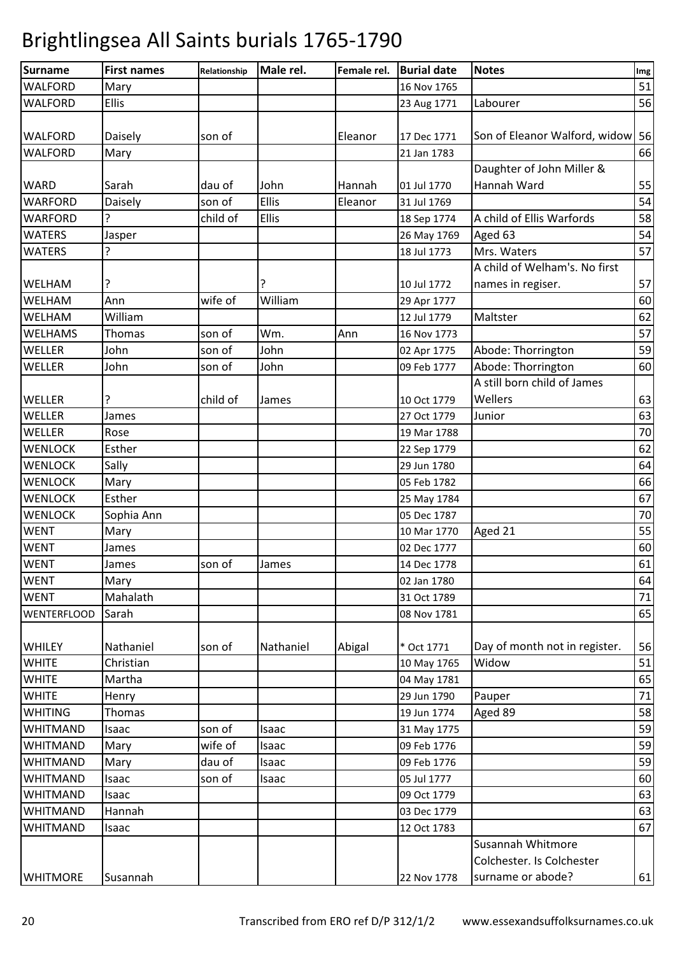| <b>Surname</b>     | <b>First names</b> | Relationship | Male rel. | Female rel. | <b>Burial date</b> | <b>Notes</b>                     | Img |
|--------------------|--------------------|--------------|-----------|-------------|--------------------|----------------------------------|-----|
| WALFORD            | Mary               |              |           |             | 16 Nov 1765        |                                  | 51  |
| <b>WALFORD</b>     | <b>Ellis</b>       |              |           |             | 23 Aug 1771        | Labourer                         | 56  |
|                    |                    |              |           |             |                    |                                  |     |
| <b>WALFORD</b>     | Daisely            | son of       |           | Eleanor     | 17 Dec 1771        | Son of Eleanor Walford, widow 56 |     |
| <b>WALFORD</b>     | Mary               |              |           |             | 21 Jan 1783        |                                  | 66  |
|                    |                    |              |           |             |                    | Daughter of John Miller &        |     |
| <b>WARD</b>        | Sarah              | dau of       | John      | Hannah      | 01 Jul 1770        | Hannah Ward                      | 55  |
| <b>WARFORD</b>     | Daisely            | son of       | Ellis     | Eleanor     | 31 Jul 1769        |                                  | 54  |
| <b>WARFORD</b>     | ?                  | child of     | Ellis     |             | 18 Sep 1774        | A child of Ellis Warfords        | 58  |
| <b>WATERS</b>      | Jasper             |              |           |             | 26 May 1769        | Aged 63                          | 54  |
| <b>WATERS</b>      | ?                  |              |           |             | 18 Jul 1773        | Mrs. Waters                      | 57  |
|                    |                    |              |           |             |                    | A child of Welham's. No first    |     |
| <b>WELHAM</b>      | ?                  |              |           |             | 10 Jul 1772        | names in regiser.                | 57  |
| WELHAM             | Ann                | wife of      | William   |             | 29 Apr 1777        |                                  | 60  |
| WELHAM             | William            |              |           |             | 12 Jul 1779        | Maltster                         | 62  |
| <b>WELHAMS</b>     | Thomas             | son of       | Wm.       | Ann         | 16 Nov 1773        |                                  | 57  |
| WELLER             | John               | son of       | John      |             | 02 Apr 1775        | Abode: Thorrington               | 59  |
| WELLER             | John               | son of       | John      |             | 09 Feb 1777        | Abode: Thorrington               | 60  |
|                    |                    |              |           |             |                    | A still born child of James      |     |
| WELLER             | ?                  | child of     | James     |             | 10 Oct 1779        | Wellers                          | 63  |
| WELLER             | James              |              |           |             | 27 Oct 1779        | Junior                           | 63  |
| WELLER             | Rose               |              |           |             | 19 Mar 1788        |                                  | 70  |
| <b>WENLOCK</b>     | Esther             |              |           |             | 22 Sep 1779        |                                  | 62  |
| <b>WENLOCK</b>     | Sally              |              |           |             | 29 Jun 1780        |                                  | 64  |
| <b>WENLOCK</b>     | Mary               |              |           |             | 05 Feb 1782        |                                  | 66  |
| <b>WENLOCK</b>     | Esther             |              |           |             | 25 May 1784        |                                  | 67  |
| <b>WENLOCK</b>     | Sophia Ann         |              |           |             | 05 Dec 1787        |                                  | 70  |
| <b>WENT</b>        | Mary               |              |           |             | 10 Mar 1770        | Aged 21                          | 55  |
| <b>WENT</b>        | James              |              |           |             | 02 Dec 1777        |                                  | 60  |
| <b>WENT</b>        | James              | son of       | James     |             | 14 Dec 1778        |                                  | 61  |
| <b>WENT</b>        | Mary               |              |           |             | 02 Jan 1780        |                                  | 64  |
| <b>WENT</b>        | Mahalath           |              |           |             | 31 Oct 1789        |                                  | 71  |
| <b>WENTERFLOOD</b> | Sarah              |              |           |             | 08 Nov 1781        |                                  | 65  |
|                    |                    |              |           |             |                    |                                  |     |
| <b>WHILEY</b>      | Nathaniel          | son of       | Nathaniel | Abigal      | * Oct 1771         | Day of month not in register.    | 56  |
| <b>WHITE</b>       | Christian          |              |           |             | 10 May 1765        | Widow                            | 51  |
| <b>WHITE</b>       | Martha             |              |           |             | 04 May 1781        |                                  | 65  |
| <b>WHITE</b>       | Henry              |              |           |             | 29 Jun 1790        | Pauper                           | 71  |
| <b>WHITING</b>     | Thomas             |              |           |             | 19 Jun 1774        | Aged 89                          | 58  |
| <b>WHITMAND</b>    | Isaac              | son of       | Isaac     |             | 31 May 1775        |                                  | 59  |
| <b>WHITMAND</b>    | Mary               | wife of      | Isaac     |             | 09 Feb 1776        |                                  | 59  |
| <b>WHITMAND</b>    | Mary               | dau of       | Isaac     |             | 09 Feb 1776        |                                  | 59  |
| <b>WHITMAND</b>    | Isaac              | son of       | Isaac     |             | 05 Jul 1777        |                                  | 60  |
| <b>WHITMAND</b>    | Isaac              |              |           |             | 09 Oct 1779        |                                  | 63  |
| <b>WHITMAND</b>    | Hannah             |              |           |             | 03 Dec 1779        |                                  | 63  |
| <b>WHITMAND</b>    | Isaac              |              |           |             | 12 Oct 1783        |                                  | 67  |
|                    |                    |              |           |             |                    | Susannah Whitmore                |     |
|                    |                    |              |           |             |                    | Colchester. Is Colchester        |     |
| <b>WHITMORE</b>    | Susannah           |              |           |             | 22 Nov 1778        | surname or abode?                | 61  |